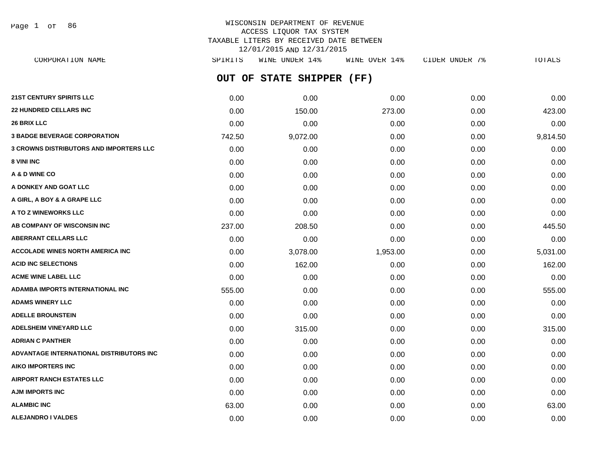Page 1 of 86

# WISCONSIN DEPARTMENT OF REVENUE ACCESS LIQUOR TAX SYSTEM TAXABLE LITERS BY RECEIVED DATE BETWEEN 12/01/2015 AND 12/31/2015

**OUT OF STATE SHIPPER (FF) 21ST CENTURY SPIRITS LLC** 0.00 0.00 0.00 0.00 0.00 **22 HUNDRED CELLARS INC** 0.00 150.00 273.00 0.00 423.00 CORPORATION NAME SPIRITS WINE UNDER 14% WINE OVER 14% CIDER UNDER 7% TOTALS

| 26 BRIX LLC                                    | 0.00   | 0.00     | 0.00     | 0.00 | 0.00     |
|------------------------------------------------|--------|----------|----------|------|----------|
| <b>3 BADGE BEVERAGE CORPORATION</b>            | 742.50 | 9,072.00 | 0.00     | 0.00 | 9,814.50 |
| <b>3 CROWNS DISTRIBUTORS AND IMPORTERS LLC</b> | 0.00   | 0.00     | 0.00     | 0.00 | 0.00     |
| 8 VINI INC                                     | 0.00   | 0.00     | 0.00     | 0.00 | 0.00     |
| A & D WINE CO                                  | 0.00   | 0.00     | 0.00     | 0.00 | 0.00     |
| A DONKEY AND GOAT LLC                          | 0.00   | 0.00     | 0.00     | 0.00 | 0.00     |
| A GIRL, A BOY & A GRAPE LLC                    | 0.00   | 0.00     | 0.00     | 0.00 | 0.00     |
| A TO Z WINEWORKS LLC                           | 0.00   | 0.00     | 0.00     | 0.00 | 0.00     |
| AB COMPANY OF WISCONSIN INC                    | 237.00 | 208.50   | 0.00     | 0.00 | 445.50   |
| <b>ABERRANT CELLARS LLC</b>                    | 0.00   | 0.00     | 0.00     | 0.00 | 0.00     |
| <b>ACCOLADE WINES NORTH AMERICA INC.</b>       | 0.00   | 3,078.00 | 1,953.00 | 0.00 | 5,031.00 |
| <b>ACID INC SELECTIONS</b>                     | 0.00   | 162.00   | 0.00     | 0.00 | 162.00   |
| <b>ACME WINE LABEL LLC</b>                     | 0.00   | 0.00     | 0.00     | 0.00 | 0.00     |
| <b>ADAMBA IMPORTS INTERNATIONAL INC</b>        | 555.00 | 0.00     | 0.00     | 0.00 | 555.00   |
| <b>ADAMS WINERY LLC</b>                        | 0.00   | 0.00     | 0.00     | 0.00 | 0.00     |
| <b>ADELLE BROUNSTEIN</b>                       | 0.00   | 0.00     | 0.00     | 0.00 | 0.00     |
| <b>ADELSHEIM VINEYARD LLC</b>                  | 0.00   | 315.00   | 0.00     | 0.00 | 315.00   |
| <b>ADRIAN C PANTHER</b>                        | 0.00   | 0.00     | 0.00     | 0.00 | 0.00     |
| ADVANTAGE INTERNATIONAL DISTRIBUTORS INC       | 0.00   | 0.00     | 0.00     | 0.00 | 0.00     |
| <b>AIKO IMPORTERS INC</b>                      | 0.00   | 0.00     | 0.00     | 0.00 | 0.00     |
| <b>AIRPORT RANCH ESTATES LLC</b>               | 0.00   | 0.00     | 0.00     | 0.00 | 0.00     |
| <b>AJM IMPORTS INC</b>                         | 0.00   | 0.00     | 0.00     | 0.00 | 0.00     |
| <b>ALAMBIC INC</b>                             | 63.00  | 0.00     | 0.00     | 0.00 | 63.00    |
| <b>ALEJANDRO I VALDES</b>                      | 0.00   | 0.00     | 0.00     | 0.00 | 0.00     |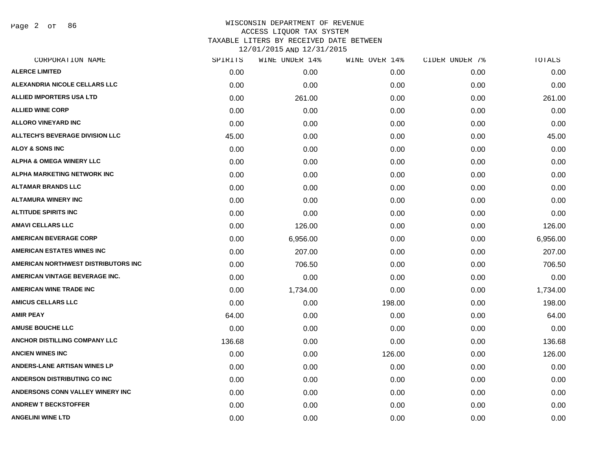Page 2 of 86

| CORPORATION NAME                    | SPIRITS | WINE UNDER 14% | WINE OVER 14% | CIDER UNDER 7% | TOTALS   |
|-------------------------------------|---------|----------------|---------------|----------------|----------|
| <b>ALERCE LIMITED</b>               | 0.00    | 0.00           | 0.00          | 0.00           | 0.00     |
| ALEXANDRIA NICOLE CELLARS LLC       | 0.00    | 0.00           | 0.00          | 0.00           | 0.00     |
| <b>ALLIED IMPORTERS USA LTD</b>     | 0.00    | 261.00         | 0.00          | 0.00           | 261.00   |
| <b>ALLIED WINE CORP</b>             | 0.00    | 0.00           | 0.00          | 0.00           | 0.00     |
| <b>ALLORO VINEYARD INC</b>          | 0.00    | 0.00           | 0.00          | 0.00           | 0.00     |
| ALLTECH'S BEVERAGE DIVISION LLC     | 45.00   | 0.00           | 0.00          | 0.00           | 45.00    |
| <b>ALOY &amp; SONS INC</b>          | 0.00    | 0.00           | 0.00          | 0.00           | 0.00     |
| <b>ALPHA &amp; OMEGA WINERY LLC</b> | 0.00    | 0.00           | 0.00          | 0.00           | 0.00     |
| ALPHA MARKETING NETWORK INC         | 0.00    | 0.00           | 0.00          | 0.00           | 0.00     |
| <b>ALTAMAR BRANDS LLC</b>           | 0.00    | 0.00           | 0.00          | 0.00           | 0.00     |
| <b>ALTAMURA WINERY INC</b>          | 0.00    | 0.00           | 0.00          | 0.00           | 0.00     |
| <b>ALTITUDE SPIRITS INC</b>         | 0.00    | 0.00           | 0.00          | 0.00           | 0.00     |
| <b>AMAVI CELLARS LLC</b>            | 0.00    | 126.00         | 0.00          | 0.00           | 126.00   |
| <b>AMERICAN BEVERAGE CORP</b>       | 0.00    | 6,956.00       | 0.00          | 0.00           | 6,956.00 |
| <b>AMERICAN ESTATES WINES INC</b>   | 0.00    | 207.00         | 0.00          | 0.00           | 207.00   |
| AMERICAN NORTHWEST DISTRIBUTORS INC | 0.00    | 706.50         | 0.00          | 0.00           | 706.50   |
| AMERICAN VINTAGE BEVERAGE INC.      | 0.00    | 0.00           | 0.00          | 0.00           | 0.00     |
| <b>AMERICAN WINE TRADE INC</b>      | 0.00    | 1,734.00       | 0.00          | 0.00           | 1,734.00 |
| <b>AMICUS CELLARS LLC</b>           | 0.00    | 0.00           | 198.00        | 0.00           | 198.00   |
| <b>AMIR PEAY</b>                    | 64.00   | 0.00           | 0.00          | 0.00           | 64.00    |
| <b>AMUSE BOUCHE LLC</b>             | 0.00    | 0.00           | 0.00          | 0.00           | 0.00     |
| ANCHOR DISTILLING COMPANY LLC       | 136.68  | 0.00           | 0.00          | 0.00           | 136.68   |
| <b>ANCIEN WINES INC</b>             | 0.00    | 0.00           | 126.00        | 0.00           | 126.00   |
| <b>ANDERS-LANE ARTISAN WINES LP</b> | 0.00    | 0.00           | 0.00          | 0.00           | 0.00     |
| <b>ANDERSON DISTRIBUTING CO INC</b> | 0.00    | 0.00           | 0.00          | 0.00           | 0.00     |
| ANDERSONS CONN VALLEY WINERY INC    | 0.00    | 0.00           | 0.00          | 0.00           | 0.00     |
| <b>ANDREW T BECKSTOFFER</b>         | 0.00    | 0.00           | 0.00          | 0.00           | 0.00     |
| <b>ANGELINI WINE LTD</b>            | 0.00    | 0.00           | 0.00          | 0.00           | 0.00     |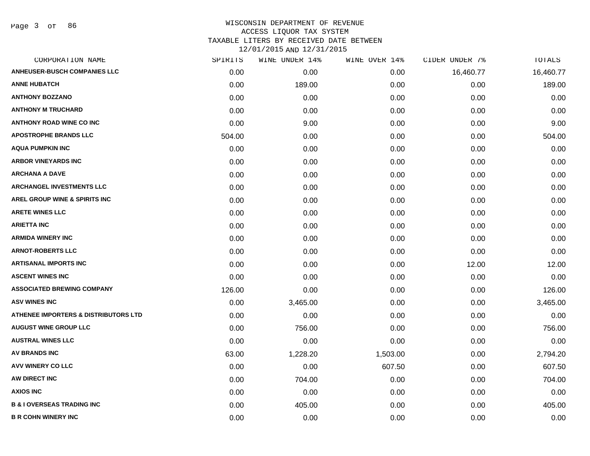Page 3 of 86

| CORPORATION NAME                                | SPIRITS | WINE UNDER 14% | WINE OVER 14% | CIDER UNDER 7% | TOTALS    |
|-------------------------------------------------|---------|----------------|---------------|----------------|-----------|
| <b>ANHEUSER-BUSCH COMPANIES LLC</b>             | 0.00    | 0.00           | 0.00          | 16,460.77      | 16,460.77 |
| <b>ANNE HUBATCH</b>                             | 0.00    | 189.00         | 0.00          | 0.00           | 189.00    |
| <b>ANTHONY BOZZANO</b>                          | 0.00    | 0.00           | 0.00          | 0.00           | 0.00      |
| <b>ANTHONY M TRUCHARD</b>                       | 0.00    | 0.00           | 0.00          | 0.00           | 0.00      |
| <b>ANTHONY ROAD WINE CO INC</b>                 | 0.00    | 9.00           | 0.00          | 0.00           | 9.00      |
| <b>APOSTROPHE BRANDS LLC</b>                    | 504.00  | 0.00           | 0.00          | 0.00           | 504.00    |
| <b>AQUA PUMPKIN INC</b>                         | 0.00    | 0.00           | 0.00          | 0.00           | 0.00      |
| <b>ARBOR VINEYARDS INC</b>                      | 0.00    | 0.00           | 0.00          | 0.00           | 0.00      |
| <b>ARCHANA A DAVE</b>                           | 0.00    | 0.00           | 0.00          | 0.00           | 0.00      |
| ARCHANGEL INVESTMENTS LLC                       | 0.00    | 0.00           | 0.00          | 0.00           | 0.00      |
| AREL GROUP WINE & SPIRITS INC                   | 0.00    | 0.00           | 0.00          | 0.00           | 0.00      |
| <b>ARETE WINES LLC</b>                          | 0.00    | 0.00           | 0.00          | 0.00           | 0.00      |
| <b>ARIETTA INC</b>                              | 0.00    | 0.00           | 0.00          | 0.00           | 0.00      |
| <b>ARMIDA WINERY INC</b>                        | 0.00    | 0.00           | 0.00          | 0.00           | 0.00      |
| <b>ARNOT-ROBERTS LLC</b>                        | 0.00    | 0.00           | 0.00          | 0.00           | 0.00      |
| <b>ARTISANAL IMPORTS INC</b>                    | 0.00    | 0.00           | 0.00          | 12.00          | 12.00     |
| <b>ASCENT WINES INC</b>                         | 0.00    | 0.00           | 0.00          | 0.00           | 0.00      |
| <b>ASSOCIATED BREWING COMPANY</b>               | 126.00  | 0.00           | 0.00          | 0.00           | 126.00    |
| <b>ASV WINES INC</b>                            | 0.00    | 3,465.00       | 0.00          | 0.00           | 3,465.00  |
| <b>ATHENEE IMPORTERS &amp; DISTRIBUTORS LTD</b> | 0.00    | 0.00           | 0.00          | 0.00           | 0.00      |
| <b>AUGUST WINE GROUP LLC</b>                    | 0.00    | 756.00         | 0.00          | 0.00           | 756.00    |
| <b>AUSTRAL WINES LLC</b>                        | 0.00    | 0.00           | 0.00          | 0.00           | 0.00      |
| <b>AV BRANDS INC</b>                            | 63.00   | 1,228.20       | 1,503.00      | 0.00           | 2,794.20  |
| AVV WINERY CO LLC                               | 0.00    | 0.00           | 607.50        | 0.00           | 607.50    |
| AW DIRECT INC                                   | 0.00    | 704.00         | 0.00          | 0.00           | 704.00    |
| <b>AXIOS INC</b>                                | 0.00    | 0.00           | 0.00          | 0.00           | 0.00      |
| <b>B &amp; I OVERSEAS TRADING INC</b>           | 0.00    | 405.00         | 0.00          | 0.00           | 405.00    |
| <b>B R COHN WINERY INC</b>                      | 0.00    | 0.00           | 0.00          | 0.00           | 0.00      |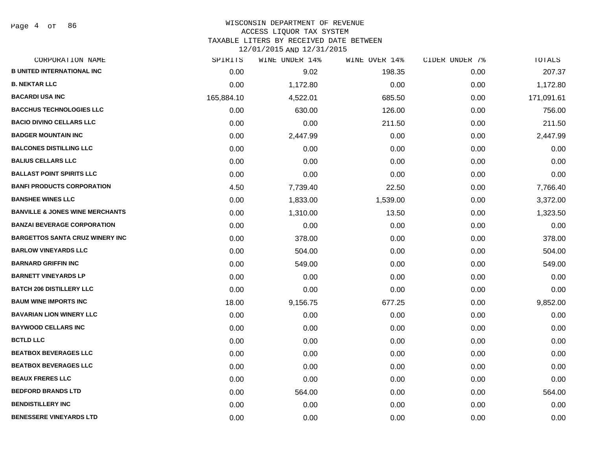Page 4 of 86

| CORPORATION NAME                           | SPIRITS    | WINE UNDER 14% | WINE OVER 14% | CIDER UNDER 7% | TOTALS     |
|--------------------------------------------|------------|----------------|---------------|----------------|------------|
| <b>B UNITED INTERNATIONAL INC</b>          | 0.00       | 9.02           | 198.35        | 0.00           | 207.37     |
| <b>B. NEKTAR LLC</b>                       | 0.00       | 1,172.80       | 0.00          | 0.00           | 1,172.80   |
| <b>BACARDI USA INC</b>                     | 165,884.10 | 4,522.01       | 685.50        | 0.00           | 171,091.61 |
| <b>BACCHUS TECHNOLOGIES LLC</b>            | 0.00       | 630.00         | 126.00        | 0.00           | 756.00     |
| <b>BACIO DIVINO CELLARS LLC</b>            | 0.00       | 0.00           | 211.50        | 0.00           | 211.50     |
| <b>BADGER MOUNTAIN INC</b>                 | 0.00       | 2,447.99       | 0.00          | 0.00           | 2,447.99   |
| <b>BALCONES DISTILLING LLC</b>             | 0.00       | 0.00           | 0.00          | 0.00           | 0.00       |
| <b>BALIUS CELLARS LLC</b>                  | 0.00       | 0.00           | 0.00          | 0.00           | 0.00       |
| <b>BALLAST POINT SPIRITS LLC</b>           | 0.00       | 0.00           | 0.00          | 0.00           | 0.00       |
| <b>BANFI PRODUCTS CORPORATION</b>          | 4.50       | 7,739.40       | 22.50         | 0.00           | 7,766.40   |
| <b>BANSHEE WINES LLC</b>                   | 0.00       | 1,833.00       | 1,539.00      | 0.00           | 3,372.00   |
| <b>BANVILLE &amp; JONES WINE MERCHANTS</b> | 0.00       | 1,310.00       | 13.50         | 0.00           | 1,323.50   |
| <b>BANZAI BEVERAGE CORPORATION</b>         | 0.00       | 0.00           | 0.00          | 0.00           | 0.00       |
| <b>BARGETTOS SANTA CRUZ WINERY INC</b>     | 0.00       | 378.00         | 0.00          | 0.00           | 378.00     |
| <b>BARLOW VINEYARDS LLC</b>                | 0.00       | 504.00         | 0.00          | 0.00           | 504.00     |
| <b>BARNARD GRIFFIN INC</b>                 | 0.00       | 549.00         | 0.00          | 0.00           | 549.00     |
| <b>BARNETT VINEYARDS LP</b>                | 0.00       | 0.00           | 0.00          | 0.00           | 0.00       |
| <b>BATCH 206 DISTILLERY LLC</b>            | 0.00       | 0.00           | 0.00          | 0.00           | 0.00       |
| <b>BAUM WINE IMPORTS INC</b>               | 18.00      | 9,156.75       | 677.25        | 0.00           | 9,852.00   |
| <b>BAVARIAN LION WINERY LLC</b>            | 0.00       | 0.00           | 0.00          | 0.00           | 0.00       |
| <b>BAYWOOD CELLARS INC</b>                 | 0.00       | 0.00           | 0.00          | 0.00           | 0.00       |
| <b>BCTLD LLC</b>                           | 0.00       | 0.00           | 0.00          | 0.00           | 0.00       |
| <b>BEATBOX BEVERAGES LLC</b>               | 0.00       | 0.00           | 0.00          | 0.00           | 0.00       |
| <b>BEATBOX BEVERAGES LLC</b>               | 0.00       | 0.00           | 0.00          | 0.00           | 0.00       |
| <b>BEAUX FRERES LLC</b>                    | 0.00       | 0.00           | 0.00          | 0.00           | 0.00       |
| <b>BEDFORD BRANDS LTD</b>                  | 0.00       | 564.00         | 0.00          | 0.00           | 564.00     |
| <b>BENDISTILLERY INC</b>                   | 0.00       | 0.00           | 0.00          | 0.00           | 0.00       |
| <b>BENESSERE VINEYARDS LTD</b>             | 0.00       | 0.00           | 0.00          | 0.00           | 0.00       |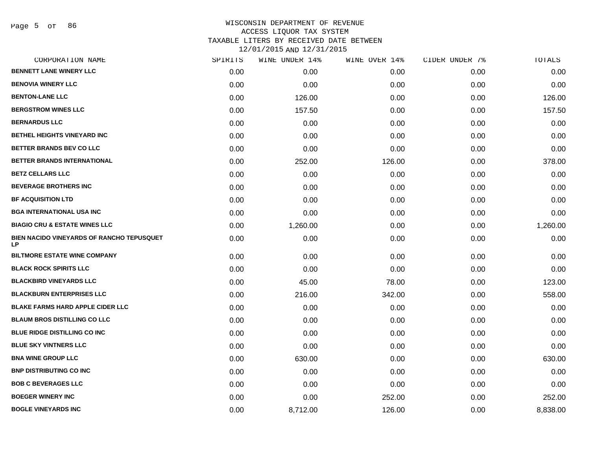| CORPORATION NAME                                       | SPIRITS | WINE UNDER 14% | WINE OVER 14% | CIDER UNDER 7% | <b>TOTALS</b> |
|--------------------------------------------------------|---------|----------------|---------------|----------------|---------------|
| BENNETT LANE WINERY LLC                                | 0.00    | 0.00           | 0.00          | 0.00           | 0.00          |
| <b>BENOVIA WINERY LLC</b>                              | 0.00    | 0.00           | 0.00          | 0.00           | 0.00          |
| <b>BENTON-LANE LLC</b>                                 | 0.00    | 126.00         | 0.00          | 0.00           | 126.00        |
| <b>BERGSTROM WINES LLC</b>                             | 0.00    | 157.50         | 0.00          | 0.00           | 157.50        |
| <b>BERNARDUS LLC</b>                                   | 0.00    | 0.00           | 0.00          | 0.00           | 0.00          |
| <b>BETHEL HEIGHTS VINEYARD INC</b>                     | 0.00    | 0.00           | 0.00          | 0.00           | 0.00          |
| <b>BETTER BRANDS BEV CO LLC</b>                        | 0.00    | 0.00           | 0.00          | 0.00           | 0.00          |
| BETTER BRANDS INTERNATIONAL                            | 0.00    | 252.00         | 126.00        | 0.00           | 378.00        |
| <b>BETZ CELLARS LLC</b>                                | 0.00    | 0.00           | 0.00          | 0.00           | 0.00          |
| <b>BEVERAGE BROTHERS INC</b>                           | 0.00    | 0.00           | 0.00          | 0.00           | 0.00          |
| <b>BF ACQUISITION LTD</b>                              | 0.00    | 0.00           | 0.00          | 0.00           | 0.00          |
| <b>BGA INTERNATIONAL USA INC</b>                       | 0.00    | 0.00           | 0.00          | 0.00           | 0.00          |
| <b>BIAGIO CRU &amp; ESTATE WINES LLC</b>               | 0.00    | 1,260.00       | 0.00          | 0.00           | 1,260.00      |
| BIEN NACIDO VINEYARDS OF RANCHO TEPUSQUET<br><b>LP</b> | 0.00    | 0.00           | 0.00          | 0.00           | 0.00          |
| <b>BILTMORE ESTATE WINE COMPANY</b>                    | 0.00    | 0.00           | 0.00          | 0.00           | 0.00          |
| <b>BLACK ROCK SPIRITS LLC</b>                          | 0.00    | 0.00           | 0.00          | 0.00           | 0.00          |
| <b>BLACKBIRD VINEYARDS LLC</b>                         | 0.00    | 45.00          | 78.00         | 0.00           | 123.00        |
| <b>BLACKBURN ENTERPRISES LLC</b>                       | 0.00    | 216.00         | 342.00        | 0.00           | 558.00        |
| <b>BLAKE FARMS HARD APPLE CIDER LLC</b>                | 0.00    | 0.00           | 0.00          | 0.00           | 0.00          |
| <b>BLAUM BROS DISTILLING CO LLC</b>                    | 0.00    | 0.00           | 0.00          | 0.00           | 0.00          |
| BLUE RIDGE DISTILLING CO INC                           | 0.00    | 0.00           | 0.00          | 0.00           | 0.00          |
| <b>BLUE SKY VINTNERS LLC</b>                           | 0.00    | 0.00           | 0.00          | 0.00           | 0.00          |
| <b>BNA WINE GROUP LLC</b>                              | 0.00    | 630.00         | 0.00          | 0.00           | 630.00        |
| <b>BNP DISTRIBUTING CO INC</b>                         | 0.00    | 0.00           | 0.00          | 0.00           | 0.00          |
| <b>BOB C BEVERAGES LLC</b>                             | 0.00    | 0.00           | 0.00          | 0.00           | 0.00          |
| <b>BOEGER WINERY INC</b>                               | 0.00    | 0.00           | 252.00        | 0.00           | 252.00        |
| <b>BOGLE VINEYARDS INC</b>                             | 0.00    | 8,712.00       | 126.00        | 0.00           | 8,838.00      |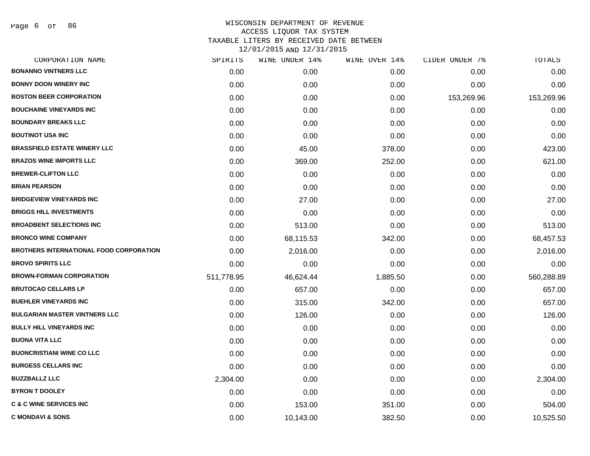Page 6 of 86

| CORPORATION NAME                               | SPIRITS    | WINE UNDER 14% | WINE OVER 14% | CIDER UNDER 7% | TOTALS     |
|------------------------------------------------|------------|----------------|---------------|----------------|------------|
| <b>BONANNO VINTNERS LLC</b>                    | 0.00       | 0.00           | 0.00          | 0.00           | 0.00       |
| <b>BONNY DOON WINERY INC</b>                   | 0.00       | 0.00           | 0.00          | 0.00           | 0.00       |
| <b>BOSTON BEER CORPORATION</b>                 | 0.00       | 0.00           | 0.00          | 153,269.96     | 153,269.96 |
| <b>BOUCHAINE VINEYARDS INC</b>                 | 0.00       | 0.00           | 0.00          | 0.00           | 0.00       |
| <b>BOUNDARY BREAKS LLC</b>                     | 0.00       | 0.00           | 0.00          | 0.00           | 0.00       |
| <b>BOUTINOT USA INC</b>                        | 0.00       | 0.00           | 0.00          | 0.00           | 0.00       |
| <b>BRASSFIELD ESTATE WINERY LLC</b>            | 0.00       | 45.00          | 378.00        | 0.00           | 423.00     |
| <b>BRAZOS WINE IMPORTS LLC</b>                 | 0.00       | 369.00         | 252.00        | 0.00           | 621.00     |
| <b>BREWER-CLIFTON LLC</b>                      | 0.00       | 0.00           | 0.00          | 0.00           | 0.00       |
| <b>BRIAN PEARSON</b>                           | 0.00       | 0.00           | 0.00          | 0.00           | 0.00       |
| <b>BRIDGEVIEW VINEYARDS INC</b>                | 0.00       | 27.00          | 0.00          | 0.00           | 27.00      |
| <b>BRIGGS HILL INVESTMENTS</b>                 | 0.00       | 0.00           | 0.00          | 0.00           | 0.00       |
| <b>BROADBENT SELECTIONS INC</b>                | 0.00       | 513.00         | 0.00          | 0.00           | 513.00     |
| <b>BRONCO WINE COMPANY</b>                     | 0.00       | 68,115.53      | 342.00        | 0.00           | 68,457.53  |
| <b>BROTHERS INTERNATIONAL FOOD CORPORATION</b> | 0.00       | 2,016.00       | 0.00          | 0.00           | 2,016.00   |
| <b>BROVO SPIRITS LLC</b>                       | 0.00       | 0.00           | 0.00          | 0.00           | 0.00       |
| <b>BROWN-FORMAN CORPORATION</b>                | 511,778.95 | 46,624.44      | 1,885.50      | 0.00           | 560,288.89 |
| <b>BRUTOCAO CELLARS LP</b>                     | 0.00       | 657.00         | 0.00          | 0.00           | 657.00     |
| <b>BUEHLER VINEYARDS INC</b>                   | 0.00       | 315.00         | 342.00        | 0.00           | 657.00     |
| <b>BULGARIAN MASTER VINTNERS LLC</b>           | 0.00       | 126.00         | 0.00          | 0.00           | 126.00     |
| <b>BULLY HILL VINEYARDS INC</b>                | 0.00       | 0.00           | 0.00          | 0.00           | 0.00       |
| <b>BUONA VITA LLC</b>                          | 0.00       | 0.00           | 0.00          | 0.00           | 0.00       |
| <b>BUONCRISTIANI WINE CO LLC</b>               | 0.00       | 0.00           | 0.00          | 0.00           | 0.00       |
| <b>BURGESS CELLARS INC</b>                     | 0.00       | 0.00           | 0.00          | 0.00           | 0.00       |
| <b>BUZZBALLZ LLC</b>                           | 2,304.00   | 0.00           | 0.00          | 0.00           | 2,304.00   |
| <b>BYRON T DOOLEY</b>                          | 0.00       | 0.00           | 0.00          | 0.00           | 0.00       |
| <b>C &amp; C WINE SERVICES INC</b>             | 0.00       | 153.00         | 351.00        | 0.00           | 504.00     |
| <b>C MONDAVI &amp; SONS</b>                    | 0.00       | 10,143.00      | 382.50        | 0.00           | 10,525.50  |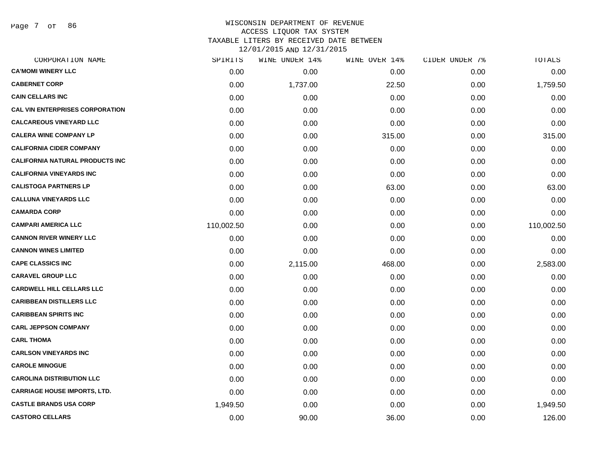Page 7 of 86

# WISCONSIN DEPARTMENT OF REVENUE ACCESS LIQUOR TAX SYSTEM TAXABLE LITERS BY RECEIVED DATE BETWEEN

| CORPORATION NAME                       | SPIRITS    | WINE UNDER 14% | WINE OVER 14% | CIDER UNDER 7% | TOTALS     |
|----------------------------------------|------------|----------------|---------------|----------------|------------|
| <b>CA'MOMI WINERY LLC</b>              | 0.00       | 0.00           | 0.00          | 0.00           | 0.00       |
| <b>CABERNET CORP</b>                   | 0.00       | 1,737.00       | 22.50         | 0.00           | 1,759.50   |
| <b>CAIN CELLARS INC</b>                | 0.00       | 0.00           | 0.00          | 0.00           | 0.00       |
| <b>CAL VIN ENTERPRISES CORPORATION</b> | 0.00       | 0.00           | 0.00          | 0.00           | 0.00       |
| <b>CALCAREOUS VINEYARD LLC</b>         | 0.00       | 0.00           | 0.00          | 0.00           | 0.00       |
| <b>CALERA WINE COMPANY LP</b>          | 0.00       | 0.00           | 315.00        | 0.00           | 315.00     |
| <b>CALIFORNIA CIDER COMPANY</b>        | 0.00       | 0.00           | 0.00          | 0.00           | 0.00       |
| <b>CALIFORNIA NATURAL PRODUCTS INC</b> | 0.00       | 0.00           | 0.00          | 0.00           | 0.00       |
| <b>CALIFORNIA VINEYARDS INC</b>        | 0.00       | 0.00           | 0.00          | 0.00           | 0.00       |
| <b>CALISTOGA PARTNERS LP</b>           | 0.00       | 0.00           | 63.00         | 0.00           | 63.00      |
| <b>CALLUNA VINEYARDS LLC</b>           | 0.00       | 0.00           | 0.00          | 0.00           | 0.00       |
| <b>CAMARDA CORP</b>                    | 0.00       | 0.00           | 0.00          | 0.00           | 0.00       |
| <b>CAMPARI AMERICA LLC</b>             | 110,002.50 | 0.00           | 0.00          | 0.00           | 110,002.50 |
| <b>CANNON RIVER WINERY LLC</b>         | 0.00       | 0.00           | 0.00          | 0.00           | 0.00       |
| <b>CANNON WINES LIMITED</b>            | 0.00       | 0.00           | 0.00          | 0.00           | 0.00       |
| <b>CAPE CLASSICS INC</b>               | 0.00       | 2,115.00       | 468.00        | 0.00           | 2,583.00   |
| <b>CARAVEL GROUP LLC</b>               | 0.00       | 0.00           | 0.00          | 0.00           | 0.00       |
| <b>CARDWELL HILL CELLARS LLC</b>       | 0.00       | 0.00           | 0.00          | 0.00           | 0.00       |
| <b>CARIBBEAN DISTILLERS LLC</b>        | 0.00       | 0.00           | 0.00          | 0.00           | 0.00       |
| <b>CARIBBEAN SPIRITS INC</b>           | 0.00       | 0.00           | 0.00          | 0.00           | 0.00       |
| <b>CARL JEPPSON COMPANY</b>            | 0.00       | 0.00           | 0.00          | 0.00           | 0.00       |
| <b>CARL THOMA</b>                      | 0.00       | 0.00           | 0.00          | 0.00           | 0.00       |
| <b>CARLSON VINEYARDS INC</b>           | 0.00       | 0.00           | 0.00          | 0.00           | 0.00       |
| <b>CAROLE MINOGUE</b>                  | 0.00       | 0.00           | 0.00          | 0.00           | 0.00       |
| <b>CAROLINA DISTRIBUTION LLC</b>       | 0.00       | 0.00           | 0.00          | 0.00           | 0.00       |
| <b>CARRIAGE HOUSE IMPORTS, LTD.</b>    | 0.00       | 0.00           | 0.00          | 0.00           | 0.00       |
| <b>CASTLE BRANDS USA CORP</b>          | 1,949.50   | 0.00           | 0.00          | 0.00           | 1,949.50   |
| <b>CASTORO CELLARS</b>                 | 0.00       | 90.00          | 36.00         | 0.00           | 126.00     |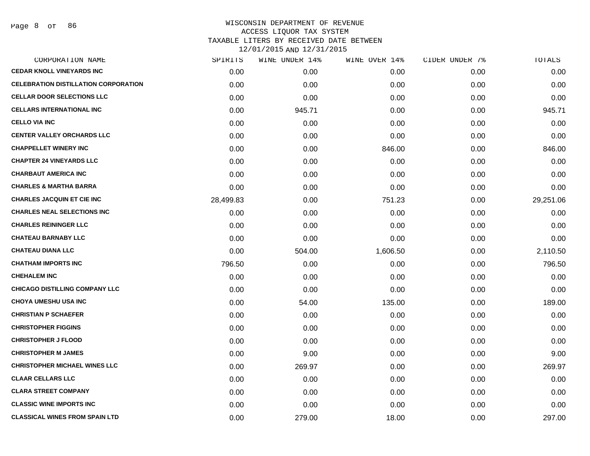| CORPORATION NAME                            | SPIRITS   | WINE UNDER 14% | WINE OVER 14% | CIDER UNDER 7% | TOTALS    |
|---------------------------------------------|-----------|----------------|---------------|----------------|-----------|
| <b>CEDAR KNOLL VINEYARDS INC</b>            | 0.00      | 0.00           | 0.00          | 0.00           | 0.00      |
| <b>CELEBRATION DISTILLATION CORPORATION</b> | 0.00      | 0.00           | 0.00          | 0.00           | 0.00      |
| <b>CELLAR DOOR SELECTIONS LLC</b>           | 0.00      | 0.00           | 0.00          | 0.00           | 0.00      |
| <b>CELLARS INTERNATIONAL INC</b>            | 0.00      | 945.71         | 0.00          | 0.00           | 945.71    |
| <b>CELLO VIA INC</b>                        | 0.00      | 0.00           | 0.00          | 0.00           | 0.00      |
| <b>CENTER VALLEY ORCHARDS LLC</b>           | 0.00      | 0.00           | 0.00          | 0.00           | 0.00      |
| <b>CHAPPELLET WINERY INC</b>                | 0.00      | 0.00           | 846.00        | 0.00           | 846.00    |
| <b>CHAPTER 24 VINEYARDS LLC</b>             | 0.00      | 0.00           | 0.00          | 0.00           | 0.00      |
| <b>CHARBAUT AMERICA INC</b>                 | 0.00      | 0.00           | 0.00          | 0.00           | 0.00      |
| <b>CHARLES &amp; MARTHA BARRA</b>           | 0.00      | 0.00           | 0.00          | 0.00           | 0.00      |
| <b>CHARLES JACQUIN ET CIE INC</b>           | 28,499.83 | 0.00           | 751.23        | 0.00           | 29,251.06 |
| <b>CHARLES NEAL SELECTIONS INC</b>          | 0.00      | 0.00           | 0.00          | 0.00           | 0.00      |
| <b>CHARLES REININGER LLC</b>                | 0.00      | 0.00           | 0.00          | 0.00           | 0.00      |
| <b>CHATEAU BARNABY LLC</b>                  | 0.00      | 0.00           | 0.00          | 0.00           | 0.00      |
| <b>CHATEAU DIANA LLC</b>                    | 0.00      | 504.00         | 1,606.50      | 0.00           | 2,110.50  |
| <b>CHATHAM IMPORTS INC</b>                  | 796.50    | 0.00           | 0.00          | 0.00           | 796.50    |
| <b>CHEHALEM INC</b>                         | 0.00      | 0.00           | 0.00          | 0.00           | 0.00      |
| <b>CHICAGO DISTILLING COMPANY LLC</b>       | 0.00      | 0.00           | 0.00          | 0.00           | 0.00      |
| <b>CHOYA UMESHU USA INC</b>                 | 0.00      | 54.00          | 135.00        | 0.00           | 189.00    |
| <b>CHRISTIAN P SCHAEFER</b>                 | 0.00      | 0.00           | 0.00          | 0.00           | 0.00      |
| <b>CHRISTOPHER FIGGINS</b>                  | 0.00      | 0.00           | 0.00          | 0.00           | 0.00      |
| <b>CHRISTOPHER J FLOOD</b>                  | 0.00      | 0.00           | 0.00          | 0.00           | 0.00      |
| <b>CHRISTOPHER M JAMES</b>                  | 0.00      | 9.00           | 0.00          | 0.00           | 9.00      |
| <b>CHRISTOPHER MICHAEL WINES LLC</b>        | 0.00      | 269.97         | 0.00          | 0.00           | 269.97    |
| <b>CLAAR CELLARS LLC</b>                    | 0.00      | 0.00           | 0.00          | 0.00           | 0.00      |
| <b>CLARA STREET COMPANY</b>                 | 0.00      | 0.00           | 0.00          | 0.00           | 0.00      |
| <b>CLASSIC WINE IMPORTS INC</b>             | 0.00      | 0.00           | 0.00          | 0.00           | 0.00      |
| <b>CLASSICAL WINES FROM SPAIN LTD</b>       | 0.00      | 279.00         | 18.00         | 0.00           | 297.00    |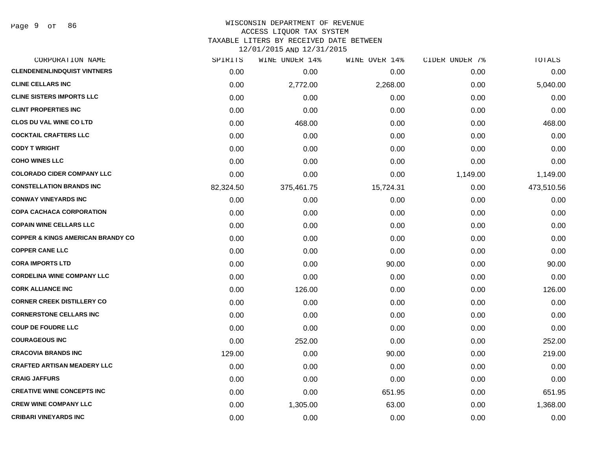# WISCONSIN DEPARTMENT OF REVENUE ACCESS LIQUOR TAX SYSTEM TAXABLE LITERS BY RECEIVED DATE BETWEEN

| CORPORATION NAME                             | SPIRITS   | WINE UNDER 14% | WINE OVER 14% | CIDER UNDER 7% | TOTALS     |
|----------------------------------------------|-----------|----------------|---------------|----------------|------------|
| <b>CLENDENENLINDQUIST VINTNERS</b>           | 0.00      | 0.00           | 0.00          | 0.00           | 0.00       |
| <b>CLINE CELLARS INC</b>                     | 0.00      | 2,772.00       | 2,268.00      | 0.00           | 5,040.00   |
| <b>CLINE SISTERS IMPORTS LLC</b>             | 0.00      | 0.00           | 0.00          | 0.00           | 0.00       |
| <b>CLINT PROPERTIES INC</b>                  | 0.00      | 0.00           | 0.00          | 0.00           | 0.00       |
| <b>CLOS DU VAL WINE CO LTD</b>               | 0.00      | 468.00         | 0.00          | 0.00           | 468.00     |
| <b>COCKTAIL CRAFTERS LLC</b>                 | 0.00      | 0.00           | 0.00          | 0.00           | 0.00       |
| <b>CODY T WRIGHT</b>                         | 0.00      | 0.00           | 0.00          | 0.00           | 0.00       |
| <b>COHO WINES LLC</b>                        | 0.00      | 0.00           | 0.00          | 0.00           | 0.00       |
| <b>COLORADO CIDER COMPANY LLC</b>            | 0.00      | 0.00           | 0.00          | 1,149.00       | 1,149.00   |
| <b>CONSTELLATION BRANDS INC</b>              | 82,324.50 | 375,461.75     | 15,724.31     | 0.00           | 473,510.56 |
| <b>CONWAY VINEYARDS INC</b>                  | 0.00      | 0.00           | 0.00          | 0.00           | 0.00       |
| <b>COPA CACHACA CORPORATION</b>              | 0.00      | 0.00           | 0.00          | 0.00           | 0.00       |
| <b>COPAIN WINE CELLARS LLC</b>               | 0.00      | 0.00           | 0.00          | 0.00           | 0.00       |
| <b>COPPER &amp; KINGS AMERICAN BRANDY CO</b> | 0.00      | 0.00           | 0.00          | 0.00           | 0.00       |
| <b>COPPER CANE LLC</b>                       | 0.00      | 0.00           | 0.00          | 0.00           | 0.00       |
| <b>CORA IMPORTS LTD</b>                      | 0.00      | 0.00           | 90.00         | 0.00           | 90.00      |
| <b>CORDELINA WINE COMPANY LLC</b>            | 0.00      | 0.00           | 0.00          | 0.00           | 0.00       |
| <b>CORK ALLIANCE INC</b>                     | 0.00      | 126.00         | 0.00          | 0.00           | 126.00     |
| <b>CORNER CREEK DISTILLERY CO</b>            | 0.00      | 0.00           | 0.00          | 0.00           | 0.00       |
| <b>CORNERSTONE CELLARS INC</b>               | 0.00      | 0.00           | 0.00          | 0.00           | 0.00       |
| <b>COUP DE FOUDRE LLC</b>                    | 0.00      | 0.00           | 0.00          | 0.00           | 0.00       |
| <b>COURAGEOUS INC</b>                        | 0.00      | 252.00         | 0.00          | 0.00           | 252.00     |
| <b>CRACOVIA BRANDS INC</b>                   | 129.00    | 0.00           | 90.00         | 0.00           | 219.00     |
| <b>CRAFTED ARTISAN MEADERY LLC</b>           | 0.00      | 0.00           | 0.00          | 0.00           | 0.00       |
| <b>CRAIG JAFFURS</b>                         | 0.00      | 0.00           | 0.00          | 0.00           | 0.00       |
| <b>CREATIVE WINE CONCEPTS INC</b>            | 0.00      | 0.00           | 651.95        | 0.00           | 651.95     |
| <b>CREW WINE COMPANY LLC</b>                 | 0.00      | 1,305.00       | 63.00         | 0.00           | 1,368.00   |
| <b>CRIBARI VINEYARDS INC</b>                 | 0.00      | 0.00           | 0.00          | 0.00           | 0.00       |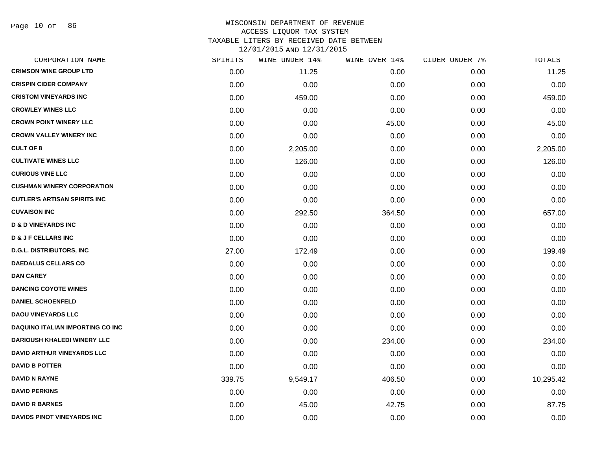Page 10 of 86

## WISCONSIN DEPARTMENT OF REVENUE ACCESS LIQUOR TAX SYSTEM TAXABLE LITERS BY RECEIVED DATE BETWEEN

| CORPORATION NAME                        | SPIRITS | WINE UNDER 14% | WINE OVER 14% | CIDER UNDER 7% | TOTALS    |
|-----------------------------------------|---------|----------------|---------------|----------------|-----------|
| <b>CRIMSON WINE GROUP LTD</b>           | 0.00    | 11.25          | 0.00          | 0.00           | 11.25     |
| <b>CRISPIN CIDER COMPANY</b>            | 0.00    | 0.00           | 0.00          | 0.00           | 0.00      |
| <b>CRISTOM VINEYARDS INC</b>            | 0.00    | 459.00         | 0.00          | 0.00           | 459.00    |
| <b>CROWLEY WINES LLC</b>                | 0.00    | 0.00           | 0.00          | 0.00           | 0.00      |
| <b>CROWN POINT WINERY LLC</b>           | 0.00    | 0.00           | 45.00         | 0.00           | 45.00     |
| <b>CROWN VALLEY WINERY INC</b>          | 0.00    | 0.00           | 0.00          | 0.00           | 0.00      |
| <b>CULT OF 8</b>                        | 0.00    | 2,205.00       | 0.00          | 0.00           | 2,205.00  |
| <b>CULTIVATE WINES LLC</b>              | 0.00    | 126.00         | 0.00          | 0.00           | 126.00    |
| <b>CURIOUS VINE LLC</b>                 | 0.00    | 0.00           | 0.00          | 0.00           | 0.00      |
| <b>CUSHMAN WINERY CORPORATION</b>       | 0.00    | 0.00           | 0.00          | 0.00           | 0.00      |
| <b>CUTLER'S ARTISAN SPIRITS INC</b>     | 0.00    | 0.00           | 0.00          | 0.00           | 0.00      |
| <b>CUVAISON INC</b>                     | 0.00    | 292.50         | 364.50        | 0.00           | 657.00    |
| <b>D &amp; D VINEYARDS INC</b>          | 0.00    | 0.00           | 0.00          | 0.00           | 0.00      |
| <b>D &amp; J F CELLARS INC</b>          | 0.00    | 0.00           | 0.00          | 0.00           | 0.00      |
| <b>D.G.L. DISTRIBUTORS, INC</b>         | 27.00   | 172.49         | 0.00          | 0.00           | 199.49    |
| <b>DAEDALUS CELLARS CO</b>              | 0.00    | 0.00           | 0.00          | 0.00           | 0.00      |
| <b>DAN CAREY</b>                        | 0.00    | 0.00           | 0.00          | 0.00           | 0.00      |
| <b>DANCING COYOTE WINES</b>             | 0.00    | 0.00           | 0.00          | 0.00           | 0.00      |
| <b>DANIEL SCHOENFELD</b>                | 0.00    | 0.00           | 0.00          | 0.00           | 0.00      |
| <b>DAOU VINEYARDS LLC</b>               | 0.00    | 0.00           | 0.00          | 0.00           | 0.00      |
| <b>DAQUINO ITALIAN IMPORTING CO INC</b> | 0.00    | 0.00           | 0.00          | 0.00           | 0.00      |
| <b>DARIOUSH KHALEDI WINERY LLC</b>      | 0.00    | 0.00           | 234.00        | 0.00           | 234.00    |
| <b>DAVID ARTHUR VINEYARDS LLC</b>       | 0.00    | 0.00           | 0.00          | 0.00           | 0.00      |
| <b>DAVID B POTTER</b>                   | 0.00    | 0.00           | 0.00          | 0.00           | 0.00      |
| <b>DAVID N RAYNE</b>                    | 339.75  | 9,549.17       | 406.50        | 0.00           | 10,295.42 |
| <b>DAVID PERKINS</b>                    | 0.00    | 0.00           | 0.00          | 0.00           | 0.00      |
| <b>DAVID R BARNES</b>                   | 0.00    | 45.00          | 42.75         | 0.00           | 87.75     |
| <b>DAVIDS PINOT VINEYARDS INC</b>       | 0.00    | 0.00           | 0.00          | 0.00           | 0.00      |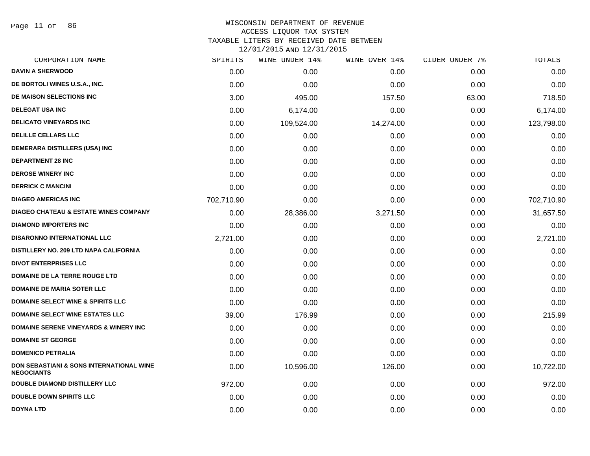Page 11 of 86

## WISCONSIN DEPARTMENT OF REVENUE ACCESS LIQUOR TAX SYSTEM TAXABLE LITERS BY RECEIVED DATE BETWEEN

| CORPORATION NAME                                                         | SPIRITS    | WINE UNDER 14% | WINE OVER 14% | CIDER UNDER 7% | TOTALS     |
|--------------------------------------------------------------------------|------------|----------------|---------------|----------------|------------|
| <b>DAVIN A SHERWOOD</b>                                                  | 0.00       | 0.00           | 0.00          | 0.00           | 0.00       |
| DE BORTOLI WINES U.S.A., INC.                                            | 0.00       | 0.00           | 0.00          | 0.00           | 0.00       |
| DE MAISON SELECTIONS INC                                                 | 3.00       | 495.00         | 157.50        | 63.00          | 718.50     |
| <b>DELEGAT USA INC</b>                                                   | 0.00       | 6,174.00       | 0.00          | 0.00           | 6,174.00   |
| <b>DELICATO VINEYARDS INC</b>                                            | 0.00       | 109,524.00     | 14,274.00     | 0.00           | 123,798.00 |
| <b>DELILLE CELLARS LLC</b>                                               | 0.00       | 0.00           | 0.00          | 0.00           | 0.00       |
| <b>DEMERARA DISTILLERS (USA) INC</b>                                     | 0.00       | 0.00           | 0.00          | 0.00           | 0.00       |
| <b>DEPARTMENT 28 INC</b>                                                 | 0.00       | 0.00           | 0.00          | 0.00           | 0.00       |
| <b>DEROSE WINERY INC</b>                                                 | 0.00       | 0.00           | 0.00          | 0.00           | 0.00       |
| <b>DERRICK C MANCINI</b>                                                 | 0.00       | 0.00           | 0.00          | 0.00           | 0.00       |
| <b>DIAGEO AMERICAS INC</b>                                               | 702,710.90 | 0.00           | 0.00          | 0.00           | 702,710.90 |
| <b>DIAGEO CHATEAU &amp; ESTATE WINES COMPANY</b>                         | 0.00       | 28,386.00      | 3,271.50      | 0.00           | 31,657.50  |
| <b>DIAMOND IMPORTERS INC</b>                                             | 0.00       | 0.00           | 0.00          | 0.00           | 0.00       |
| <b>DISARONNO INTERNATIONAL LLC</b>                                       | 2,721.00   | 0.00           | 0.00          | 0.00           | 2,721.00   |
| DISTILLERY NO. 209 LTD NAPA CALIFORNIA                                   | 0.00       | 0.00           | 0.00          | 0.00           | 0.00       |
| <b>DIVOT ENTERPRISES LLC</b>                                             | 0.00       | 0.00           | 0.00          | 0.00           | 0.00       |
| <b>DOMAINE DE LA TERRE ROUGE LTD</b>                                     | 0.00       | 0.00           | 0.00          | 0.00           | 0.00       |
| <b>DOMAINE DE MARIA SOTER LLC</b>                                        | 0.00       | 0.00           | 0.00          | 0.00           | 0.00       |
| <b>DOMAINE SELECT WINE &amp; SPIRITS LLC</b>                             | 0.00       | 0.00           | 0.00          | 0.00           | 0.00       |
| <b>DOMAINE SELECT WINE ESTATES LLC</b>                                   | 39.00      | 176.99         | 0.00          | 0.00           | 215.99     |
| <b>DOMAINE SERENE VINEYARDS &amp; WINERY INC</b>                         | 0.00       | 0.00           | 0.00          | 0.00           | 0.00       |
| <b>DOMAINE ST GEORGE</b>                                                 | 0.00       | 0.00           | 0.00          | 0.00           | 0.00       |
| <b>DOMENICO PETRALIA</b>                                                 | 0.00       | 0.00           | 0.00          | 0.00           | 0.00       |
| <b>DON SEBASTIANI &amp; SONS INTERNATIONAL WINE</b><br><b>NEGOCIANTS</b> | 0.00       | 10,596.00      | 126.00        | 0.00           | 10,722.00  |
| <b>DOUBLE DIAMOND DISTILLERY LLC</b>                                     | 972.00     | 0.00           | 0.00          | 0.00           | 972.00     |
| <b>DOUBLE DOWN SPIRITS LLC</b>                                           | 0.00       | 0.00           | 0.00          | 0.00           | 0.00       |
| <b>DOYNA LTD</b>                                                         | 0.00       | 0.00           | 0.00          | 0.00           | 0.00       |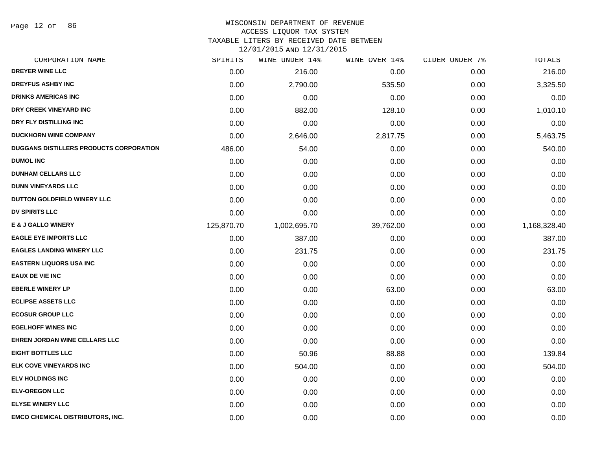Page 12 of 86

#### WISCONSIN DEPARTMENT OF REVENUE ACCESS LIQUOR TAX SYSTEM

TAXABLE LITERS BY RECEIVED DATE BETWEEN

| CORPORATION NAME                        | SPIRITS    | WINE UNDER 14% | WINE OVER 14% | CIDER UNDER 7% | TOTALS       |
|-----------------------------------------|------------|----------------|---------------|----------------|--------------|
| <b>DREYER WINE LLC</b>                  | 0.00       | 216.00         | 0.00          | 0.00           | 216.00       |
| <b>DREYFUS ASHBY INC</b>                | 0.00       | 2,790.00       | 535.50        | 0.00           | 3,325.50     |
| <b>DRINKS AMERICAS INC</b>              | 0.00       | 0.00           | 0.00          | 0.00           | 0.00         |
| DRY CREEK VINEYARD INC                  | 0.00       | 882.00         | 128.10        | 0.00           | 1,010.10     |
| DRY FLY DISTILLING INC                  | 0.00       | 0.00           | 0.00          | 0.00           | 0.00         |
| <b>DUCKHORN WINE COMPANY</b>            | 0.00       | 2,646.00       | 2,817.75      | 0.00           | 5,463.75     |
| DUGGANS DISTILLERS PRODUCTS CORPORATION | 486.00     | 54.00          | 0.00          | 0.00           | 540.00       |
| <b>DUMOL INC</b>                        | 0.00       | 0.00           | 0.00          | 0.00           | 0.00         |
| <b>DUNHAM CELLARS LLC</b>               | 0.00       | 0.00           | 0.00          | 0.00           | 0.00         |
| <b>DUNN VINEYARDS LLC</b>               | 0.00       | 0.00           | 0.00          | 0.00           | 0.00         |
| DUTTON GOLDFIELD WINERY LLC             | 0.00       | 0.00           | 0.00          | 0.00           | 0.00         |
| <b>DV SPIRITS LLC</b>                   | 0.00       | 0.00           | 0.00          | 0.00           | 0.00         |
| <b>E &amp; J GALLO WINERY</b>           | 125,870.70 | 1,002,695.70   | 39,762.00     | 0.00           | 1,168,328.40 |
| <b>EAGLE EYE IMPORTS LLC</b>            | 0.00       | 387.00         | 0.00          | 0.00           | 387.00       |
| <b>EAGLES LANDING WINERY LLC</b>        | 0.00       | 231.75         | 0.00          | 0.00           | 231.75       |
| <b>EASTERN LIQUORS USA INC</b>          | 0.00       | 0.00           | 0.00          | 0.00           | 0.00         |
| <b>EAUX DE VIE INC</b>                  | 0.00       | 0.00           | 0.00          | 0.00           | 0.00         |
| <b>EBERLE WINERY LP</b>                 | 0.00       | 0.00           | 63.00         | 0.00           | 63.00        |
| <b>ECLIPSE ASSETS LLC</b>               | 0.00       | 0.00           | 0.00          | 0.00           | 0.00         |
| <b>ECOSUR GROUP LLC</b>                 | 0.00       | 0.00           | 0.00          | 0.00           | 0.00         |
| <b>EGELHOFF WINES INC</b>               | 0.00       | 0.00           | 0.00          | 0.00           | 0.00         |
| EHREN JORDAN WINE CELLARS LLC           | 0.00       | 0.00           | 0.00          | 0.00           | 0.00         |
| <b>EIGHT BOTTLES LLC</b>                | 0.00       | 50.96          | 88.88         | 0.00           | 139.84       |
| ELK COVE VINEYARDS INC                  | 0.00       | 504.00         | 0.00          | 0.00           | 504.00       |
| <b>ELV HOLDINGS INC</b>                 | 0.00       | 0.00           | 0.00          | 0.00           | 0.00         |
| <b>ELV-OREGON LLC</b>                   | 0.00       | 0.00           | 0.00          | 0.00           | 0.00         |
| <b>ELYSE WINERY LLC</b>                 | 0.00       | 0.00           | 0.00          | 0.00           | 0.00         |
| <b>EMCO CHEMICAL DISTRIBUTORS, INC.</b> | 0.00       | 0.00           | 0.00          | 0.00           | 0.00         |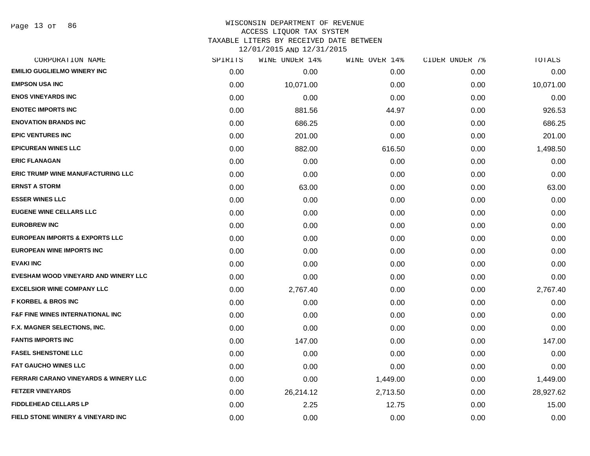#### WISCONSIN DEPARTMENT OF REVENUE ACCESS LIQUOR TAX SYSTEM TAXABLE LITERS BY RECEIVED DATE BETWEEN

| CORPORATION NAME                                 | SPIRITS | WINE UNDER 14% | WINE OVER 14% | CIDER UNDER 7% | TOTALS    |
|--------------------------------------------------|---------|----------------|---------------|----------------|-----------|
| <b>EMILIO GUGLIELMO WINERY INC</b>               | 0.00    | 0.00           | 0.00          | 0.00           | 0.00      |
| <b>EMPSON USA INC</b>                            | 0.00    | 10,071.00      | 0.00          | 0.00           | 10,071.00 |
| <b>ENOS VINEYARDS INC</b>                        | 0.00    | 0.00           | 0.00          | 0.00           | 0.00      |
| <b>ENOTEC IMPORTS INC</b>                        | 0.00    | 881.56         | 44.97         | 0.00           | 926.53    |
| <b>ENOVATION BRANDS INC</b>                      | 0.00    | 686.25         | 0.00          | 0.00           | 686.25    |
| <b>EPIC VENTURES INC</b>                         | 0.00    | 201.00         | 0.00          | 0.00           | 201.00    |
| <b>EPICUREAN WINES LLC</b>                       | 0.00    | 882.00         | 616.50        | 0.00           | 1,498.50  |
| <b>ERIC FLANAGAN</b>                             | 0.00    | 0.00           | 0.00          | 0.00           | 0.00      |
| ERIC TRUMP WINE MANUFACTURING LLC                | 0.00    | 0.00           | 0.00          | 0.00           | 0.00      |
| <b>ERNST A STORM</b>                             | 0.00    | 63.00          | 0.00          | 0.00           | 63.00     |
| <b>ESSER WINES LLC</b>                           | 0.00    | 0.00           | 0.00          | 0.00           | 0.00      |
| <b>EUGENE WINE CELLARS LLC</b>                   | 0.00    | 0.00           | 0.00          | 0.00           | 0.00      |
| <b>EUROBREW INC</b>                              | 0.00    | 0.00           | 0.00          | 0.00           | 0.00      |
| <b>EUROPEAN IMPORTS &amp; EXPORTS LLC</b>        | 0.00    | 0.00           | 0.00          | 0.00           | 0.00      |
| <b>EUROPEAN WINE IMPORTS INC</b>                 | 0.00    | 0.00           | 0.00          | 0.00           | 0.00      |
| <b>EVAKI INC</b>                                 | 0.00    | 0.00           | 0.00          | 0.00           | 0.00      |
| EVESHAM WOOD VINEYARD AND WINERY LLC             | 0.00    | 0.00           | 0.00          | 0.00           | 0.00      |
| <b>EXCELSIOR WINE COMPANY LLC</b>                | 0.00    | 2,767.40       | 0.00          | 0.00           | 2,767.40  |
| <b>F KORBEL &amp; BROS INC</b>                   | 0.00    | 0.00           | 0.00          | 0.00           | 0.00      |
| <b>F&amp;F FINE WINES INTERNATIONAL INC</b>      | 0.00    | 0.00           | 0.00          | 0.00           | 0.00      |
| F.X. MAGNER SELECTIONS, INC.                     | 0.00    | 0.00           | 0.00          | 0.00           | 0.00      |
| <b>FANTIS IMPORTS INC</b>                        | 0.00    | 147.00         | 0.00          | 0.00           | 147.00    |
| <b>FASEL SHENSTONE LLC</b>                       | 0.00    | 0.00           | 0.00          | 0.00           | 0.00      |
| <b>FAT GAUCHO WINES LLC</b>                      | 0.00    | 0.00           | 0.00          | 0.00           | 0.00      |
| <b>FERRARI CARANO VINEYARDS &amp; WINERY LLC</b> | 0.00    | 0.00           | 1,449.00      | 0.00           | 1,449.00  |
| <b>FETZER VINEYARDS</b>                          | 0.00    | 26,214.12      | 2,713.50      | 0.00           | 28,927.62 |
| <b>FIDDLEHEAD CELLARS LP</b>                     | 0.00    | 2.25           | 12.75         | 0.00           | 15.00     |
| FIELD STONE WINERY & VINEYARD INC                | 0.00    | 0.00           | 0.00          | 0.00           | 0.00      |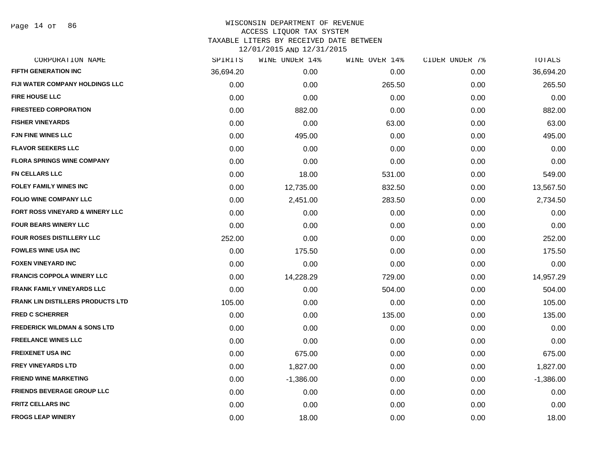Page 14 of 86

# WISCONSIN DEPARTMENT OF REVENUE ACCESS LIQUOR TAX SYSTEM

TAXABLE LITERS BY RECEIVED DATE BETWEEN

| CORPORATION NAME                           | SPIRITS   | WINE UNDER 14% | WINE OVER 14% | CIDER UNDER 7% | TOTALS      |
|--------------------------------------------|-----------|----------------|---------------|----------------|-------------|
| <b>FIFTH GENERATION INC</b>                | 36,694.20 | 0.00           | 0.00          | 0.00           | 36,694.20   |
| <b>FIJI WATER COMPANY HOLDINGS LLC</b>     | 0.00      | 0.00           | 265.50        | 0.00           | 265.50      |
| <b>FIRE HOUSE LLC</b>                      | 0.00      | 0.00           | 0.00          | 0.00           | 0.00        |
| <b>FIRESTEED CORPORATION</b>               | 0.00      | 882.00         | 0.00          | 0.00           | 882.00      |
| <b>FISHER VINEYARDS</b>                    | 0.00      | 0.00           | 63.00         | 0.00           | 63.00       |
| <b>FJN FINE WINES LLC</b>                  | 0.00      | 495.00         | 0.00          | 0.00           | 495.00      |
| <b>FLAVOR SEEKERS LLC</b>                  | 0.00      | 0.00           | 0.00          | 0.00           | 0.00        |
| <b>FLORA SPRINGS WINE COMPANY</b>          | 0.00      | 0.00           | 0.00          | 0.00           | 0.00        |
| <b>FN CELLARS LLC</b>                      | 0.00      | 18.00          | 531.00        | 0.00           | 549.00      |
| FOLEY FAMILY WINES INC                     | 0.00      | 12,735.00      | 832.50        | 0.00           | 13,567.50   |
| <b>FOLIO WINE COMPANY LLC</b>              | 0.00      | 2,451.00       | 283.50        | 0.00           | 2,734.50    |
| <b>FORT ROSS VINEYARD &amp; WINERY LLC</b> | 0.00      | 0.00           | 0.00          | 0.00           | 0.00        |
| <b>FOUR BEARS WINERY LLC</b>               | 0.00      | 0.00           | 0.00          | 0.00           | 0.00        |
| <b>FOUR ROSES DISTILLERY LLC</b>           | 252.00    | 0.00           | 0.00          | 0.00           | 252.00      |
| <b>FOWLES WINE USA INC</b>                 | 0.00      | 175.50         | 0.00          | 0.00           | 175.50      |
| <b>FOXEN VINEYARD INC</b>                  | 0.00      | 0.00           | 0.00          | 0.00           | 0.00        |
| <b>FRANCIS COPPOLA WINERY LLC</b>          | 0.00      | 14,228.29      | 729.00        | 0.00           | 14,957.29   |
| <b>FRANK FAMILY VINEYARDS LLC</b>          | 0.00      | 0.00           | 504.00        | 0.00           | 504.00      |
| <b>FRANK LIN DISTILLERS PRODUCTS LTD</b>   | 105.00    | 0.00           | 0.00          | 0.00           | 105.00      |
| <b>FRED C SCHERRER</b>                     | 0.00      | 0.00           | 135.00        | 0.00           | 135.00      |
| <b>FREDERICK WILDMAN &amp; SONS LTD</b>    | 0.00      | 0.00           | 0.00          | 0.00           | 0.00        |
| <b>FREELANCE WINES LLC</b>                 | 0.00      | 0.00           | 0.00          | 0.00           | 0.00        |
| <b>FREIXENET USA INC</b>                   | 0.00      | 675.00         | 0.00          | 0.00           | 675.00      |
| <b>FREY VINEYARDS LTD</b>                  | 0.00      | 1,827.00       | 0.00          | 0.00           | 1,827.00    |
| <b>FRIEND WINE MARKETING</b>               | 0.00      | $-1,386.00$    | 0.00          | 0.00           | $-1,386.00$ |
| FRIENDS BEVERAGE GROUP LLC                 | 0.00      | 0.00           | 0.00          | 0.00           | 0.00        |
| <b>FRITZ CELLARS INC</b>                   | 0.00      | 0.00           | 0.00          | 0.00           | 0.00        |
| <b>FROGS LEAP WINERY</b>                   | 0.00      | 18.00          | 0.00          | 0.00           | 18.00       |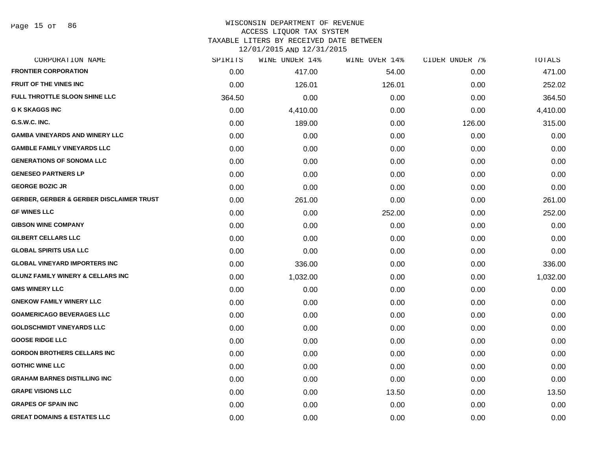| CORPORATION NAME                                    | SPIRITS | WINE UNDER 14% | WINE OVER 14% | CIDER UNDER 7% | TOTALS   |
|-----------------------------------------------------|---------|----------------|---------------|----------------|----------|
| <b>FRONTIER CORPORATION</b>                         | 0.00    | 417.00         | 54.00         | 0.00           | 471.00   |
| <b>FRUIT OF THE VINES INC</b>                       | 0.00    | 126.01         | 126.01        | 0.00           | 252.02   |
| <b>FULL THROTTLE SLOON SHINE LLC</b>                | 364.50  | 0.00           | 0.00          | 0.00           | 364.50   |
| <b>G K SKAGGS INC</b>                               | 0.00    | 4,410.00       | 0.00          | 0.00           | 4,410.00 |
| G.S.W.C. INC.                                       | 0.00    | 189.00         | 0.00          | 126.00         | 315.00   |
| <b>GAMBA VINEYARDS AND WINERY LLC</b>               | 0.00    | 0.00           | 0.00          | 0.00           | 0.00     |
| <b>GAMBLE FAMILY VINEYARDS LLC</b>                  | 0.00    | 0.00           | 0.00          | 0.00           | 0.00     |
| <b>GENERATIONS OF SONOMA LLC</b>                    | 0.00    | 0.00           | 0.00          | 0.00           | 0.00     |
| <b>GENESEO PARTNERS LP</b>                          | 0.00    | 0.00           | 0.00          | 0.00           | 0.00     |
| <b>GEORGE BOZIC JR</b>                              | 0.00    | 0.00           | 0.00          | 0.00           | 0.00     |
| <b>GERBER, GERBER &amp; GERBER DISCLAIMER TRUST</b> | 0.00    | 261.00         | 0.00          | 0.00           | 261.00   |
| <b>GF WINES LLC</b>                                 | 0.00    | 0.00           | 252.00        | 0.00           | 252.00   |
| <b>GIBSON WINE COMPANY</b>                          | 0.00    | 0.00           | 0.00          | 0.00           | 0.00     |
| <b>GILBERT CELLARS LLC</b>                          | 0.00    | 0.00           | 0.00          | 0.00           | 0.00     |
| <b>GLOBAL SPIRITS USA LLC</b>                       | 0.00    | 0.00           | 0.00          | 0.00           | 0.00     |
| <b>GLOBAL VINEYARD IMPORTERS INC</b>                | 0.00    | 336.00         | 0.00          | 0.00           | 336.00   |
| <b>GLUNZ FAMILY WINERY &amp; CELLARS INC</b>        | 0.00    | 1,032.00       | 0.00          | 0.00           | 1,032.00 |
| <b>GMS WINERY LLC</b>                               | 0.00    | 0.00           | 0.00          | 0.00           | 0.00     |
| <b>GNEKOW FAMILY WINERY LLC</b>                     | 0.00    | 0.00           | 0.00          | 0.00           | 0.00     |
| <b>GOAMERICAGO BEVERAGES LLC</b>                    | 0.00    | 0.00           | 0.00          | 0.00           | 0.00     |
| <b>GOLDSCHMIDT VINEYARDS LLC</b>                    | 0.00    | 0.00           | 0.00          | 0.00           | 0.00     |
| <b>GOOSE RIDGE LLC</b>                              | 0.00    | 0.00           | 0.00          | 0.00           | 0.00     |
| <b>GORDON BROTHERS CELLARS INC</b>                  | 0.00    | 0.00           | 0.00          | 0.00           | 0.00     |
| <b>GOTHIC WINE LLC</b>                              | 0.00    | 0.00           | 0.00          | 0.00           | 0.00     |
| <b>GRAHAM BARNES DISTILLING INC</b>                 | 0.00    | 0.00           | 0.00          | 0.00           | 0.00     |
| <b>GRAPE VISIONS LLC</b>                            | 0.00    | 0.00           | 13.50         | 0.00           | 13.50    |
| <b>GRAPES OF SPAIN INC</b>                          | 0.00    | 0.00           | 0.00          | 0.00           | 0.00     |
| <b>GREAT DOMAINS &amp; ESTATES LLC</b>              | 0.00    | 0.00           | 0.00          | 0.00           | 0.00     |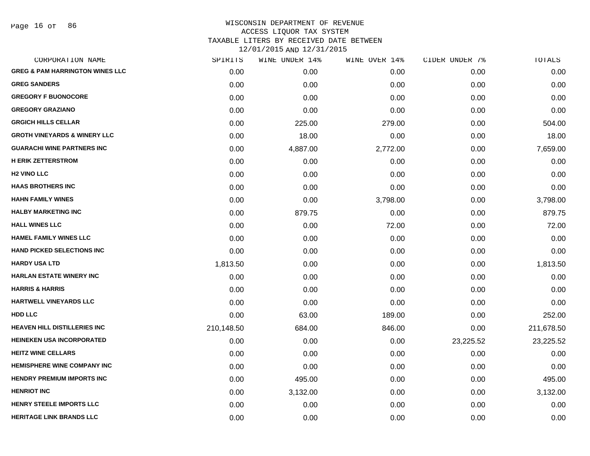Page 16 of 86

| CORPORATION NAME                           | SPIRITS    | WINE UNDER 14% | WINE OVER 14% | CIDER UNDER 7% | TOTALS     |
|--------------------------------------------|------------|----------------|---------------|----------------|------------|
| <b>GREG &amp; PAM HARRINGTON WINES LLC</b> | 0.00       | 0.00           | 0.00          | 0.00           | 0.00       |
| <b>GREG SANDERS</b>                        | 0.00       | 0.00           | 0.00          | 0.00           | 0.00       |
| <b>GREGORY F BUONOCORE</b>                 | 0.00       | 0.00           | 0.00          | 0.00           | 0.00       |
| <b>GREGORY GRAZIANO</b>                    | 0.00       | 0.00           | 0.00          | 0.00           | 0.00       |
| <b>GRGICH HILLS CELLAR</b>                 | 0.00       | 225.00         | 279.00        | 0.00           | 504.00     |
| <b>GROTH VINEYARDS &amp; WINERY LLC</b>    | 0.00       | 18.00          | 0.00          | 0.00           | 18.00      |
| <b>GUARACHI WINE PARTNERS INC</b>          | 0.00       | 4,887.00       | 2,772.00      | 0.00           | 7,659.00   |
| <b>H ERIK ZETTERSTROM</b>                  | 0.00       | 0.00           | 0.00          | 0.00           | 0.00       |
| <b>H2 VINO LLC</b>                         | 0.00       | 0.00           | 0.00          | 0.00           | 0.00       |
| <b>HAAS BROTHERS INC</b>                   | 0.00       | 0.00           | 0.00          | 0.00           | 0.00       |
| <b>HAHN FAMILY WINES</b>                   | 0.00       | 0.00           | 3,798.00      | 0.00           | 3,798.00   |
| <b>HALBY MARKETING INC</b>                 | 0.00       | 879.75         | 0.00          | 0.00           | 879.75     |
| <b>HALL WINES LLC</b>                      | 0.00       | 0.00           | 72.00         | 0.00           | 72.00      |
| <b>HAMEL FAMILY WINES LLC</b>              | 0.00       | 0.00           | 0.00          | 0.00           | 0.00       |
| <b>HAND PICKED SELECTIONS INC.</b>         | 0.00       | 0.00           | 0.00          | 0.00           | 0.00       |
| <b>HARDY USA LTD</b>                       | 1,813.50   | 0.00           | 0.00          | 0.00           | 1,813.50   |
| HARLAN ESTATE WINERY INC                   | 0.00       | 0.00           | 0.00          | 0.00           | 0.00       |
| <b>HARRIS &amp; HARRIS</b>                 | 0.00       | 0.00           | 0.00          | 0.00           | 0.00       |
| HARTWELL VINEYARDS LLC                     | 0.00       | 0.00           | 0.00          | 0.00           | 0.00       |
| HDD LLC                                    | 0.00       | 63.00          | 189.00        | 0.00           | 252.00     |
| <b>HEAVEN HILL DISTILLERIES INC</b>        | 210,148.50 | 684.00         | 846.00        | 0.00           | 211,678.50 |
| <b>HEINEKEN USA INCORPORATED</b>           | 0.00       | 0.00           | 0.00          | 23,225.52      | 23,225.52  |
| <b>HEITZ WINE CELLARS</b>                  | 0.00       | 0.00           | 0.00          | 0.00           | 0.00       |
| <b>HEMISPHERE WINE COMPANY INC</b>         | 0.00       | 0.00           | 0.00          | 0.00           | 0.00       |
| <b>HENDRY PREMIUM IMPORTS INC</b>          | 0.00       | 495.00         | 0.00          | 0.00           | 495.00     |
| <b>HENRIOT INC</b>                         | 0.00       | 3,132.00       | 0.00          | 0.00           | 3,132.00   |
| <b>HENRY STEELE IMPORTS LLC</b>            | 0.00       | 0.00           | 0.00          | 0.00           | 0.00       |
| <b>HERITAGE LINK BRANDS LLC</b>            | 0.00       | 0.00           | 0.00          | 0.00           | 0.00       |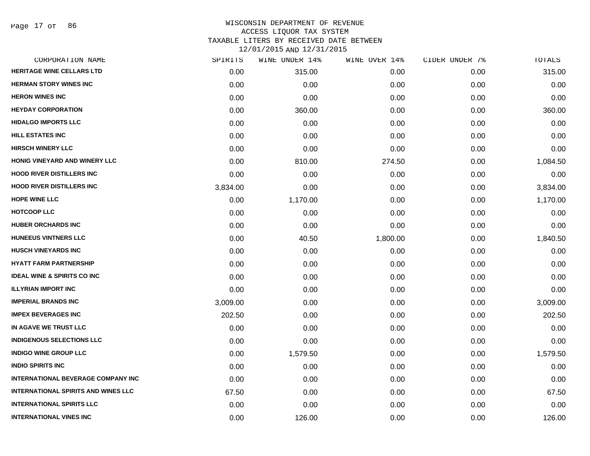Page 17 of 86

# WISCONSIN DEPARTMENT OF REVENUE ACCESS LIQUOR TAX SYSTEM TAXABLE LITERS BY RECEIVED DATE BETWEEN

| CORPORATION NAME                           | SPIRITS  | WINE UNDER 14% | WINE OVER 14% | CIDER UNDER 7% | TOTALS   |
|--------------------------------------------|----------|----------------|---------------|----------------|----------|
| <b>HERITAGE WINE CELLARS LTD</b>           | 0.00     | 315.00         | 0.00          | 0.00           | 315.00   |
| <b>HERMAN STORY WINES INC</b>              | 0.00     | 0.00           | 0.00          | 0.00           | 0.00     |
| <b>HERON WINES INC</b>                     | 0.00     | 0.00           | 0.00          | 0.00           | 0.00     |
| <b>HEYDAY CORPORATION</b>                  | 0.00     | 360.00         | 0.00          | 0.00           | 360.00   |
| <b>HIDALGO IMPORTS LLC</b>                 | 0.00     | 0.00           | 0.00          | 0.00           | 0.00     |
| <b>HILL ESTATES INC</b>                    | 0.00     | 0.00           | 0.00          | 0.00           | 0.00     |
| <b>HIRSCH WINERY LLC</b>                   | 0.00     | 0.00           | 0.00          | 0.00           | 0.00     |
| HONIG VINEYARD AND WINERY LLC              | 0.00     | 810.00         | 274.50        | 0.00           | 1,084.50 |
| <b>HOOD RIVER DISTILLERS INC</b>           | 0.00     | 0.00           | 0.00          | 0.00           | 0.00     |
| <b>HOOD RIVER DISTILLERS INC</b>           | 3,834.00 | 0.00           | 0.00          | 0.00           | 3,834.00 |
| <b>HOPE WINE LLC</b>                       | 0.00     | 1,170.00       | 0.00          | 0.00           | 1,170.00 |
| <b>HOTCOOP LLC</b>                         | 0.00     | 0.00           | 0.00          | 0.00           | 0.00     |
| <b>HUBER ORCHARDS INC</b>                  | 0.00     | 0.00           | 0.00          | 0.00           | 0.00     |
| <b>HUNEEUS VINTNERS LLC</b>                | 0.00     | 40.50          | 1,800.00      | 0.00           | 1,840.50 |
| <b>HUSCH VINEYARDS INC</b>                 | 0.00     | 0.00           | 0.00          | 0.00           | 0.00     |
| <b>HYATT FARM PARTNERSHIP</b>              | 0.00     | 0.00           | 0.00          | 0.00           | 0.00     |
| <b>IDEAL WINE &amp; SPIRITS CO INC</b>     | 0.00     | 0.00           | 0.00          | 0.00           | 0.00     |
| <b>ILLYRIAN IMPORT INC</b>                 | 0.00     | 0.00           | 0.00          | 0.00           | 0.00     |
| <b>IMPERIAL BRANDS INC</b>                 | 3,009.00 | 0.00           | 0.00          | 0.00           | 3,009.00 |
| <b>IMPEX BEVERAGES INC</b>                 | 202.50   | 0.00           | 0.00          | 0.00           | 202.50   |
| IN AGAVE WE TRUST LLC                      | 0.00     | 0.00           | 0.00          | 0.00           | 0.00     |
| <b>INDIGENOUS SELECTIONS LLC</b>           | 0.00     | 0.00           | 0.00          | 0.00           | 0.00     |
| <b>INDIGO WINE GROUP LLC</b>               | 0.00     | 1,579.50       | 0.00          | 0.00           | 1,579.50 |
| <b>INDIO SPIRITS INC</b>                   | 0.00     | 0.00           | 0.00          | 0.00           | 0.00     |
| <b>INTERNATIONAL BEVERAGE COMPANY INC</b>  | 0.00     | 0.00           | 0.00          | 0.00           | 0.00     |
| <b>INTERNATIONAL SPIRITS AND WINES LLC</b> | 67.50    | 0.00           | 0.00          | 0.00           | 67.50    |
| <b>INTERNATIONAL SPIRITS LLC</b>           | 0.00     | 0.00           | 0.00          | 0.00           | 0.00     |
| <b>INTERNATIONAL VINES INC</b>             | 0.00     | 126.00         | 0.00          | 0.00           | 126.00   |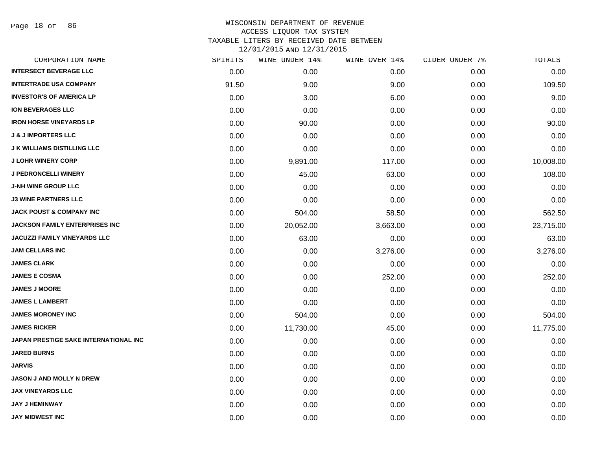Page 18 of 86

| CORPORATION NAME                      | SPIRITS | WINE UNDER 14% | WINE OVER 14% | CIDER UNDER 7% | TOTALS    |
|---------------------------------------|---------|----------------|---------------|----------------|-----------|
| <b>INTERSECT BEVERAGE LLC</b>         | 0.00    | 0.00           | 0.00          | 0.00           | 0.00      |
| <b>INTERTRADE USA COMPANY</b>         | 91.50   | 9.00           | 9.00          | 0.00           | 109.50    |
| <b>INVESTOR'S OF AMERICA LP</b>       | 0.00    | 3.00           | 6.00          | 0.00           | 9.00      |
| <b>ION BEVERAGES LLC</b>              | 0.00    | 0.00           | 0.00          | 0.00           | 0.00      |
| <b>IRON HORSE VINEYARDS LP</b>        | 0.00    | 90.00          | 0.00          | 0.00           | 90.00     |
| <b>J &amp; J IMPORTERS LLC</b>        | 0.00    | 0.00           | 0.00          | 0.00           | 0.00      |
| <b>J K WILLIAMS DISTILLING LLC</b>    | 0.00    | 0.00           | 0.00          | 0.00           | 0.00      |
| <b>J LOHR WINERY CORP</b>             | 0.00    | 9,891.00       | 117.00        | 0.00           | 10,008.00 |
| <b>J PEDRONCELLI WINERY</b>           | 0.00    | 45.00          | 63.00         | 0.00           | 108.00    |
| <b>J-NH WINE GROUP LLC</b>            | 0.00    | 0.00           | 0.00          | 0.00           | 0.00      |
| <b>J3 WINE PARTNERS LLC</b>           | 0.00    | 0.00           | 0.00          | 0.00           | 0.00      |
| <b>JACK POUST &amp; COMPANY INC</b>   | 0.00    | 504.00         | 58.50         | 0.00           | 562.50    |
| <b>JACKSON FAMILY ENTERPRISES INC</b> | 0.00    | 20,052.00      | 3,663.00      | 0.00           | 23,715.00 |
| <b>JACUZZI FAMILY VINEYARDS LLC</b>   | 0.00    | 63.00          | 0.00          | 0.00           | 63.00     |
| <b>JAM CELLARS INC</b>                | 0.00    | 0.00           | 3,276.00      | 0.00           | 3,276.00  |
| <b>JAMES CLARK</b>                    | 0.00    | 0.00           | 0.00          | 0.00           | 0.00      |
| <b>JAMES E COSMA</b>                  | 0.00    | 0.00           | 252.00        | 0.00           | 252.00    |
| <b>JAMES J MOORE</b>                  | 0.00    | 0.00           | 0.00          | 0.00           | 0.00      |
| <b>JAMES L LAMBERT</b>                | 0.00    | 0.00           | 0.00          | 0.00           | 0.00      |
| <b>JAMES MORONEY INC</b>              | 0.00    | 504.00         | 0.00          | 0.00           | 504.00    |
| <b>JAMES RICKER</b>                   | 0.00    | 11,730.00      | 45.00         | 0.00           | 11,775.00 |
| JAPAN PRESTIGE SAKE INTERNATIONAL INC | 0.00    | 0.00           | 0.00          | 0.00           | 0.00      |
| <b>JARED BURNS</b>                    | 0.00    | 0.00           | 0.00          | 0.00           | 0.00      |
| <b>JARVIS</b>                         | 0.00    | 0.00           | 0.00          | 0.00           | 0.00      |
| JASON J AND MOLLY N DREW              | 0.00    | 0.00           | 0.00          | 0.00           | 0.00      |
| <b>JAX VINEYARDS LLC</b>              | 0.00    | 0.00           | 0.00          | 0.00           | 0.00      |
| <b>JAY J HEMINWAY</b>                 | 0.00    | 0.00           | 0.00          | 0.00           | 0.00      |
| <b>JAY MIDWEST INC</b>                | 0.00    | 0.00           | 0.00          | 0.00           | 0.00      |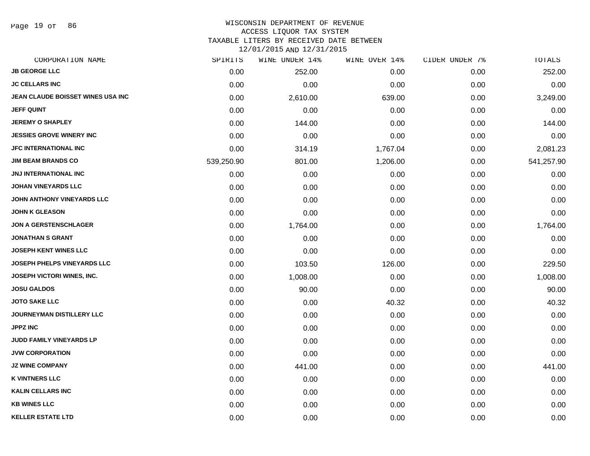Page 19 of 86

### WISCONSIN DEPARTMENT OF REVENUE ACCESS LIQUOR TAX SYSTEM TAXABLE LITERS BY RECEIVED DATE BETWEEN

| CORPORATION NAME                   | SPIRITS    | WINE UNDER 14% | WINE OVER 14% | CIDER UNDER 7% | TOTALS     |
|------------------------------------|------------|----------------|---------------|----------------|------------|
| <b>JB GEORGE LLC</b>               | 0.00       | 252.00         | 0.00          | 0.00           | 252.00     |
| <b>JC CELLARS INC</b>              | 0.00       | 0.00           | 0.00          | 0.00           | 0.00       |
| JEAN CLAUDE BOISSET WINES USA INC  | 0.00       | 2,610.00       | 639.00        | 0.00           | 3,249.00   |
| <b>JEFF QUINT</b>                  | 0.00       | 0.00           | 0.00          | 0.00           | 0.00       |
| <b>JEREMY O SHAPLEY</b>            | 0.00       | 144.00         | 0.00          | 0.00           | 144.00     |
| <b>JESSIES GROVE WINERY INC</b>    | 0.00       | 0.00           | 0.00          | 0.00           | 0.00       |
| <b>JFC INTERNATIONAL INC</b>       | 0.00       | 314.19         | 1,767.04      | 0.00           | 2,081.23   |
| <b>JIM BEAM BRANDS CO</b>          | 539,250.90 | 801.00         | 1,206.00      | 0.00           | 541,257.90 |
| <b>JNJ INTERNATIONAL INC</b>       | 0.00       | 0.00           | 0.00          | 0.00           | 0.00       |
| <b>JOHAN VINEYARDS LLC</b>         | 0.00       | 0.00           | 0.00          | 0.00           | 0.00       |
| JOHN ANTHONY VINEYARDS LLC         | 0.00       | 0.00           | 0.00          | 0.00           | 0.00       |
| <b>JOHN K GLEASON</b>              | 0.00       | 0.00           | 0.00          | 0.00           | 0.00       |
| <b>JON A GERSTENSCHLAGER</b>       | 0.00       | 1,764.00       | 0.00          | 0.00           | 1,764.00   |
| JONATHAN S GRANT                   | 0.00       | 0.00           | 0.00          | 0.00           | 0.00       |
| <b>JOSEPH KENT WINES LLC</b>       | 0.00       | 0.00           | 0.00          | 0.00           | 0.00       |
| <b>JOSEPH PHELPS VINEYARDS LLC</b> | 0.00       | 103.50         | 126.00        | 0.00           | 229.50     |
| <b>JOSEPH VICTORI WINES, INC.</b>  | 0.00       | 1,008.00       | 0.00          | 0.00           | 1,008.00   |
| <b>JOSU GALDOS</b>                 | 0.00       | 90.00          | 0.00          | 0.00           | 90.00      |
| <b>JOTO SAKE LLC</b>               | 0.00       | 0.00           | 40.32         | 0.00           | 40.32      |
| <b>JOURNEYMAN DISTILLERY LLC</b>   | 0.00       | 0.00           | 0.00          | 0.00           | 0.00       |
| <b>JPPZ INC</b>                    | 0.00       | 0.00           | 0.00          | 0.00           | 0.00       |
| JUDD FAMILY VINEYARDS LP           | 0.00       | 0.00           | 0.00          | 0.00           | 0.00       |
| <b>JVW CORPORATION</b>             | 0.00       | 0.00           | 0.00          | 0.00           | 0.00       |
| <b>JZ WINE COMPANY</b>             | 0.00       | 441.00         | 0.00          | 0.00           | 441.00     |
| <b>K VINTNERS LLC</b>              | 0.00       | 0.00           | 0.00          | 0.00           | 0.00       |
| <b>KALIN CELLARS INC</b>           | 0.00       | 0.00           | 0.00          | 0.00           | 0.00       |
| <b>KB WINES LLC</b>                | 0.00       | 0.00           | 0.00          | 0.00           | 0.00       |
| <b>KELLER ESTATE LTD</b>           | 0.00       | 0.00           | 0.00          | 0.00           | 0.00       |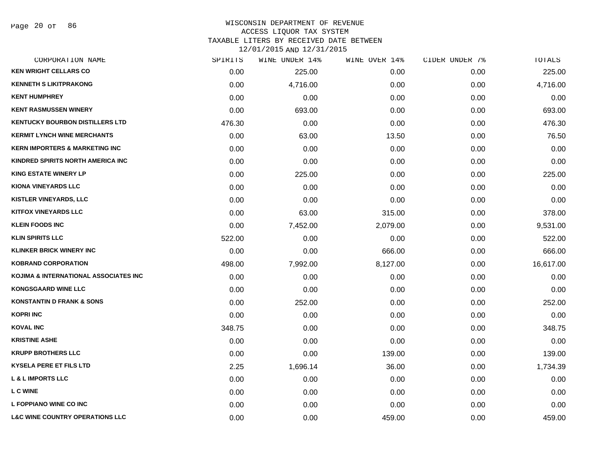Page 20 of 86

# WISCONSIN DEPARTMENT OF REVENUE ACCESS LIQUOR TAX SYSTEM TAXABLE LITERS BY RECEIVED DATE BETWEEN

| CORPORATION NAME                           | SPIRITS | WINE UNDER 14% | WINE OVER 14% | CIDER UNDER 7% | TOTALS    |
|--------------------------------------------|---------|----------------|---------------|----------------|-----------|
| <b>KEN WRIGHT CELLARS CO</b>               | 0.00    | 225.00         | 0.00          | 0.00           | 225.00    |
| <b>KENNETH S LIKITPRAKONG</b>              | 0.00    | 4,716.00       | 0.00          | 0.00           | 4,716.00  |
| <b>KENT HUMPHREY</b>                       | 0.00    | 0.00           | 0.00          | 0.00           | 0.00      |
| <b>KENT RASMUSSEN WINERY</b>               | 0.00    | 693.00         | 0.00          | 0.00           | 693.00    |
| <b>KENTUCKY BOURBON DISTILLERS LTD</b>     | 476.30  | 0.00           | 0.00          | 0.00           | 476.30    |
| <b>KERMIT LYNCH WINE MERCHANTS</b>         | 0.00    | 63.00          | 13.50         | 0.00           | 76.50     |
| <b>KERN IMPORTERS &amp; MARKETING INC</b>  | 0.00    | 0.00           | 0.00          | 0.00           | 0.00      |
| KINDRED SPIRITS NORTH AMERICA INC.         | 0.00    | 0.00           | 0.00          | 0.00           | 0.00      |
| <b>KING ESTATE WINERY LP</b>               | 0.00    | 225.00         | 0.00          | 0.00           | 225.00    |
| <b>KIONA VINEYARDS LLC</b>                 | 0.00    | 0.00           | 0.00          | 0.00           | 0.00      |
| <b>KISTLER VINEYARDS, LLC</b>              | 0.00    | 0.00           | 0.00          | 0.00           | 0.00      |
| <b>KITFOX VINEYARDS LLC</b>                | 0.00    | 63.00          | 315.00        | 0.00           | 378.00    |
| <b>KLEIN FOODS INC</b>                     | 0.00    | 7,452.00       | 2,079.00      | 0.00           | 9,531.00  |
| <b>KLIN SPIRITS LLC</b>                    | 522.00  | 0.00           | 0.00          | 0.00           | 522.00    |
| <b>KLINKER BRICK WINERY INC</b>            | 0.00    | 0.00           | 666.00        | 0.00           | 666.00    |
| <b>KOBRAND CORPORATION</b>                 | 498.00  | 7,992.00       | 8,127.00      | 0.00           | 16,617.00 |
| KOJIMA & INTERNATIONAL ASSOCIATES INC      | 0.00    | 0.00           | 0.00          | 0.00           | 0.00      |
| <b>KONGSGAARD WINE LLC</b>                 | 0.00    | 0.00           | 0.00          | 0.00           | 0.00      |
| <b>KONSTANTIN D FRANK &amp; SONS</b>       | 0.00    | 252.00         | 0.00          | 0.00           | 252.00    |
| <b>KOPRI INC</b>                           | 0.00    | 0.00           | 0.00          | 0.00           | 0.00      |
| <b>KOVAL INC</b>                           | 348.75  | 0.00           | 0.00          | 0.00           | 348.75    |
| <b>KRISTINE ASHE</b>                       | 0.00    | 0.00           | 0.00          | 0.00           | 0.00      |
| <b>KRUPP BROTHERS LLC</b>                  | 0.00    | 0.00           | 139.00        | 0.00           | 139.00    |
| <b>KYSELA PERE ET FILS LTD</b>             | 2.25    | 1,696.14       | 36.00         | 0.00           | 1,734.39  |
| <b>L &amp; L IMPORTS LLC</b>               | 0.00    | 0.00           | 0.00          | 0.00           | 0.00      |
| <b>L C WINE</b>                            | 0.00    | 0.00           | 0.00          | 0.00           | 0.00      |
| L FOPPIANO WINE CO INC                     | 0.00    | 0.00           | 0.00          | 0.00           | 0.00      |
| <b>L&amp;C WINE COUNTRY OPERATIONS LLC</b> | 0.00    | 0.00           | 459.00        | 0.00           | 459.00    |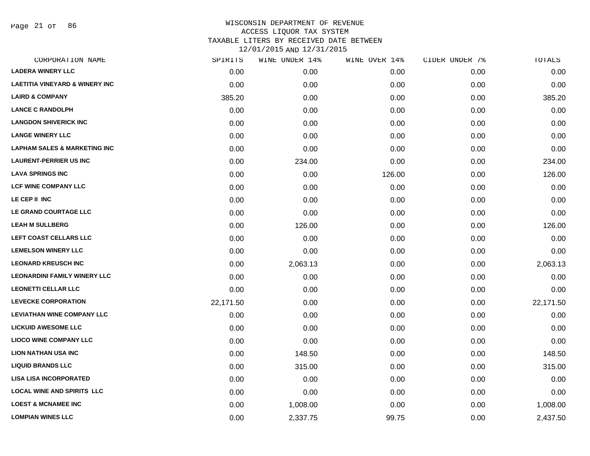Page 21 of 86

| CORPORATION NAME                          | SPIRITS   | WINE UNDER 14% | WINE OVER 14% | CIDER UNDER 7% | TOTALS    |
|-------------------------------------------|-----------|----------------|---------------|----------------|-----------|
| <b>LADERA WINERY LLC</b>                  | 0.00      | 0.00           | 0.00          | 0.00           | 0.00      |
| <b>LAETITIA VINEYARD &amp; WINERY INC</b> | 0.00      | 0.00           | 0.00          | 0.00           | 0.00      |
| <b>LAIRD &amp; COMPANY</b>                | 385.20    | 0.00           | 0.00          | 0.00           | 385.20    |
| <b>LANCE C RANDOLPH</b>                   | 0.00      | 0.00           | 0.00          | 0.00           | 0.00      |
| <b>LANGDON SHIVERICK INC</b>              | 0.00      | 0.00           | 0.00          | 0.00           | 0.00      |
| <b>LANGE WINERY LLC</b>                   | 0.00      | 0.00           | 0.00          | 0.00           | 0.00      |
| <b>LAPHAM SALES &amp; MARKETING INC</b>   | 0.00      | 0.00           | 0.00          | 0.00           | 0.00      |
| <b>LAURENT-PERRIER US INC</b>             | 0.00      | 234.00         | 0.00          | 0.00           | 234.00    |
| <b>LAVA SPRINGS INC</b>                   | 0.00      | 0.00           | 126.00        | 0.00           | 126.00    |
| <b>LCF WINE COMPANY LLC</b>               | 0.00      | 0.00           | 0.00          | 0.00           | 0.00      |
| LE CEP II INC                             | 0.00      | 0.00           | 0.00          | 0.00           | 0.00      |
| LE GRAND COURTAGE LLC                     | 0.00      | 0.00           | 0.00          | 0.00           | 0.00      |
| <b>LEAH M SULLBERG</b>                    | 0.00      | 126.00         | 0.00          | 0.00           | 126.00    |
| LEFT COAST CELLARS LLC                    | 0.00      | 0.00           | 0.00          | 0.00           | 0.00      |
| <b>LEMELSON WINERY LLC</b>                | 0.00      | 0.00           | 0.00          | 0.00           | 0.00      |
| <b>LEONARD KREUSCH INC</b>                | 0.00      | 2,063.13       | 0.00          | 0.00           | 2,063.13  |
| <b>LEONARDINI FAMILY WINERY LLC</b>       | 0.00      | 0.00           | 0.00          | 0.00           | 0.00      |
| <b>LEONETTI CELLAR LLC</b>                | 0.00      | 0.00           | 0.00          | 0.00           | 0.00      |
| <b>LEVECKE CORPORATION</b>                | 22,171.50 | 0.00           | 0.00          | 0.00           | 22,171.50 |
| <b>LEVIATHAN WINE COMPANY LLC</b>         | 0.00      | 0.00           | 0.00          | 0.00           | 0.00      |
| <b>LICKUID AWESOME LLC</b>                | 0.00      | 0.00           | 0.00          | 0.00           | 0.00      |
| <b>LIOCO WINE COMPANY LLC</b>             | 0.00      | 0.00           | 0.00          | 0.00           | 0.00      |
| <b>LION NATHAN USA INC</b>                | 0.00      | 148.50         | 0.00          | 0.00           | 148.50    |
| <b>LIQUID BRANDS LLC</b>                  | 0.00      | 315.00         | 0.00          | 0.00           | 315.00    |
| <b>LISA LISA INCORPORATED</b>             | 0.00      | 0.00           | 0.00          | 0.00           | 0.00      |
| <b>LOCAL WINE AND SPIRITS LLC</b>         | 0.00      | 0.00           | 0.00          | 0.00           | 0.00      |
| <b>LOEST &amp; MCNAMEE INC</b>            | 0.00      | 1,008.00       | 0.00          | 0.00           | 1,008.00  |
| <b>LOMPIAN WINES LLC</b>                  | 0.00      | 2,337.75       | 99.75         | 0.00           | 2,437.50  |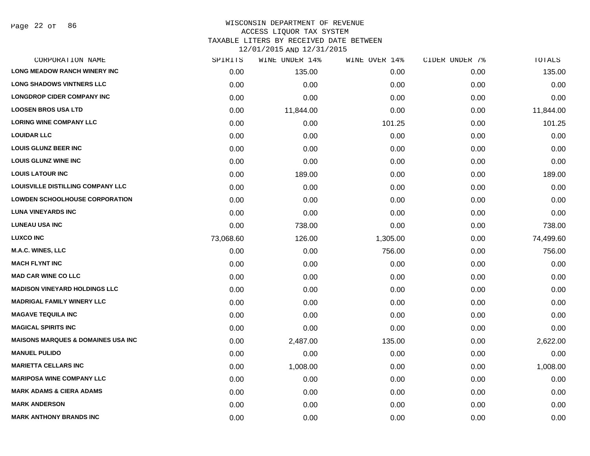Page 22 of 86

# WISCONSIN DEPARTMENT OF REVENUE ACCESS LIQUOR TAX SYSTEM TAXABLE LITERS BY RECEIVED DATE BETWEEN

| CORPORATION NAME                              | SPIRITS   | WINE UNDER 14% | WINE OVER 14% | CIDER UNDER 7% | TOTALS    |
|-----------------------------------------------|-----------|----------------|---------------|----------------|-----------|
| <b>LONG MEADOW RANCH WINERY INC</b>           | 0.00      | 135.00         | 0.00          | 0.00           | 135.00    |
| <b>LONG SHADOWS VINTNERS LLC</b>              | 0.00      | 0.00           | 0.00          | 0.00           | 0.00      |
| <b>LONGDROP CIDER COMPANY INC</b>             | 0.00      | 0.00           | 0.00          | 0.00           | 0.00      |
| <b>LOOSEN BROS USA LTD</b>                    | 0.00      | 11,844.00      | 0.00          | 0.00           | 11,844.00 |
| <b>LORING WINE COMPANY LLC</b>                | 0.00      | 0.00           | 101.25        | 0.00           | 101.25    |
| <b>LOUIDAR LLC</b>                            | 0.00      | 0.00           | 0.00          | 0.00           | 0.00      |
| <b>LOUIS GLUNZ BEER INC</b>                   | 0.00      | 0.00           | 0.00          | 0.00           | 0.00      |
| <b>LOUIS GLUNZ WINE INC</b>                   | 0.00      | 0.00           | 0.00          | 0.00           | 0.00      |
| <b>LOUIS LATOUR INC</b>                       | 0.00      | 189.00         | 0.00          | 0.00           | 189.00    |
| LOUISVILLE DISTILLING COMPANY LLC             | 0.00      | 0.00           | 0.00          | 0.00           | 0.00      |
| <b>LOWDEN SCHOOLHOUSE CORPORATION</b>         | 0.00      | 0.00           | 0.00          | 0.00           | 0.00      |
| <b>LUNA VINEYARDS INC</b>                     | 0.00      | 0.00           | 0.00          | 0.00           | 0.00      |
| <b>LUNEAU USA INC</b>                         | 0.00      | 738.00         | 0.00          | 0.00           | 738.00    |
| <b>LUXCO INC</b>                              | 73,068.60 | 126.00         | 1,305.00      | 0.00           | 74,499.60 |
| M.A.C. WINES, LLC                             | 0.00      | 0.00           | 756.00        | 0.00           | 756.00    |
| <b>MACH FLYNT INC</b>                         | 0.00      | 0.00           | 0.00          | 0.00           | 0.00      |
| <b>MAD CAR WINE CO LLC</b>                    | 0.00      | 0.00           | 0.00          | 0.00           | 0.00      |
| <b>MADISON VINEYARD HOLDINGS LLC</b>          | 0.00      | 0.00           | 0.00          | 0.00           | 0.00      |
| <b>MADRIGAL FAMILY WINERY LLC</b>             | 0.00      | 0.00           | 0.00          | 0.00           | 0.00      |
| <b>MAGAVE TEQUILA INC</b>                     | 0.00      | 0.00           | 0.00          | 0.00           | 0.00      |
| <b>MAGICAL SPIRITS INC</b>                    | 0.00      | 0.00           | 0.00          | 0.00           | 0.00      |
| <b>MAISONS MARQUES &amp; DOMAINES USA INC</b> | 0.00      | 2,487.00       | 135.00        | 0.00           | 2,622.00  |
| <b>MANUEL PULIDO</b>                          | 0.00      | 0.00           | 0.00          | 0.00           | 0.00      |
| <b>MARIETTA CELLARS INC</b>                   | 0.00      | 1,008.00       | 0.00          | 0.00           | 1,008.00  |
| <b>MARIPOSA WINE COMPANY LLC</b>              | 0.00      | 0.00           | 0.00          | 0.00           | 0.00      |
| <b>MARK ADAMS &amp; CIERA ADAMS</b>           | 0.00      | 0.00           | 0.00          | 0.00           | 0.00      |
| <b>MARK ANDERSON</b>                          | 0.00      | 0.00           | 0.00          | 0.00           | 0.00      |
| <b>MARK ANTHONY BRANDS INC</b>                | 0.00      | 0.00           | 0.00          | 0.00           | 0.00      |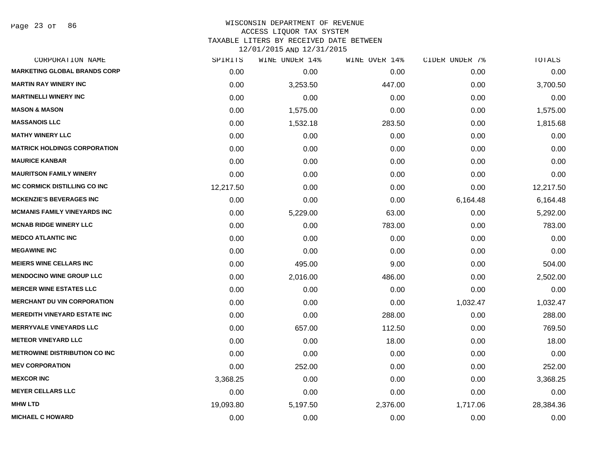Page 23 of 86

# WISCONSIN DEPARTMENT OF REVENUE ACCESS LIQUOR TAX SYSTEM TAXABLE LITERS BY RECEIVED DATE BETWEEN

| CORPORATION NAME                     | SPIRITS   | WINE UNDER 14% | WINE OVER 14% | CIDER UNDER 7% | TOTALS    |
|--------------------------------------|-----------|----------------|---------------|----------------|-----------|
| <b>MARKETING GLOBAL BRANDS CORP</b>  | 0.00      | 0.00           | 0.00          | 0.00           | 0.00      |
| <b>MARTIN RAY WINERY INC</b>         | 0.00      | 3,253.50       | 447.00        | 0.00           | 3,700.50  |
| <b>MARTINELLI WINERY INC</b>         | 0.00      | 0.00           | 0.00          | 0.00           | 0.00      |
| <b>MASON &amp; MASON</b>             | 0.00      | 1,575.00       | 0.00          | 0.00           | 1,575.00  |
| <b>MASSANOIS LLC</b>                 | 0.00      | 1,532.18       | 283.50        | 0.00           | 1,815.68  |
| <b>MATHY WINERY LLC</b>              | 0.00      | 0.00           | 0.00          | 0.00           | 0.00      |
| <b>MATRICK HOLDINGS CORPORATION</b>  | 0.00      | 0.00           | 0.00          | 0.00           | 0.00      |
| <b>MAURICE KANBAR</b>                | 0.00      | 0.00           | 0.00          | 0.00           | 0.00      |
| <b>MAURITSON FAMILY WINERY</b>       | 0.00      | 0.00           | 0.00          | 0.00           | 0.00      |
| <b>MC CORMICK DISTILLING CO INC</b>  | 12,217.50 | 0.00           | 0.00          | 0.00           | 12,217.50 |
| <b>MCKENZIE'S BEVERAGES INC</b>      | 0.00      | 0.00           | 0.00          | 6,164.48       | 6,164.48  |
| <b>MCMANIS FAMILY VINEYARDS INC</b>  | 0.00      | 5,229.00       | 63.00         | 0.00           | 5,292.00  |
| <b>MCNAB RIDGE WINERY LLC</b>        | 0.00      | 0.00           | 783.00        | 0.00           | 783.00    |
| <b>MEDCO ATLANTIC INC</b>            | 0.00      | 0.00           | 0.00          | 0.00           | 0.00      |
| <b>MEGAWINE INC</b>                  | 0.00      | 0.00           | 0.00          | 0.00           | 0.00      |
| <b>MEIERS WINE CELLARS INC</b>       | 0.00      | 495.00         | 9.00          | 0.00           | 504.00    |
| <b>MENDOCINO WINE GROUP LLC</b>      | 0.00      | 2,016.00       | 486.00        | 0.00           | 2,502.00  |
| <b>MERCER WINE ESTATES LLC</b>       | 0.00      | 0.00           | 0.00          | 0.00           | 0.00      |
| <b>MERCHANT DU VIN CORPORATION</b>   | 0.00      | 0.00           | 0.00          | 1,032.47       | 1,032.47  |
| <b>MEREDITH VINEYARD ESTATE INC</b>  | 0.00      | 0.00           | 288.00        | 0.00           | 288.00    |
| <b>MERRYVALE VINEYARDS LLC</b>       | 0.00      | 657.00         | 112.50        | 0.00           | 769.50    |
| <b>METEOR VINEYARD LLC</b>           | 0.00      | 0.00           | 18.00         | 0.00           | 18.00     |
| <b>METROWINE DISTRIBUTION CO INC</b> | 0.00      | 0.00           | 0.00          | 0.00           | 0.00      |
| <b>MEV CORPORATION</b>               | 0.00      | 252.00         | 0.00          | 0.00           | 252.00    |
| <b>MEXCOR INC</b>                    | 3,368.25  | 0.00           | 0.00          | 0.00           | 3,368.25  |
| <b>MEYER CELLARS LLC</b>             | 0.00      | 0.00           | 0.00          | 0.00           | 0.00      |
| <b>MHW LTD</b>                       | 19,093.80 | 5,197.50       | 2,376.00      | 1,717.06       | 28,384.36 |
| <b>MICHAEL C HOWARD</b>              | 0.00      | 0.00           | 0.00          | 0.00           | 0.00      |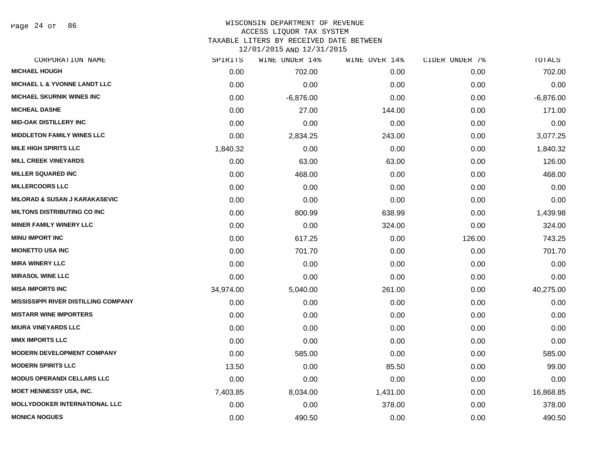Page 24 of 86

| CORPORATION NAME                            | SPIRITS   | WINE UNDER 14% | WINE OVER 14% | CIDER UNDER 7% | TOTALS      |
|---------------------------------------------|-----------|----------------|---------------|----------------|-------------|
| <b>MICHAEL HOUGH</b>                        | 0.00      | 702.00         | 0.00          | 0.00           | 702.00      |
| <b>MICHAEL L &amp; YVONNE LANDT LLC</b>     | 0.00      | 0.00           | 0.00          | 0.00           | 0.00        |
| <b>MICHAEL SKURNIK WINES INC</b>            | 0.00      | $-6,876.00$    | 0.00          | 0.00           | $-6,876.00$ |
| <b>MICHEAL DASHE</b>                        | 0.00      | 27.00          | 144.00        | 0.00           | 171.00      |
| <b>MID-OAK DISTILLERY INC</b>               | 0.00      | 0.00           | 0.00          | 0.00           | 0.00        |
| <b>MIDDLETON FAMILY WINES LLC</b>           | 0.00      | 2,834.25       | 243.00        | 0.00           | 3,077.25    |
| <b>MILE HIGH SPIRITS LLC</b>                | 1,840.32  | 0.00           | 0.00          | 0.00           | 1,840.32    |
| <b>MILL CREEK VINEYARDS</b>                 | 0.00      | 63.00          | 63.00         | 0.00           | 126.00      |
| <b>MILLER SQUARED INC</b>                   | 0.00      | 468.00         | 0.00          | 0.00           | 468.00      |
| <b>MILLERCOORS LLC</b>                      | 0.00      | 0.00           | 0.00          | 0.00           | 0.00        |
| <b>MILORAD &amp; SUSAN J KARAKASEVIC</b>    | 0.00      | 0.00           | 0.00          | 0.00           | 0.00        |
| <b>MILTONS DISTRIBUTING CO INC</b>          | 0.00      | 800.99         | 638.99        | 0.00           | 1,439.98    |
| <b>MINER FAMILY WINERY LLC</b>              | 0.00      | 0.00           | 324.00        | 0.00           | 324.00      |
| <b>MINU IMPORT INC</b>                      | 0.00      | 617.25         | 0.00          | 126.00         | 743.25      |
| <b>MIONETTO USA INC</b>                     | 0.00      | 701.70         | 0.00          | 0.00           | 701.70      |
| <b>MIRA WINERY LLC</b>                      | 0.00      | 0.00           | 0.00          | 0.00           | 0.00        |
| <b>MIRASOL WINE LLC</b>                     | 0.00      | 0.00           | 0.00          | 0.00           | 0.00        |
| <b>MISA IMPORTS INC</b>                     | 34,974.00 | 5,040.00       | 261.00        | 0.00           | 40,275.00   |
| <b>MISSISSIPPI RIVER DISTILLING COMPANY</b> | 0.00      | 0.00           | 0.00          | 0.00           | 0.00        |
| <b>MISTARR WINE IMPORTERS</b>               | 0.00      | 0.00           | 0.00          | 0.00           | 0.00        |
| <b>MIURA VINEYARDS LLC</b>                  | 0.00      | 0.00           | 0.00          | 0.00           | 0.00        |
| <b>MMX IMPORTS LLC</b>                      | 0.00      | 0.00           | 0.00          | 0.00           | 0.00        |
| <b>MODERN DEVELOPMENT COMPANY</b>           | 0.00      | 585.00         | 0.00          | 0.00           | 585.00      |
| <b>MODERN SPIRITS LLC</b>                   | 13.50     | 0.00           | 85.50         | 0.00           | 99.00       |
| <b>MODUS OPERANDI CELLARS LLC</b>           | 0.00      | 0.00           | 0.00          | 0.00           | 0.00        |
| MOET HENNESSY USA, INC.                     | 7,403.85  | 8,034.00       | 1,431.00      | 0.00           | 16,868.85   |
| <b>MOLLYDOOKER INTERNATIONAL LLC</b>        | 0.00      | 0.00           | 378.00        | 0.00           | 378.00      |
| <b>MONICA NOGUES</b>                        | 0.00      | 490.50         | 0.00          | 0.00           | 490.50      |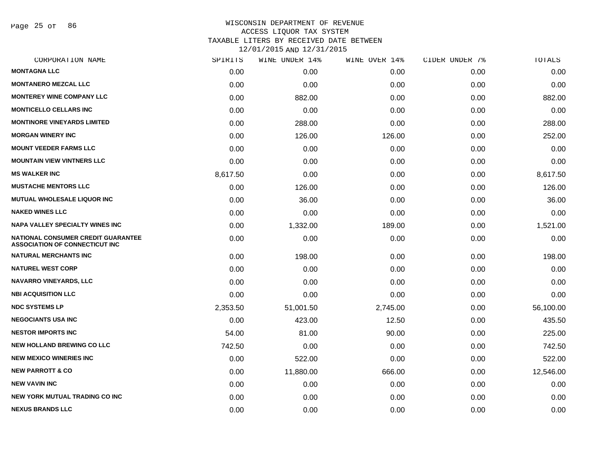Page 25 of 86

| CORPORATION NAME                                                            | SPIRITS  | WINE UNDER 14% | WINE OVER 14% | CIDER UNDER 7% | TOTALS    |
|-----------------------------------------------------------------------------|----------|----------------|---------------|----------------|-----------|
| <b>MONTAGNA LLC</b>                                                         | 0.00     | 0.00           | 0.00          | 0.00           | 0.00      |
| <b>MONTANERO MEZCAL LLC</b>                                                 | 0.00     | 0.00           | 0.00          | 0.00           | 0.00      |
| <b>MONTEREY WINE COMPANY LLC</b>                                            | 0.00     | 882.00         | 0.00          | 0.00           | 882.00    |
| <b>MONTICELLO CELLARS INC</b>                                               | 0.00     | 0.00           | 0.00          | 0.00           | 0.00      |
| <b>MONTINORE VINEYARDS LIMITED</b>                                          | 0.00     | 288.00         | 0.00          | 0.00           | 288.00    |
| <b>MORGAN WINERY INC</b>                                                    | 0.00     | 126.00         | 126.00        | 0.00           | 252.00    |
| <b>MOUNT VEEDER FARMS LLC</b>                                               | 0.00     | 0.00           | 0.00          | 0.00           | 0.00      |
| <b>MOUNTAIN VIEW VINTNERS LLC</b>                                           | 0.00     | 0.00           | 0.00          | 0.00           | 0.00      |
| <b>MS WALKER INC</b>                                                        | 8,617.50 | 0.00           | 0.00          | 0.00           | 8,617.50  |
| <b>MUSTACHE MENTORS LLC</b>                                                 | 0.00     | 126.00         | 0.00          | 0.00           | 126.00    |
| <b>MUTUAL WHOLESALE LIQUOR INC</b>                                          | 0.00     | 36.00          | 0.00          | 0.00           | 36.00     |
| <b>NAKED WINES LLC</b>                                                      | 0.00     | 0.00           | 0.00          | 0.00           | 0.00      |
| <b>NAPA VALLEY SPECIALTY WINES INC</b>                                      | 0.00     | 1,332.00       | 189.00        | 0.00           | 1,521.00  |
| NATIONAL CONSUMER CREDIT GUARANTEE<br><b>ASSOCIATION OF CONNECTICUT INC</b> | 0.00     | 0.00           | 0.00          | 0.00           | 0.00      |
| <b>NATURAL MERCHANTS INC</b>                                                | 0.00     | 198.00         | 0.00          | 0.00           | 198.00    |
| <b>NATUREL WEST CORP</b>                                                    | 0.00     | 0.00           | 0.00          | 0.00           | 0.00      |
| <b>NAVARRO VINEYARDS, LLC</b>                                               | 0.00     | 0.00           | 0.00          | 0.00           | 0.00      |
| <b>NBI ACQUISITION LLC</b>                                                  | 0.00     | 0.00           | 0.00          | 0.00           | 0.00      |
| <b>NDC SYSTEMS LP</b>                                                       | 2,353.50 | 51,001.50      | 2,745.00      | 0.00           | 56,100.00 |
| <b>NEGOCIANTS USA INC</b>                                                   | 0.00     | 423.00         | 12.50         | 0.00           | 435.50    |
| <b>NESTOR IMPORTS INC</b>                                                   | 54.00    | 81.00          | 90.00         | 0.00           | 225.00    |
| <b>NEW HOLLAND BREWING CO LLC</b>                                           | 742.50   | 0.00           | 0.00          | 0.00           | 742.50    |
| <b>NEW MEXICO WINERIES INC</b>                                              | 0.00     | 522.00         | 0.00          | 0.00           | 522.00    |
| <b>NEW PARROTT &amp; CO</b>                                                 | 0.00     | 11,880.00      | 666.00        | 0.00           | 12,546.00 |
| <b>NEW VAVIN INC</b>                                                        | 0.00     | 0.00           | 0.00          | 0.00           | 0.00      |
| <b>NEW YORK MUTUAL TRADING CO INC</b>                                       | 0.00     | 0.00           | 0.00          | 0.00           | 0.00      |
| <b>NEXUS BRANDS LLC</b>                                                     | 0.00     | 0.00           | 0.00          | 0.00           | 0.00      |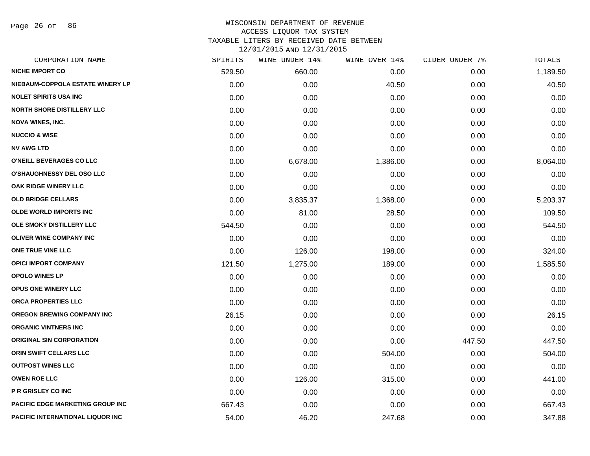Page 26 of 86

| CORPORATION NAME                        | SPIRITS | WINE UNDER 14% | WINE OVER 14% | CIDER UNDER 7% | TOTALS   |
|-----------------------------------------|---------|----------------|---------------|----------------|----------|
| <b>NICHE IMPORT CO</b>                  | 529.50  | 660.00         | 0.00          | 0.00           | 1,189.50 |
| NIEBAUM-COPPOLA ESTATE WINERY LP        | 0.00    | 0.00           | 40.50         | 0.00           | 40.50    |
| <b>NOLET SPIRITS USA INC</b>            | 0.00    | 0.00           | 0.00          | 0.00           | 0.00     |
| <b>NORTH SHORE DISTILLERY LLC</b>       | 0.00    | 0.00           | 0.00          | 0.00           | 0.00     |
| <b>NOVA WINES, INC.</b>                 | 0.00    | 0.00           | 0.00          | 0.00           | 0.00     |
| <b>NUCCIO &amp; WISE</b>                | 0.00    | 0.00           | 0.00          | 0.00           | 0.00     |
| <b>NV AWG LTD</b>                       | 0.00    | 0.00           | 0.00          | 0.00           | 0.00     |
| O'NEILL BEVERAGES CO LLC                | 0.00    | 6,678.00       | 1,386.00      | 0.00           | 8,064.00 |
| O'SHAUGHNESSY DEL OSO LLC               | 0.00    | 0.00           | 0.00          | 0.00           | 0.00     |
| OAK RIDGE WINERY LLC                    | 0.00    | 0.00           | 0.00          | 0.00           | 0.00     |
| <b>OLD BRIDGE CELLARS</b>               | 0.00    | 3,835.37       | 1,368.00      | 0.00           | 5,203.37 |
| <b>OLDE WORLD IMPORTS INC</b>           | 0.00    | 81.00          | 28.50         | 0.00           | 109.50   |
| OLE SMOKY DISTILLERY LLC                | 544.50  | 0.00           | 0.00          | 0.00           | 544.50   |
| <b>OLIVER WINE COMPANY INC</b>          | 0.00    | 0.00           | 0.00          | 0.00           | 0.00     |
| ONE TRUE VINE LLC                       | 0.00    | 126.00         | 198.00        | 0.00           | 324.00   |
| <b>OPICI IMPORT COMPANY</b>             | 121.50  | 1,275.00       | 189.00        | 0.00           | 1,585.50 |
| <b>OPOLO WINES LP</b>                   | 0.00    | 0.00           | 0.00          | 0.00           | 0.00     |
| <b>OPUS ONE WINERY LLC</b>              | 0.00    | 0.00           | 0.00          | 0.00           | 0.00     |
| ORCA PROPERTIES LLC                     | 0.00    | 0.00           | 0.00          | 0.00           | 0.00     |
| <b>OREGON BREWING COMPANY INC</b>       | 26.15   | 0.00           | 0.00          | 0.00           | 26.15    |
| <b>ORGANIC VINTNERS INC</b>             | 0.00    | 0.00           | 0.00          | 0.00           | 0.00     |
| <b>ORIGINAL SIN CORPORATION</b>         | 0.00    | 0.00           | 0.00          | 447.50         | 447.50   |
| <b>ORIN SWIFT CELLARS LLC</b>           | 0.00    | 0.00           | 504.00        | 0.00           | 504.00   |
| <b>OUTPOST WINES LLC</b>                | 0.00    | 0.00           | 0.00          | 0.00           | 0.00     |
| <b>OWEN ROE LLC</b>                     | 0.00    | 126.00         | 315.00        | 0.00           | 441.00   |
| P R GRISLEY CO INC                      | 0.00    | 0.00           | 0.00          | 0.00           | 0.00     |
| <b>PACIFIC EDGE MARKETING GROUP INC</b> | 667.43  | 0.00           | 0.00          | 0.00           | 667.43   |
| <b>PACIFIC INTERNATIONAL LIQUOR INC</b> | 54.00   | 46.20          | 247.68        | 0.00           | 347.88   |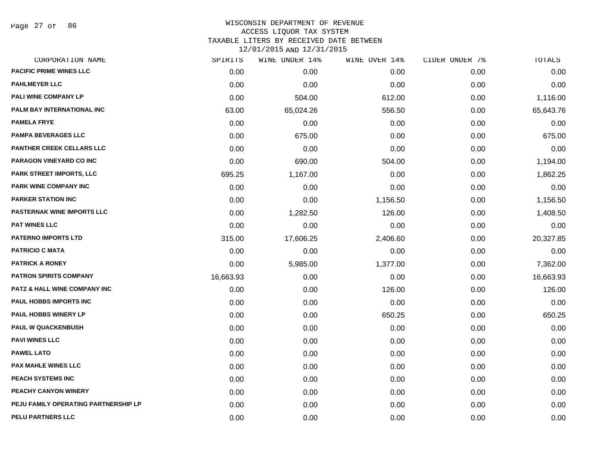Page 27 of 86

| CORPORATION NAME                     | SPIRITS   | WINE UNDER 14% | WINE OVER 14% | CIDER UNDER 7% | TOTALS    |
|--------------------------------------|-----------|----------------|---------------|----------------|-----------|
| <b>PACIFIC PRIME WINES LLC</b>       | 0.00      | 0.00           | 0.00          | 0.00           | 0.00      |
| <b>PAHLMEYER LLC</b>                 | 0.00      | 0.00           | 0.00          | 0.00           | 0.00      |
| PALI WINE COMPANY LP                 | 0.00      | 504.00         | 612.00        | 0.00           | 1,116.00  |
| PALM BAY INTERNATIONAL INC           | 63.00     | 65,024.26      | 556.50        | 0.00           | 65,643.76 |
| <b>PAMELA FRYE</b>                   | 0.00      | 0.00           | 0.00          | 0.00           | 0.00      |
| <b>PAMPA BEVERAGES LLC</b>           | 0.00      | 675.00         | 0.00          | 0.00           | 675.00    |
| <b>PANTHER CREEK CELLARS LLC</b>     | 0.00      | 0.00           | 0.00          | 0.00           | 0.00      |
| <b>PARAGON VINEYARD CO INC</b>       | 0.00      | 690.00         | 504.00        | 0.00           | 1,194.00  |
| PARK STREET IMPORTS, LLC             | 695.25    | 1,167.00       | 0.00          | 0.00           | 1,862.25  |
| <b>PARK WINE COMPANY INC</b>         | 0.00      | 0.00           | 0.00          | 0.00           | 0.00      |
| <b>PARKER STATION INC</b>            | 0.00      | 0.00           | 1,156.50      | 0.00           | 1,156.50  |
| <b>PASTERNAK WINE IMPORTS LLC</b>    | 0.00      | 1,282.50       | 126.00        | 0.00           | 1,408.50  |
| <b>PAT WINES LLC</b>                 | 0.00      | 0.00           | 0.00          | 0.00           | 0.00      |
| <b>PATERNO IMPORTS LTD</b>           | 315.00    | 17,606.25      | 2,406.60      | 0.00           | 20,327.85 |
| <b>PATRICIO C MATA</b>               | 0.00      | 0.00           | 0.00          | 0.00           | 0.00      |
| <b>PATRICK A RONEY</b>               | 0.00      | 5,985.00       | 1,377.00      | 0.00           | 7,362.00  |
| <b>PATRON SPIRITS COMPANY</b>        | 16,663.93 | 0.00           | 0.00          | 0.00           | 16,663.93 |
| PATZ & HALL WINE COMPANY INC         | 0.00      | 0.00           | 126.00        | 0.00           | 126.00    |
| PAUL HOBBS IMPORTS INC               | 0.00      | 0.00           | 0.00          | 0.00           | 0.00      |
| <b>PAUL HOBBS WINERY LP</b>          | 0.00      | 0.00           | 650.25        | 0.00           | 650.25    |
| <b>PAUL W QUACKENBUSH</b>            | 0.00      | 0.00           | 0.00          | 0.00           | 0.00      |
| <b>PAVI WINES LLC</b>                | 0.00      | 0.00           | 0.00          | 0.00           | 0.00      |
| <b>PAWEL LATO</b>                    | 0.00      | 0.00           | 0.00          | 0.00           | 0.00      |
| <b>PAX MAHLE WINES LLC</b>           | 0.00      | 0.00           | 0.00          | 0.00           | 0.00      |
| PEACH SYSTEMS INC                    | 0.00      | 0.00           | 0.00          | 0.00           | 0.00      |
| PEACHY CANYON WINERY                 | 0.00      | 0.00           | 0.00          | 0.00           | 0.00      |
| PEJU FAMILY OPERATING PARTNERSHIP LP | 0.00      | 0.00           | 0.00          | 0.00           | 0.00      |
| <b>PELU PARTNERS LLC</b>             | 0.00      | 0.00           | 0.00          | 0.00           | 0.00      |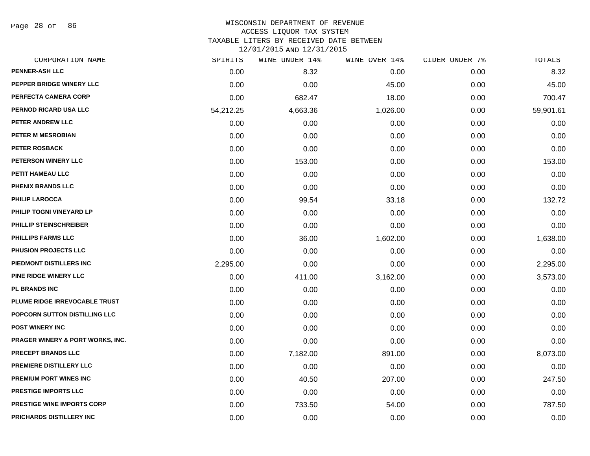Page 28 of 86

### WISCONSIN DEPARTMENT OF REVENUE ACCESS LIQUOR TAX SYSTEM

TAXABLE LITERS BY RECEIVED DATE BETWEEN

| CORPORATION NAME                            | SPIRITS   | WINE UNDER 14% | WINE OVER 14% | CIDER UNDER 7% | <b>TOTALS</b> |
|---------------------------------------------|-----------|----------------|---------------|----------------|---------------|
| <b>PENNER-ASH LLC</b>                       | 0.00      | 8.32           | 0.00          | 0.00           | 8.32          |
| PEPPER BRIDGE WINERY LLC                    | 0.00      | 0.00           | 45.00         | 0.00           | 45.00         |
| PERFECTA CAMERA CORP                        | 0.00      | 682.47         | 18.00         | 0.00           | 700.47        |
| PERNOD RICARD USA LLC                       | 54,212.25 | 4,663.36       | 1,026.00      | 0.00           | 59,901.61     |
| PETER ANDREW LLC                            | 0.00      | 0.00           | 0.00          | 0.00           | 0.00          |
| PETER M MESROBIAN                           | 0.00      | 0.00           | 0.00          | 0.00           | 0.00          |
| <b>PETER ROSBACK</b>                        | 0.00      | 0.00           | 0.00          | 0.00           | 0.00          |
| PETERSON WINERY LLC                         | 0.00      | 153.00         | 0.00          | 0.00           | 153.00        |
| PETIT HAMEAU LLC                            | 0.00      | 0.00           | 0.00          | 0.00           | 0.00          |
| <b>PHENIX BRANDS LLC</b>                    | 0.00      | 0.00           | 0.00          | 0.00           | 0.00          |
| PHILIP LAROCCA                              | 0.00      | 99.54          | 33.18         | 0.00           | 132.72        |
| PHILIP TOGNI VINEYARD LP                    | 0.00      | 0.00           | 0.00          | 0.00           | 0.00          |
| PHILLIP STEINSCHREIBER                      | 0.00      | 0.00           | 0.00          | 0.00           | 0.00          |
| <b>PHILLIPS FARMS LLC</b>                   | 0.00      | 36.00          | 1,602.00      | 0.00           | 1,638.00      |
| PHUSION PROJECTS LLC                        | 0.00      | 0.00           | 0.00          | 0.00           | 0.00          |
| PIEDMONT DISTILLERS INC                     | 2,295.00  | 0.00           | 0.00          | 0.00           | 2,295.00      |
| PINE RIDGE WINERY LLC                       | 0.00      | 411.00         | 3,162.00      | 0.00           | 3,573.00      |
| <b>PL BRANDS INC</b>                        | 0.00      | 0.00           | 0.00          | 0.00           | 0.00          |
| PLUME RIDGE IRREVOCABLE TRUST               | 0.00      | 0.00           | 0.00          | 0.00           | 0.00          |
| POPCORN SUTTON DISTILLING LLC               | 0.00      | 0.00           | 0.00          | 0.00           | 0.00          |
| <b>POST WINERY INC</b>                      | 0.00      | 0.00           | 0.00          | 0.00           | 0.00          |
| <b>PRAGER WINERY &amp; PORT WORKS, INC.</b> | 0.00      | 0.00           | 0.00          | 0.00           | 0.00          |
| PRECEPT BRANDS LLC                          | 0.00      | 7,182.00       | 891.00        | 0.00           | 8,073.00      |
| <b>PREMIERE DISTILLERY LLC</b>              | 0.00      | 0.00           | 0.00          | 0.00           | 0.00          |
| PREMIUM PORT WINES INC                      | 0.00      | 40.50          | 207.00        | 0.00           | 247.50        |
| PRESTIGE IMPORTS LLC                        | 0.00      | 0.00           | 0.00          | 0.00           | 0.00          |
| <b>PRESTIGE WINE IMPORTS CORP</b>           | 0.00      | 733.50         | 54.00         | 0.00           | 787.50        |
| PRICHARDS DISTILLERY INC                    | 0.00      | 0.00           | 0.00          | 0.00           | 0.00          |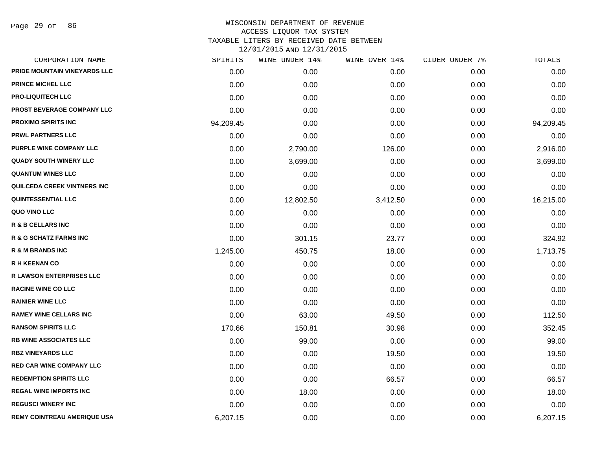Page 29 of 86

| CORPORATION NAME                   | SPIRITS   | WINE UNDER 14% | WINE OVER 14% | CIDER UNDER 7% | TOTALS    |
|------------------------------------|-----------|----------------|---------------|----------------|-----------|
| PRIDE MOUNTAIN VINEYARDS LLC       | 0.00      | 0.00           | 0.00          | 0.00           | 0.00      |
| <b>PRINCE MICHEL LLC</b>           | 0.00      | 0.00           | 0.00          | 0.00           | 0.00      |
| <b>PRO-LIQUITECH LLC</b>           | 0.00      | 0.00           | 0.00          | 0.00           | 0.00      |
| PROST BEVERAGE COMPANY LLC         | 0.00      | 0.00           | 0.00          | 0.00           | 0.00      |
| <b>PROXIMO SPIRITS INC</b>         | 94,209.45 | 0.00           | 0.00          | 0.00           | 94,209.45 |
| <b>PRWL PARTNERS LLC</b>           | 0.00      | 0.00           | 0.00          | 0.00           | 0.00      |
| PURPLE WINE COMPANY LLC            | 0.00      | 2,790.00       | 126.00        | 0.00           | 2,916.00  |
| <b>QUADY SOUTH WINERY LLC</b>      | 0.00      | 3,699.00       | 0.00          | 0.00           | 3,699.00  |
| <b>QUANTUM WINES LLC</b>           | 0.00      | 0.00           | 0.00          | 0.00           | 0.00      |
| QUILCEDA CREEK VINTNERS INC        | 0.00      | 0.00           | 0.00          | 0.00           | 0.00      |
| <b>QUINTESSENTIAL LLC</b>          | 0.00      | 12,802.50      | 3,412.50      | 0.00           | 16,215.00 |
| QUO VINO LLC                       | 0.00      | 0.00           | 0.00          | 0.00           | 0.00      |
| <b>R &amp; B CELLARS INC</b>       | 0.00      | 0.00           | 0.00          | 0.00           | 0.00      |
| <b>R &amp; G SCHATZ FARMS INC</b>  | 0.00      | 301.15         | 23.77         | 0.00           | 324.92    |
| <b>R &amp; M BRANDS INC</b>        | 1,245.00  | 450.75         | 18.00         | 0.00           | 1,713.75  |
| <b>R H KEENAN CO</b>               | 0.00      | 0.00           | 0.00          | 0.00           | 0.00      |
| <b>R LAWSON ENTERPRISES LLC</b>    | 0.00      | 0.00           | 0.00          | 0.00           | 0.00      |
| <b>RACINE WINE CO LLC</b>          | 0.00      | 0.00           | 0.00          | 0.00           | 0.00      |
| <b>RAINIER WINE LLC</b>            | 0.00      | 0.00           | 0.00          | 0.00           | 0.00      |
| <b>RAMEY WINE CELLARS INC</b>      | 0.00      | 63.00          | 49.50         | 0.00           | 112.50    |
| <b>RANSOM SPIRITS LLC</b>          | 170.66    | 150.81         | 30.98         | 0.00           | 352.45    |
| <b>RB WINE ASSOCIATES LLC</b>      | 0.00      | 99.00          | 0.00          | 0.00           | 99.00     |
| <b>RBZ VINEYARDS LLC</b>           | 0.00      | 0.00           | 19.50         | 0.00           | 19.50     |
| <b>RED CAR WINE COMPANY LLC</b>    | 0.00      | 0.00           | 0.00          | 0.00           | 0.00      |
| <b>REDEMPTION SPIRITS LLC</b>      | 0.00      | 0.00           | 66.57         | 0.00           | 66.57     |
| <b>REGAL WINE IMPORTS INC</b>      | 0.00      | 18.00          | 0.00          | 0.00           | 18.00     |
| <b>REGUSCI WINERY INC</b>          | 0.00      | 0.00           | 0.00          | 0.00           | 0.00      |
| <b>REMY COINTREAU AMERIQUE USA</b> | 6,207.15  | 0.00           | 0.00          | 0.00           | 6,207.15  |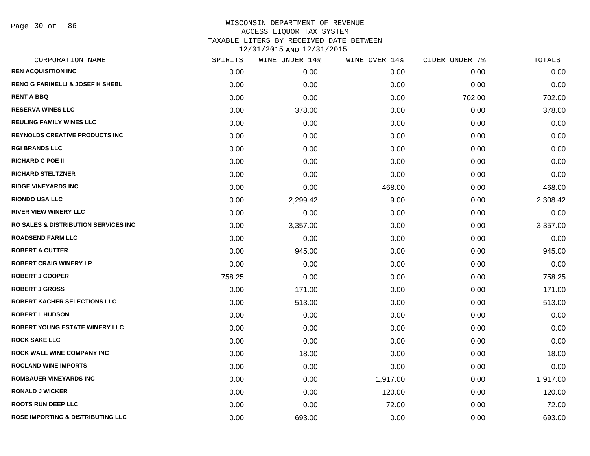Page 30 of 86

| CORPORATION NAME                                 | SPIRITS | WINE UNDER 14% | WINE OVER 14% | CIDER UNDER 7% | TOTALS   |
|--------------------------------------------------|---------|----------------|---------------|----------------|----------|
| <b>REN ACQUISITION INC</b>                       | 0.00    | 0.00           | 0.00          | 0.00           | 0.00     |
| <b>RENO G FARINELLI &amp; JOSEF H SHEBL</b>      | 0.00    | 0.00           | 0.00          | 0.00           | 0.00     |
| <b>RENT A BBQ</b>                                | 0.00    | 0.00           | 0.00          | 702.00         | 702.00   |
| <b>RESERVA WINES LLC</b>                         | 0.00    | 378.00         | 0.00          | 0.00           | 378.00   |
| <b>REULING FAMILY WINES LLC</b>                  | 0.00    | 0.00           | 0.00          | 0.00           | 0.00     |
| <b>REYNOLDS CREATIVE PRODUCTS INC</b>            | 0.00    | 0.00           | 0.00          | 0.00           | 0.00     |
| <b>RGI BRANDS LLC</b>                            | 0.00    | 0.00           | 0.00          | 0.00           | 0.00     |
| <b>RICHARD C POE II</b>                          | 0.00    | 0.00           | 0.00          | 0.00           | 0.00     |
| <b>RICHARD STELTZNER</b>                         | 0.00    | 0.00           | 0.00          | 0.00           | 0.00     |
| <b>RIDGE VINEYARDS INC</b>                       | 0.00    | 0.00           | 468.00        | 0.00           | 468.00   |
| <b>RIONDO USA LLC</b>                            | 0.00    | 2,299.42       | 9.00          | 0.00           | 2,308.42 |
| <b>RIVER VIEW WINERY LLC</b>                     | 0.00    | 0.00           | 0.00          | 0.00           | 0.00     |
| <b>RO SALES &amp; DISTRIBUTION SERVICES INC.</b> | 0.00    | 3,357.00       | 0.00          | 0.00           | 3,357.00 |
| <b>ROADSEND FARM LLC</b>                         | 0.00    | 0.00           | 0.00          | 0.00           | 0.00     |
| <b>ROBERT A CUTTER</b>                           | 0.00    | 945.00         | 0.00          | 0.00           | 945.00   |
| <b>ROBERT CRAIG WINERY LP</b>                    | 0.00    | 0.00           | 0.00          | 0.00           | 0.00     |
| <b>ROBERT J COOPER</b>                           | 758.25  | 0.00           | 0.00          | 0.00           | 758.25   |
| <b>ROBERT J GROSS</b>                            | 0.00    | 171.00         | 0.00          | 0.00           | 171.00   |
| ROBERT KACHER SELECTIONS LLC                     | 0.00    | 513.00         | 0.00          | 0.00           | 513.00   |
| <b>ROBERT L HUDSON</b>                           | 0.00    | 0.00           | 0.00          | 0.00           | 0.00     |
| ROBERT YOUNG ESTATE WINERY LLC                   | 0.00    | 0.00           | 0.00          | 0.00           | 0.00     |
| <b>ROCK SAKE LLC</b>                             | 0.00    | 0.00           | 0.00          | 0.00           | 0.00     |
| ROCK WALL WINE COMPANY INC                       | 0.00    | 18.00          | 0.00          | 0.00           | 18.00    |
| <b>ROCLAND WINE IMPORTS</b>                      | 0.00    | 0.00           | 0.00          | 0.00           | 0.00     |
| <b>ROMBAUER VINEYARDS INC</b>                    | 0.00    | 0.00           | 1,917.00      | 0.00           | 1,917.00 |
| <b>RONALD J WICKER</b>                           | 0.00    | 0.00           | 120.00        | 0.00           | 120.00   |
| <b>ROOTS RUN DEEP LLC</b>                        | 0.00    | 0.00           | 72.00         | 0.00           | 72.00    |
| <b>ROSE IMPORTING &amp; DISTRIBUTING LLC</b>     | 0.00    | 693.00         | 0.00          | 0.00           | 693.00   |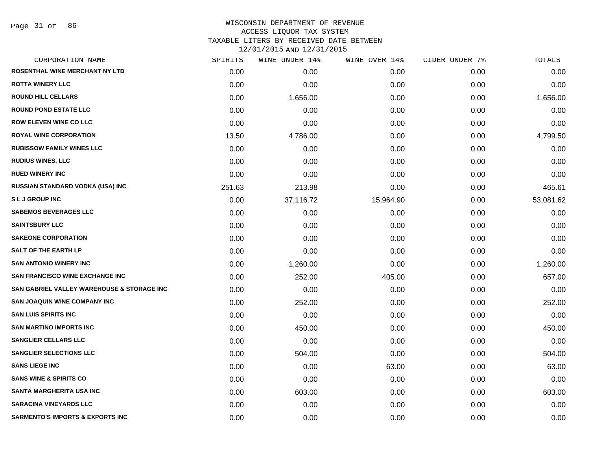Page 31 of 86

| CORPORATION NAME                            | SPIRITS | WINE UNDER 14% | WINE OVER 14% | CIDER UNDER 7% | TOTALS    |
|---------------------------------------------|---------|----------------|---------------|----------------|-----------|
| ROSENTHAL WINE MERCHANT NY LTD              | 0.00    | 0.00           | 0.00          | 0.00           | 0.00      |
| <b>ROTTA WINERY LLC</b>                     | 0.00    | 0.00           | 0.00          | 0.00           | 0.00      |
| <b>ROUND HILL CELLARS</b>                   | 0.00    | 1,656.00       | 0.00          | 0.00           | 1,656.00  |
| <b>ROUND POND ESTATE LLC</b>                | 0.00    | 0.00           | 0.00          | 0.00           | 0.00      |
| <b>ROW ELEVEN WINE CO LLC</b>               | 0.00    | 0.00           | 0.00          | 0.00           | 0.00      |
| <b>ROYAL WINE CORPORATION</b>               | 13.50   | 4,786.00       | 0.00          | 0.00           | 4,799.50  |
| <b>RUBISSOW FAMILY WINES LLC</b>            | 0.00    | 0.00           | 0.00          | 0.00           | 0.00      |
| <b>RUDIUS WINES, LLC</b>                    | 0.00    | 0.00           | 0.00          | 0.00           | 0.00      |
| <b>RUED WINERY INC</b>                      | 0.00    | 0.00           | 0.00          | 0.00           | 0.00      |
| RUSSIAN STANDARD VODKA (USA) INC            | 251.63  | 213.98         | 0.00          | 0.00           | 465.61    |
| <b>SLJGROUPINC</b>                          | 0.00    | 37,116.72      | 15,964.90     | 0.00           | 53,081.62 |
| <b>SABEMOS BEVERAGES LLC</b>                | 0.00    | 0.00           | 0.00          | 0.00           | 0.00      |
| <b>SAINTSBURY LLC</b>                       | 0.00    | 0.00           | 0.00          | 0.00           | 0.00      |
| <b>SAKEONE CORPORATION</b>                  | 0.00    | 0.00           | 0.00          | 0.00           | 0.00      |
| <b>SALT OF THE EARTH LP</b>                 | 0.00    | 0.00           | 0.00          | 0.00           | 0.00      |
| <b>SAN ANTONIO WINERY INC</b>               | 0.00    | 1,260.00       | 0.00          | 0.00           | 1,260.00  |
| <b>SAN FRANCISCO WINE EXCHANGE INC</b>      | 0.00    | 252.00         | 405.00        | 0.00           | 657.00    |
| SAN GABRIEL VALLEY WAREHOUSE & STORAGE INC  | 0.00    | 0.00           | 0.00          | 0.00           | 0.00      |
| <b>SAN JOAQUIN WINE COMPANY INC</b>         | 0.00    | 252.00         | 0.00          | 0.00           | 252.00    |
| <b>SAN LUIS SPIRITS INC</b>                 | 0.00    | 0.00           | 0.00          | 0.00           | 0.00      |
| <b>SAN MARTINO IMPORTS INC</b>              | 0.00    | 450.00         | 0.00          | 0.00           | 450.00    |
| <b>SANGLIER CELLARS LLC</b>                 | 0.00    | 0.00           | 0.00          | 0.00           | 0.00      |
| <b>SANGLIER SELECTIONS LLC</b>              | 0.00    | 504.00         | 0.00          | 0.00           | 504.00    |
| <b>SANS LIEGE INC</b>                       | 0.00    | 0.00           | 63.00         | 0.00           | 63.00     |
| <b>SANS WINE &amp; SPIRITS CO</b>           | 0.00    | 0.00           | 0.00          | 0.00           | 0.00      |
| <b>SANTA MARGHERITA USA INC</b>             | 0.00    | 603.00         | 0.00          | 0.00           | 603.00    |
| <b>SARACINA VINEYARDS LLC</b>               | 0.00    | 0.00           | 0.00          | 0.00           | 0.00      |
| <b>SARMENTO'S IMPORTS &amp; EXPORTS INC</b> | 0.00    | 0.00           | 0.00          | 0.00           | 0.00      |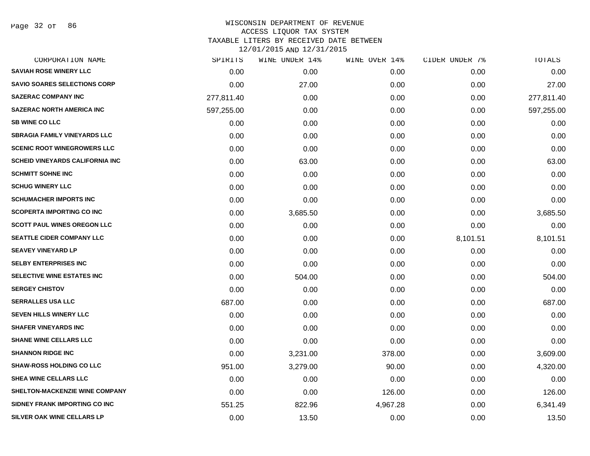Page 32 of 86

|            | WINE UNDER 14% | WINE OVER 14% |          | TOTALS         |
|------------|----------------|---------------|----------|----------------|
| 0.00       | 0.00           | 0.00          | 0.00     | 0.00           |
| 0.00       | 27.00          | 0.00          | 0.00     | 27.00          |
| 277,811.40 | 0.00           | 0.00          | 0.00     | 277,811.40     |
| 597,255.00 | 0.00           | 0.00          | 0.00     | 597,255.00     |
| 0.00       | 0.00           | 0.00          | 0.00     | 0.00           |
| 0.00       | 0.00           | 0.00          | 0.00     | 0.00           |
| 0.00       | 0.00           | 0.00          | 0.00     | 0.00           |
| 0.00       | 63.00          | 0.00          | 0.00     | 63.00          |
| 0.00       | 0.00           | 0.00          | 0.00     | 0.00           |
| 0.00       | 0.00           | 0.00          | 0.00     | 0.00           |
| 0.00       | 0.00           | 0.00          | 0.00     | 0.00           |
| 0.00       | 3,685.50       | 0.00          | 0.00     | 3,685.50       |
| 0.00       | 0.00           | 0.00          | 0.00     | 0.00           |
| 0.00       | 0.00           | 0.00          | 8,101.51 | 8,101.51       |
| 0.00       | 0.00           | 0.00          | 0.00     | 0.00           |
| 0.00       | 0.00           | 0.00          | 0.00     | 0.00           |
| 0.00       | 504.00         | 0.00          | 0.00     | 504.00         |
| 0.00       | 0.00           | 0.00          | 0.00     | 0.00           |
| 687.00     | 0.00           | 0.00          | 0.00     | 687.00         |
| 0.00       | 0.00           | 0.00          | 0.00     | 0.00           |
| 0.00       | 0.00           | 0.00          | 0.00     | 0.00           |
| 0.00       | 0.00           | 0.00          | 0.00     | 0.00           |
| 0.00       | 3,231.00       | 378.00        | 0.00     | 3,609.00       |
| 951.00     | 3,279.00       | 90.00         | 0.00     | 4,320.00       |
| 0.00       | 0.00           | 0.00          | 0.00     | 0.00           |
| 0.00       | 0.00           | 126.00        | 0.00     | 126.00         |
| 551.25     | 822.96         | 4,967.28      | 0.00     | 6,341.49       |
| 0.00       | 13.50          | 0.00          | 0.00     | 13.50          |
|            | SPIRITS        |               |          | CIDER UNDER 7% |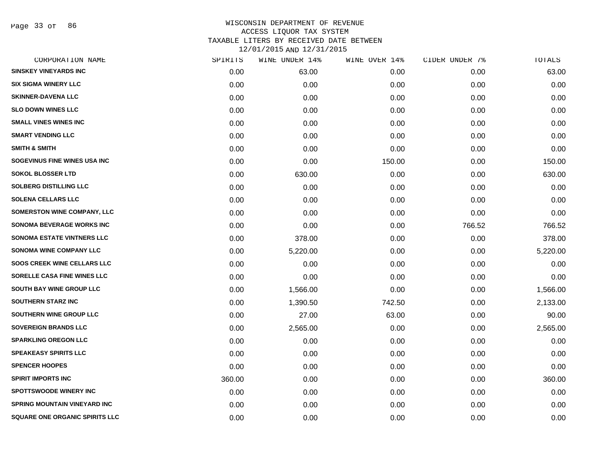Page 33 of 86

| SPIRITS | WINE UNDER 14% |        |               | TOTALS         |
|---------|----------------|--------|---------------|----------------|
| 0.00    | 63.00          | 0.00   | 0.00          | 63.00          |
| 0.00    | 0.00           | 0.00   | 0.00          | 0.00           |
| 0.00    | 0.00           | 0.00   | 0.00          | 0.00           |
| 0.00    | 0.00           | 0.00   | 0.00          | 0.00           |
| 0.00    | 0.00           | 0.00   | 0.00          | 0.00           |
| 0.00    | 0.00           | 0.00   | 0.00          | 0.00           |
| 0.00    | 0.00           | 0.00   | 0.00          | 0.00           |
| 0.00    | 0.00           | 150.00 | 0.00          | 150.00         |
| 0.00    | 630.00         | 0.00   | 0.00          | 630.00         |
| 0.00    | 0.00           | 0.00   | 0.00          | 0.00           |
| 0.00    | 0.00           | 0.00   | 0.00          | 0.00           |
| 0.00    | 0.00           | 0.00   | 0.00          | 0.00           |
| 0.00    | 0.00           | 0.00   | 766.52        | 766.52         |
| 0.00    | 378.00         | 0.00   | 0.00          | 378.00         |
| 0.00    | 5,220.00       | 0.00   | 0.00          | 5,220.00       |
| 0.00    | 0.00           | 0.00   | 0.00          | 0.00           |
| 0.00    | 0.00           | 0.00   | 0.00          | 0.00           |
| 0.00    | 1,566.00       | 0.00   | 0.00          | 1,566.00       |
| 0.00    | 1,390.50       | 742.50 | 0.00          | 2,133.00       |
| 0.00    | 27.00          | 63.00  | 0.00          | 90.00          |
| 0.00    | 2,565.00       | 0.00   | 0.00          | 2,565.00       |
| 0.00    | 0.00           | 0.00   | 0.00          | 0.00           |
| 0.00    | 0.00           | 0.00   | 0.00          | 0.00           |
| 0.00    | 0.00           | 0.00   | 0.00          | 0.00           |
| 360.00  | 0.00           | 0.00   | 0.00          | 360.00         |
| 0.00    | 0.00           | 0.00   | 0.00          | 0.00           |
| 0.00    | 0.00           | 0.00   | 0.00          | 0.00           |
| 0.00    | 0.00           | 0.00   | 0.00          | 0.00           |
|         |                |        | WINE OVER 14% | CIDER UNDER 7% |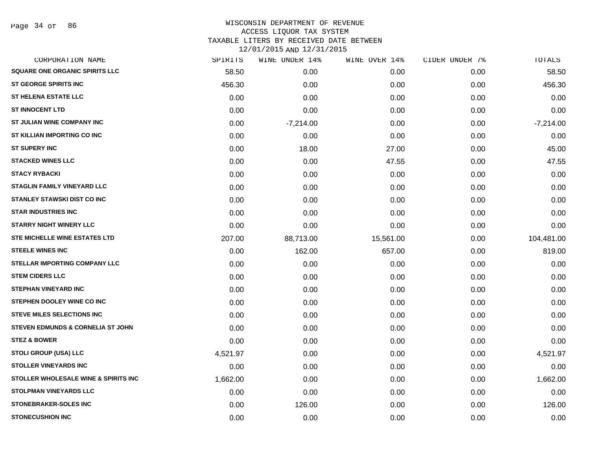| CORPORATION NAME                     | SPIRITS  | WINE UNDER 14% | WINE OVER 14% | CIDER UNDER 7% | TOTALS      |
|--------------------------------------|----------|----------------|---------------|----------------|-------------|
| SQUARE ONE ORGANIC SPIRITS LLC       | 58.50    | 0.00           | 0.00          | 0.00           | 58.50       |
| <b>ST GEORGE SPIRITS INC</b>         | 456.30   | 0.00           | 0.00          | 0.00           | 456.30      |
| <b>ST HELENA ESTATE LLC</b>          | 0.00     | 0.00           | 0.00          | 0.00           | 0.00        |
| <b>ST INNOCENT LTD</b>               | 0.00     | 0.00           | 0.00          | 0.00           | 0.00        |
| ST JULIAN WINE COMPANY INC           | 0.00     | $-7,214.00$    | 0.00          | 0.00           | $-7,214.00$ |
| ST KILLIAN IMPORTING CO INC          | 0.00     | 0.00           | 0.00          | 0.00           | 0.00        |
| <b>ST SUPERY INC</b>                 | 0.00     | 18.00          | 27.00         | 0.00           | 45.00       |
| <b>STACKED WINES LLC</b>             | 0.00     | 0.00           | 47.55         | 0.00           | 47.55       |
| <b>STACY RYBACKI</b>                 | 0.00     | 0.00           | 0.00          | 0.00           | 0.00        |
| <b>STAGLIN FAMILY VINEYARD LLC</b>   | 0.00     | 0.00           | 0.00          | 0.00           | 0.00        |
| <b>STANLEY STAWSKI DIST CO INC</b>   | 0.00     | 0.00           | 0.00          | 0.00           | 0.00        |
| <b>STAR INDUSTRIES INC</b>           | 0.00     | 0.00           | 0.00          | 0.00           | 0.00        |
| <b>STARRY NIGHT WINERY LLC</b>       | 0.00     | 0.00           | 0.00          | 0.00           | 0.00        |
| <b>STE MICHELLE WINE ESTATES LTD</b> | 207.00   | 88,713.00      | 15,561.00     | 0.00           | 104,481.00  |
| <b>STEELE WINES INC</b>              | 0.00     | 162.00         | 657.00        | 0.00           | 819.00      |
| <b>STELLAR IMPORTING COMPANY LLC</b> | 0.00     | 0.00           | 0.00          | 0.00           | 0.00        |
| <b>STEM CIDERS LLC</b>               | 0.00     | 0.00           | 0.00          | 0.00           | 0.00        |
| <b>STEPHAN VINEYARD INC</b>          | 0.00     | 0.00           | 0.00          | 0.00           | 0.00        |
| STEPHEN DOOLEY WINE CO INC           | 0.00     | 0.00           | 0.00          | 0.00           | 0.00        |
| <b>STEVE MILES SELECTIONS INC</b>    | 0.00     | 0.00           | 0.00          | 0.00           | 0.00        |
| STEVEN EDMUNDS & CORNELIA ST JOHN    | 0.00     | 0.00           | 0.00          | 0.00           | 0.00        |
| <b>STEZ &amp; BOWER</b>              | 0.00     | 0.00           | 0.00          | 0.00           | 0.00        |
| <b>STOLI GROUP (USA) LLC</b>         | 4,521.97 | 0.00           | 0.00          | 0.00           | 4,521.97    |
| <b>STOLLER VINEYARDS INC</b>         | 0.00     | 0.00           | 0.00          | 0.00           | 0.00        |
| STOLLER WHOLESALE WINE & SPIRITS INC | 1,662.00 | 0.00           | 0.00          | 0.00           | 1,662.00    |
| STOLPMAN VINEYARDS LLC               | 0.00     | 0.00           | 0.00          | 0.00           | 0.00        |
| <b>STONEBRAKER-SOLES INC</b>         | 0.00     | 126.00         | 0.00          | 0.00           | 126.00      |
| <b>STONECUSHION INC</b>              | 0.00     | 0.00           | 0.00          | 0.00           | 0.00        |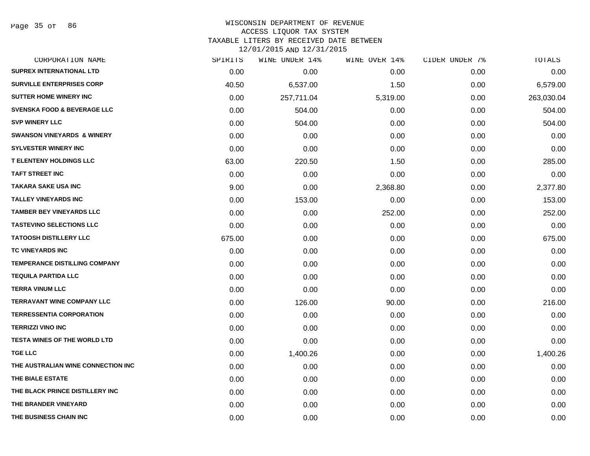# WISCONSIN DEPARTMENT OF REVENUE ACCESS LIQUOR TAX SYSTEM

TAXABLE LITERS BY RECEIVED DATE BETWEEN

| CORPORATION NAME                       | SPIRITS | WINE UNDER 14% | WINE OVER 14% | CIDER UNDER 7% | TOTALS     |
|----------------------------------------|---------|----------------|---------------|----------------|------------|
| <b>SUPREX INTERNATIONAL LTD</b>        | 0.00    | 0.00           | 0.00          | 0.00           | 0.00       |
| <b>SURVILLE ENTERPRISES CORP</b>       | 40.50   | 6,537.00       | 1.50          | 0.00           | 6,579.00   |
| <b>SUTTER HOME WINERY INC</b>          | 0.00    | 257,711.04     | 5,319.00      | 0.00           | 263,030.04 |
| <b>SVENSKA FOOD &amp; BEVERAGE LLC</b> | 0.00    | 504.00         | 0.00          | 0.00           | 504.00     |
| <b>SVP WINERY LLC</b>                  | 0.00    | 504.00         | 0.00          | 0.00           | 504.00     |
| <b>SWANSON VINEYARDS &amp; WINERY</b>  | 0.00    | 0.00           | 0.00          | 0.00           | 0.00       |
| <b>SYLVESTER WINERY INC</b>            | 0.00    | 0.00           | 0.00          | 0.00           | 0.00       |
| <b>T ELENTENY HOLDINGS LLC</b>         | 63.00   | 220.50         | 1.50          | 0.00           | 285.00     |
| <b>TAFT STREET INC</b>                 | 0.00    | 0.00           | 0.00          | 0.00           | 0.00       |
| <b>TAKARA SAKE USA INC</b>             | 9.00    | 0.00           | 2,368.80      | 0.00           | 2,377.80   |
| <b>TALLEY VINEYARDS INC</b>            | 0.00    | 153.00         | 0.00          | 0.00           | 153.00     |
| <b>TAMBER BEY VINEYARDS LLC</b>        | 0.00    | 0.00           | 252.00        | 0.00           | 252.00     |
| <b>TASTEVINO SELECTIONS LLC</b>        | 0.00    | 0.00           | 0.00          | 0.00           | 0.00       |
| <b>TATOOSH DISTILLERY LLC</b>          | 675.00  | 0.00           | 0.00          | 0.00           | 675.00     |
| <b>TC VINEYARDS INC</b>                | 0.00    | 0.00           | 0.00          | 0.00           | 0.00       |
| <b>TEMPERANCE DISTILLING COMPANY</b>   | 0.00    | 0.00           | 0.00          | 0.00           | 0.00       |
| <b>TEQUILA PARTIDA LLC</b>             | 0.00    | 0.00           | 0.00          | 0.00           | 0.00       |
| <b>TERRA VINUM LLC</b>                 | 0.00    | 0.00           | 0.00          | 0.00           | 0.00       |
| <b>TERRAVANT WINE COMPANY LLC</b>      | 0.00    | 126.00         | 90.00         | 0.00           | 216.00     |
| <b>TERRESSENTIA CORPORATION</b>        | 0.00    | 0.00           | 0.00          | 0.00           | 0.00       |
| <b>TERRIZZI VINO INC</b>               | 0.00    | 0.00           | 0.00          | 0.00           | 0.00       |
| <b>TESTA WINES OF THE WORLD LTD</b>    | 0.00    | 0.00           | 0.00          | 0.00           | 0.00       |
| <b>TGE LLC</b>                         | 0.00    | 1,400.26       | 0.00          | 0.00           | 1,400.26   |
| THE AUSTRALIAN WINE CONNECTION INC     | 0.00    | 0.00           | 0.00          | 0.00           | 0.00       |
| THE BIALE ESTATE                       | 0.00    | 0.00           | 0.00          | 0.00           | 0.00       |
| THE BLACK PRINCE DISTILLERY INC        | 0.00    | 0.00           | 0.00          | 0.00           | 0.00       |
| THE BRANDER VINEYARD                   | 0.00    | 0.00           | 0.00          | 0.00           | 0.00       |
| THE BUSINESS CHAIN INC                 | 0.00    | 0.00           | 0.00          | 0.00           | 0.00       |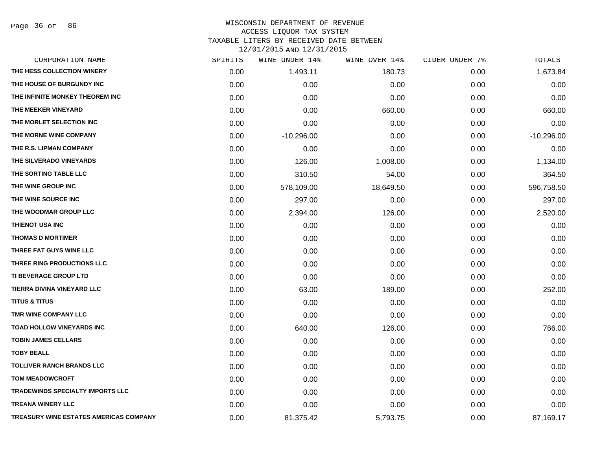Page 36 of 86

| CORPORATION NAME                        | SPIRITS | WINE UNDER 14% | WINE OVER 14% | CIDER UNDER 7% | TOTALS       |
|-----------------------------------------|---------|----------------|---------------|----------------|--------------|
| THE HESS COLLECTION WINERY              | 0.00    | 1,493.11       | 180.73        | 0.00           | 1,673.84     |
| THE HOUSE OF BURGUNDY INC               | 0.00    | 0.00           | 0.00          | 0.00           | 0.00         |
| THE INFINITE MONKEY THEOREM INC         | 0.00    | 0.00           | 0.00          | 0.00           | 0.00         |
| THE MEEKER VINEYARD                     | 0.00    | 0.00           | 660.00        | 0.00           | 660.00       |
| THE MORLET SELECTION INC                | 0.00    | 0.00           | 0.00          | 0.00           | 0.00         |
| THE MORNE WINE COMPANY                  | 0.00    | $-10,296.00$   | 0.00          | 0.00           | $-10,296.00$ |
| THE R.S. LIPMAN COMPANY                 | 0.00    | 0.00           | 0.00          | 0.00           | 0.00         |
| THE SILVERADO VINEYARDS                 | 0.00    | 126.00         | 1,008.00      | 0.00           | 1,134.00     |
| THE SORTING TABLE LLC                   | 0.00    | 310.50         | 54.00         | 0.00           | 364.50       |
| THE WINE GROUP INC                      | 0.00    | 578,109.00     | 18,649.50     | 0.00           | 596,758.50   |
| THE WINE SOURCE INC                     | 0.00    | 297.00         | 0.00          | 0.00           | 297.00       |
| THE WOODMAR GROUP LLC                   | 0.00    | 2,394.00       | 126.00        | 0.00           | 2,520.00     |
| THIENOT USA INC                         | 0.00    | 0.00           | 0.00          | 0.00           | 0.00         |
| <b>THOMAS D MORTIMER</b>                | 0.00    | 0.00           | 0.00          | 0.00           | 0.00         |
| THREE FAT GUYS WINE LLC                 | 0.00    | 0.00           | 0.00          | 0.00           | 0.00         |
| THREE RING PRODUCTIONS LLC              | 0.00    | 0.00           | 0.00          | 0.00           | 0.00         |
| TI BEVERAGE GROUP LTD                   | 0.00    | 0.00           | 0.00          | 0.00           | 0.00         |
| TIERRA DIVINA VINEYARD LLC              | 0.00    | 63.00          | 189.00        | 0.00           | 252.00       |
| <b>TITUS &amp; TITUS</b>                | 0.00    | 0.00           | 0.00          | 0.00           | 0.00         |
| TMR WINE COMPANY LLC                    | 0.00    | 0.00           | 0.00          | 0.00           | 0.00         |
| TOAD HOLLOW VINEYARDS INC               | 0.00    | 640.00         | 126.00        | 0.00           | 766.00       |
| <b>TOBIN JAMES CELLARS</b>              | 0.00    | 0.00           | 0.00          | 0.00           | 0.00         |
| <b>TOBY BEALL</b>                       | 0.00    | 0.00           | 0.00          | 0.00           | 0.00         |
| <b>TOLLIVER RANCH BRANDS LLC</b>        | 0.00    | 0.00           | 0.00          | 0.00           | 0.00         |
| <b>TOM MEADOWCROFT</b>                  | 0.00    | 0.00           | 0.00          | 0.00           | 0.00         |
| <b>TRADEWINDS SPECIALTY IMPORTS LLC</b> | 0.00    | 0.00           | 0.00          | 0.00           | 0.00         |
| <b>TREANA WINERY LLC</b>                | 0.00    | 0.00           | 0.00          | 0.00           | 0.00         |
| TREASURY WINE ESTATES AMERICAS COMPANY  | 0.00    | 81,375.42      | 5,793.75      | 0.00           | 87,169.17    |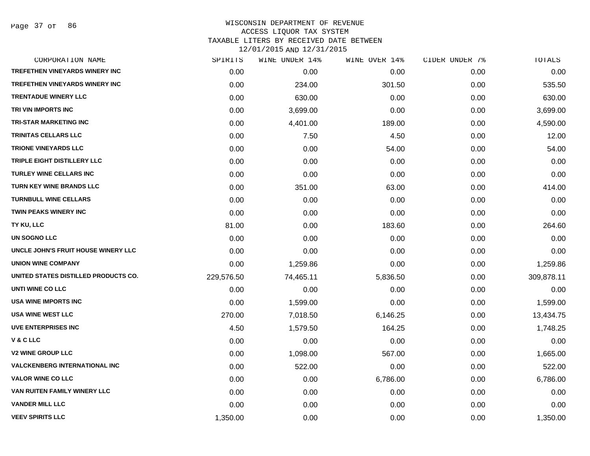Page 37 of 86

| SPIRITS    | WINE UNDER 14% | WINE OVER 14% | CIDER UNDER 7% | TOTALS     |
|------------|----------------|---------------|----------------|------------|
| 0.00       | 0.00           | 0.00          | 0.00           | 0.00       |
| 0.00       | 234.00         | 301.50        | 0.00           | 535.50     |
| 0.00       | 630.00         | 0.00          | 0.00           | 630.00     |
| 0.00       | 3,699.00       | 0.00          | 0.00           | 3,699.00   |
| 0.00       | 4,401.00       | 189.00        | 0.00           | 4,590.00   |
| 0.00       | 7.50           | 4.50          | 0.00           | 12.00      |
| 0.00       | 0.00           | 54.00         | 0.00           | 54.00      |
| 0.00       | 0.00           | 0.00          | 0.00           | 0.00       |
| 0.00       | 0.00           | 0.00          | 0.00           | 0.00       |
| 0.00       | 351.00         | 63.00         | 0.00           | 414.00     |
| 0.00       | 0.00           | 0.00          | 0.00           | 0.00       |
| 0.00       | 0.00           | 0.00          | 0.00           | 0.00       |
| 81.00      | 0.00           | 183.60        | 0.00           | 264.60     |
| 0.00       | 0.00           | 0.00          | 0.00           | 0.00       |
| 0.00       | 0.00           | 0.00          | 0.00           | 0.00       |
| 0.00       | 1,259.86       | 0.00          | 0.00           | 1,259.86   |
| 229,576.50 | 74,465.11      | 5,836.50      | 0.00           | 309,878.11 |
| 0.00       | 0.00           | 0.00          | 0.00           | 0.00       |
| 0.00       | 1,599.00       | 0.00          | 0.00           | 1,599.00   |
| 270.00     | 7,018.50       | 6,146.25      | 0.00           | 13,434.75  |
| 4.50       | 1,579.50       | 164.25        | 0.00           | 1,748.25   |
| 0.00       | 0.00           | 0.00          | 0.00           | 0.00       |
| 0.00       | 1,098.00       | 567.00        | 0.00           | 1,665.00   |
| 0.00       | 522.00         | 0.00          | 0.00           | 522.00     |
| 0.00       | 0.00           | 6,786.00      | 0.00           | 6,786.00   |
| 0.00       | 0.00           | 0.00          | 0.00           | 0.00       |
| 0.00       | 0.00           | 0.00          | 0.00           | 0.00       |
| 1,350.00   | 0.00           | 0.00          | 0.00           | 1,350.00   |
|            |                |               |                |            |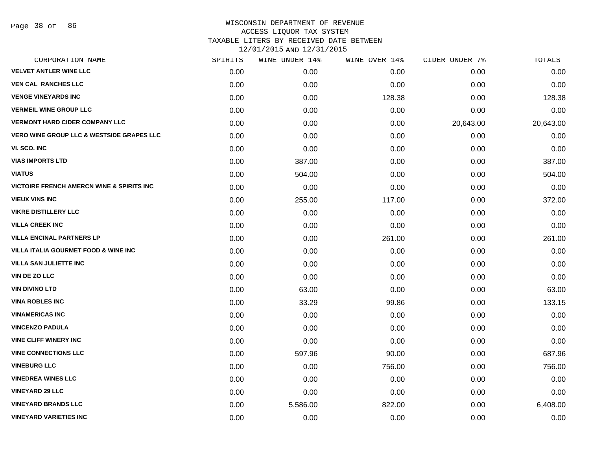| SPIRITS | WINE UNDER 14% | WINE OVER 14% | CIDER UNDER 7% | TOTALS    |
|---------|----------------|---------------|----------------|-----------|
| 0.00    | 0.00           | 0.00          | 0.00           | 0.00      |
| 0.00    | 0.00           | 0.00          | 0.00           | 0.00      |
| 0.00    | 0.00           | 128.38        | 0.00           | 128.38    |
| 0.00    | 0.00           | 0.00          | 0.00           | 0.00      |
| 0.00    | 0.00           | 0.00          | 20,643.00      | 20,643.00 |
| 0.00    | 0.00           | 0.00          | 0.00           | 0.00      |
| 0.00    | 0.00           | 0.00          | 0.00           | 0.00      |
| 0.00    | 387.00         | 0.00          | 0.00           | 387.00    |
| 0.00    | 504.00         | 0.00          | 0.00           | 504.00    |
| 0.00    | 0.00           | 0.00          | 0.00           | 0.00      |
| 0.00    | 255.00         | 117.00        | 0.00           | 372.00    |
| 0.00    | 0.00           | 0.00          | 0.00           | 0.00      |
| 0.00    | 0.00           | 0.00          | 0.00           | 0.00      |
| 0.00    | 0.00           | 261.00        | 0.00           | 261.00    |
| 0.00    | 0.00           | 0.00          | 0.00           | 0.00      |
| 0.00    | 0.00           | 0.00          | 0.00           | 0.00      |
| 0.00    | 0.00           | 0.00          | 0.00           | 0.00      |
| 0.00    | 63.00          | 0.00          | 0.00           | 63.00     |
| 0.00    | 33.29          | 99.86         | 0.00           | 133.15    |
| 0.00    | 0.00           | 0.00          | 0.00           | 0.00      |
| 0.00    | 0.00           | 0.00          | 0.00           | 0.00      |
| 0.00    | 0.00           | 0.00          | 0.00           | 0.00      |
| 0.00    | 597.96         | 90.00         | 0.00           | 687.96    |
| 0.00    | 0.00           | 756.00        | 0.00           | 756.00    |
| 0.00    | 0.00           | 0.00          | 0.00           | 0.00      |
| 0.00    | 0.00           | 0.00          | 0.00           | 0.00      |
| 0.00    | 5,586.00       | 822.00        | 0.00           | 6,408.00  |
| 0.00    | 0.00           | 0.00          | 0.00           | 0.00      |
|         |                |               |                |           |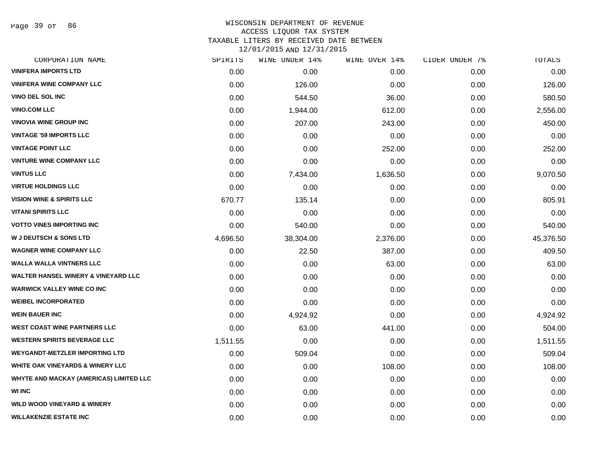Page 39 of 86

| CORPORATION NAME                               | SPIRITS  | WINE UNDER 14% | WINE OVER 14% | CIDER UNDER 7% | TOTALS    |
|------------------------------------------------|----------|----------------|---------------|----------------|-----------|
| <b>VINIFERA IMPORTS LTD</b>                    | 0.00     | 0.00           | 0.00          | 0.00           | 0.00      |
| <b>VINIFERA WINE COMPANY LLC</b>               | 0.00     | 126.00         | 0.00          | 0.00           | 126.00    |
| VINO DEL SOL INC                               | 0.00     | 544.50         | 36.00         | 0.00           | 580.50    |
| <b>VINO.COM LLC</b>                            | 0.00     | 1,944.00       | 612.00        | 0.00           | 2,556.00  |
| <b>VINOVIA WINE GROUP INC</b>                  | 0.00     | 207.00         | 243.00        | 0.00           | 450.00    |
| <b>VINTAGE '59 IMPORTS LLC</b>                 | 0.00     | 0.00           | 0.00          | 0.00           | 0.00      |
| <b>VINTAGE POINT LLC</b>                       | 0.00     | 0.00           | 252.00        | 0.00           | 252.00    |
| <b>VINTURE WINE COMPANY LLC</b>                | 0.00     | 0.00           | 0.00          | 0.00           | 0.00      |
| <b>VINTUS LLC</b>                              | 0.00     | 7,434.00       | 1,636.50      | 0.00           | 9,070.50  |
| <b>VIRTUE HOLDINGS LLC</b>                     | 0.00     | 0.00           | 0.00          | 0.00           | 0.00      |
| <b>VISION WINE &amp; SPIRITS LLC</b>           | 670.77   | 135.14         | 0.00          | 0.00           | 805.91    |
| <b>VITANI SPIRITS LLC</b>                      | 0.00     | 0.00           | 0.00          | 0.00           | 0.00      |
| <b>VOTTO VINES IMPORTING INC</b>               | 0.00     | 540.00         | 0.00          | 0.00           | 540.00    |
| <b>W J DEUTSCH &amp; SONS LTD</b>              | 4,696.50 | 38,304.00      | 2,376.00      | 0.00           | 45,376.50 |
| <b>WAGNER WINE COMPANY LLC</b>                 | 0.00     | 22.50          | 387.00        | 0.00           | 409.50    |
| <b>WALLA WALLA VINTNERS LLC</b>                | 0.00     | 0.00           | 63.00         | 0.00           | 63.00     |
| <b>WALTER HANSEL WINERY &amp; VINEYARD LLC</b> | 0.00     | 0.00           | 0.00          | 0.00           | 0.00      |
| <b>WARWICK VALLEY WINE CO INC</b>              | 0.00     | 0.00           | 0.00          | 0.00           | 0.00      |
| <b>WEIBEL INCORPORATED</b>                     | 0.00     | 0.00           | 0.00          | 0.00           | 0.00      |
| <b>WEIN BAUER INC</b>                          | 0.00     | 4,924.92       | 0.00          | 0.00           | 4,924.92  |
| <b>WEST COAST WINE PARTNERS LLC</b>            | 0.00     | 63.00          | 441.00        | 0.00           | 504.00    |
| <b>WESTERN SPIRITS BEVERAGE LLC</b>            | 1,511.55 | 0.00           | 0.00          | 0.00           | 1,511.55  |
| <b>WEYGANDT-METZLER IMPORTING LTD</b>          | 0.00     | 509.04         | 0.00          | 0.00           | 509.04    |
| <b>WHITE OAK VINEYARDS &amp; WINERY LLC</b>    | 0.00     | 0.00           | 108.00        | 0.00           | 108.00    |
| WHYTE AND MACKAY (AMERICAS) LIMITED LLC        | 0.00     | 0.00           | 0.00          | 0.00           | 0.00      |
| <b>WI INC</b>                                  | 0.00     | 0.00           | 0.00          | 0.00           | 0.00      |
| WILD WOOD VINEYARD & WINERY                    | 0.00     | 0.00           | 0.00          | 0.00           | 0.00      |
| <b>WILLAKENZIE ESTATE INC</b>                  | 0.00     | 0.00           | 0.00          | 0.00           | 0.00      |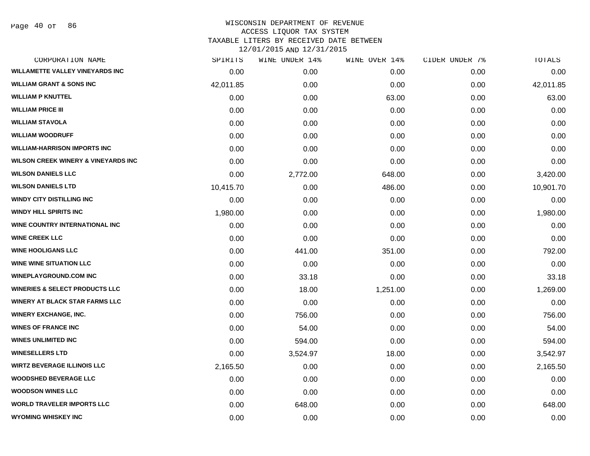Page 40 of 86

# WISCONSIN DEPARTMENT OF REVENUE ACCESS LIQUOR TAX SYSTEM TAXABLE LITERS BY RECEIVED DATE BETWEEN

| CORPORATION NAME                               | SPIRITS   | WINE UNDER 14% | WINE OVER 14% | CIDER UNDER 7% | TOTALS    |
|------------------------------------------------|-----------|----------------|---------------|----------------|-----------|
| <b>WILLAMETTE VALLEY VINEYARDS INC</b>         | 0.00      | 0.00           | 0.00          | 0.00           | 0.00      |
| <b>WILLIAM GRANT &amp; SONS INC</b>            | 42,011.85 | 0.00           | 0.00          | 0.00           | 42,011.85 |
| <b>WILLIAM P KNUTTEL</b>                       | 0.00      | 0.00           | 63.00         | 0.00           | 63.00     |
| <b>WILLIAM PRICE III</b>                       | 0.00      | 0.00           | 0.00          | 0.00           | 0.00      |
| <b>WILLIAM STAVOLA</b>                         | 0.00      | 0.00           | 0.00          | 0.00           | 0.00      |
| <b>WILLIAM WOODRUFF</b>                        | 0.00      | 0.00           | 0.00          | 0.00           | 0.00      |
| <b>WILLIAM-HARRISON IMPORTS INC</b>            | 0.00      | 0.00           | 0.00          | 0.00           | 0.00      |
| <b>WILSON CREEK WINERY &amp; VINEYARDS INC</b> | 0.00      | 0.00           | 0.00          | 0.00           | 0.00      |
| <b>WILSON DANIELS LLC</b>                      | 0.00      | 2,772.00       | 648.00        | 0.00           | 3,420.00  |
| <b>WILSON DANIELS LTD</b>                      | 10,415.70 | 0.00           | 486.00        | 0.00           | 10,901.70 |
| <b>WINDY CITY DISTILLING INC</b>               | 0.00      | 0.00           | 0.00          | 0.00           | 0.00      |
| <b>WINDY HILL SPIRITS INC</b>                  | 1,980.00  | 0.00           | 0.00          | 0.00           | 1,980.00  |
| <b>WINE COUNTRY INTERNATIONAL INC</b>          | 0.00      | 0.00           | 0.00          | 0.00           | 0.00      |
| <b>WINE CREEK LLC</b>                          | 0.00      | 0.00           | 0.00          | 0.00           | 0.00      |
| <b>WINE HOOLIGANS LLC</b>                      | 0.00      | 441.00         | 351.00        | 0.00           | 792.00    |
| <b>WINE WINE SITUATION LLC</b>                 | 0.00      | 0.00           | 0.00          | 0.00           | 0.00      |
| <b>WINEPLAYGROUND.COM INC</b>                  | 0.00      | 33.18          | 0.00          | 0.00           | 33.18     |
| <b>WINERIES &amp; SELECT PRODUCTS LLC</b>      | 0.00      | 18.00          | 1,251.00      | 0.00           | 1,269.00  |
| <b>WINERY AT BLACK STAR FARMS LLC</b>          | 0.00      | 0.00           | 0.00          | 0.00           | 0.00      |
| <b>WINERY EXCHANGE, INC.</b>                   | 0.00      | 756.00         | 0.00          | 0.00           | 756.00    |
| <b>WINES OF FRANCE INC</b>                     | 0.00      | 54.00          | 0.00          | 0.00           | 54.00     |
| <b>WINES UNLIMITED INC</b>                     | 0.00      | 594.00         | 0.00          | 0.00           | 594.00    |
| <b>WINESELLERS LTD</b>                         | 0.00      | 3,524.97       | 18.00         | 0.00           | 3,542.97  |
| <b>WIRTZ BEVERAGE ILLINOIS LLC</b>             | 2,165.50  | 0.00           | 0.00          | 0.00           | 2,165.50  |
| <b>WOODSHED BEVERAGE LLC</b>                   | 0.00      | 0.00           | 0.00          | 0.00           | 0.00      |
| <b>WOODSON WINES LLC</b>                       | 0.00      | 0.00           | 0.00          | 0.00           | 0.00      |
| <b>WORLD TRAVELER IMPORTS LLC</b>              | 0.00      | 648.00         | 0.00          | 0.00           | 648.00    |
| <b>WYOMING WHISKEY INC</b>                     | 0.00      | 0.00           | 0.00          | 0.00           | 0.00      |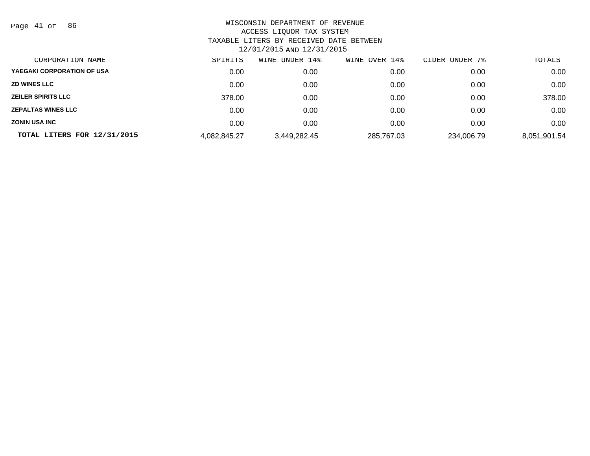Page 41 of 86

| CORPORATION NAME            | SPIRITS      | WINE UNDER 14% | WINE OVER 14% | CIDER UNDER<br>7% | TOTALS       |
|-----------------------------|--------------|----------------|---------------|-------------------|--------------|
| YAEGAKI CORPORATION OF USA  | 0.00         | 0.00           | 0.00          | 0.00              | 0.00         |
| <b>ZD WINES LLC</b>         | 0.00         | 0.00           | 0.00          | 0.00              | 0.00         |
| <b>ZEILER SPIRITS LLC</b>   | 378.00       | 0.00           | 0.00          | 0.00              | 378.00       |
| <b>ZEPALTAS WINES LLC</b>   | 0.00         | 0.00           | 0.00          | 0.00              | 0.00         |
| <b>ZONIN USA INC</b>        | 0.00         | 0.00           | 0.00          | 0.00              | 0.00         |
| TOTAL LITERS FOR 12/31/2015 | 4,082,845.27 | 3,449,282.45   | 285,767.03    | 234,006.79        | 8,051,901.54 |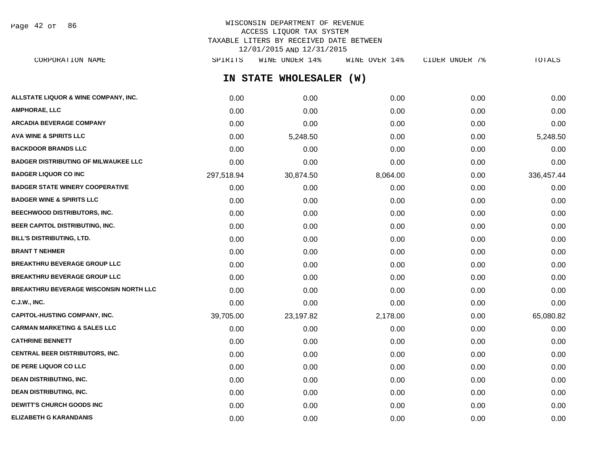Page 42 of 86

# WISCONSIN DEPARTMENT OF REVENUE ACCESS LIQUOR TAX SYSTEM TAXABLE LITERS BY RECEIVED DATE BETWEEN 12/01/2015 AND 12/31/2015

| CORPORATION NAME                                | SPIRITS    | WINE UNDER 14%          | WINE OVER 14% | CIDER UNDER 7% | TOTALS     |
|-------------------------------------------------|------------|-------------------------|---------------|----------------|------------|
|                                                 |            | IN STATE WHOLESALER (W) |               |                |            |
| <b>ALLSTATE LIQUOR &amp; WINE COMPANY, INC.</b> | 0.00       | 0.00                    | 0.00          | 0.00           | 0.00       |
| AMPHORAE, LLC                                   | 0.00       | 0.00                    | 0.00          | 0.00           | 0.00       |
| ARCADIA BEVERAGE COMPANY                        | 0.00       | 0.00                    | 0.00          | 0.00           | 0.00       |
| AVA WINE & SPIRITS LLC                          | 0.00       | 5,248.50                | 0.00          | 0.00           | 5,248.50   |
| <b>BACKDOOR BRANDS LLC</b>                      | 0.00       | 0.00                    | 0.00          | 0.00           | 0.00       |
| <b>BADGER DISTRIBUTING OF MILWAUKEE LLC</b>     | 0.00       | 0.00                    | 0.00          | 0.00           | 0.00       |
| <b>BADGER LIQUOR CO INC</b>                     | 297,518.94 | 30,874.50               | 8,064.00      | 0.00           | 336,457.44 |
| <b>BADGER STATE WINERY COOPERATIVE</b>          | 0.00       | 0.00                    | 0.00          | 0.00           | 0.00       |
| <b>BADGER WINE &amp; SPIRITS LLC</b>            | 0.00       | 0.00                    | 0.00          | 0.00           | 0.00       |
| <b>BEECHWOOD DISTRIBUTORS, INC.</b>             | 0.00       | 0.00                    | 0.00          | 0.00           | 0.00       |
| <b>BEER CAPITOL DISTRIBUTING, INC.</b>          | 0.00       | 0.00                    | 0.00          | 0.00           | 0.00       |
| <b>BILL'S DISTRIBUTING, LTD.</b>                | 0.00       | 0.00                    | 0.00          | 0.00           | 0.00       |
| <b>BRANT T NEHMER</b>                           | 0.00       | 0.00                    | 0.00          | 0.00           | 0.00       |
| <b>BREAKTHRU BEVERAGE GROUP LLC</b>             | 0.00       | 0.00                    | 0.00          | 0.00           | 0.00       |
| <b>BREAKTHRU BEVERAGE GROUP LLC</b>             | 0.00       | 0.00                    | 0.00          | 0.00           | 0.00       |
| <b>BREAKTHRU BEVERAGE WISCONSIN NORTH LLC</b>   | 0.00       | 0.00                    | 0.00          | 0.00           | 0.00       |
| C.J.W., INC.                                    | 0.00       | 0.00                    | 0.00          | 0.00           | 0.00       |
| <b>CAPITOL-HUSTING COMPANY, INC.</b>            | 39,705.00  | 23,197.82               | 2,178.00      | 0.00           | 65,080.82  |
| <b>CARMAN MARKETING &amp; SALES LLC</b>         | 0.00       | 0.00                    | 0.00          | 0.00           | 0.00       |
| <b>CATHRINE BENNETT</b>                         | 0.00       | 0.00                    | 0.00          | 0.00           | 0.00       |
| CENTRAL BEER DISTRIBUTORS, INC.                 | 0.00       | 0.00                    | 0.00          | 0.00           | 0.00       |
| <b>DE PERE LIQUOR CO LLC</b>                    | 0.00       | 0.00                    | 0.00          | 0.00           | 0.00       |
| <b>DEAN DISTRIBUTING, INC.</b>                  | 0.00       | 0.00                    | 0.00          | 0.00           | 0.00       |
| <b>DEAN DISTRIBUTING, INC.</b>                  | 0.00       | 0.00                    | 0.00          | 0.00           | 0.00       |
| <b>DEWITT'S CHURCH GOODS INC</b>                | 0.00       | 0.00                    | 0.00          | 0.00           | 0.00       |

**ELIZABETH G KARANDANIS** 0.00 0.00 0.00 0.00 0.00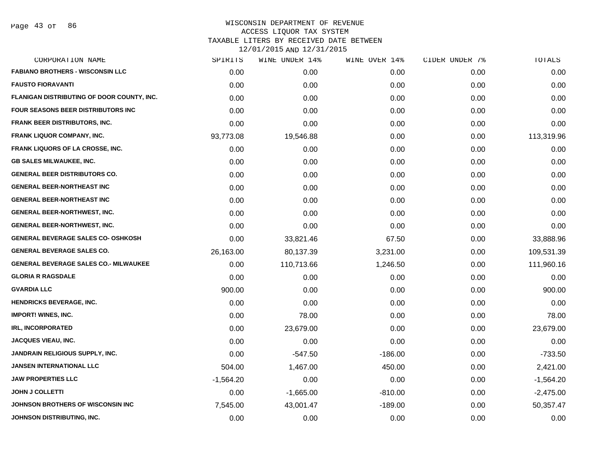| CORPORATION NAME                             | SPIRITS     | WINE UNDER 14% | WINE OVER 14% | CIDER UNDER 7% | TOTALS      |
|----------------------------------------------|-------------|----------------|---------------|----------------|-------------|
| <b>FABIANO BROTHERS - WISCONSIN LLC</b>      | 0.00        | 0.00           | 0.00          | 0.00           | 0.00        |
| <b>FAUSTO FIORAVANTI</b>                     | 0.00        | 0.00           | 0.00          | 0.00           | 0.00        |
| FLANIGAN DISTRIBUTING OF DOOR COUNTY, INC.   | 0.00        | 0.00           | 0.00          | 0.00           | 0.00        |
| <b>FOUR SEASONS BEER DISTRIBUTORS INC.</b>   | 0.00        | 0.00           | 0.00          | 0.00           | 0.00        |
| <b>FRANK BEER DISTRIBUTORS, INC.</b>         | 0.00        | 0.00           | 0.00          | 0.00           | 0.00        |
| <b>FRANK LIQUOR COMPANY, INC.</b>            | 93,773.08   | 19,546.88      | 0.00          | 0.00           | 113,319.96  |
| <b>FRANK LIQUORS OF LA CROSSE, INC.</b>      | 0.00        | 0.00           | 0.00          | 0.00           | 0.00        |
| <b>GB SALES MILWAUKEE, INC.</b>              | 0.00        | 0.00           | 0.00          | 0.00           | 0.00        |
| <b>GENERAL BEER DISTRIBUTORS CO.</b>         | 0.00        | 0.00           | 0.00          | 0.00           | 0.00        |
| <b>GENERAL BEER-NORTHEAST INC</b>            | 0.00        | 0.00           | 0.00          | 0.00           | 0.00        |
| <b>GENERAL BEER-NORTHEAST INC</b>            | 0.00        | 0.00           | 0.00          | 0.00           | 0.00        |
| <b>GENERAL BEER-NORTHWEST, INC.</b>          | 0.00        | 0.00           | 0.00          | 0.00           | 0.00        |
| <b>GENERAL BEER-NORTHWEST, INC.</b>          | 0.00        | 0.00           | 0.00          | 0.00           | 0.00        |
| <b>GENERAL BEVERAGE SALES CO- OSHKOSH</b>    | 0.00        | 33,821.46      | 67.50         | 0.00           | 33,888.96   |
| <b>GENERAL BEVERAGE SALES CO.</b>            | 26,163.00   | 80,137.39      | 3,231.00      | 0.00           | 109,531.39  |
| <b>GENERAL BEVERAGE SALES CO.- MILWAUKEE</b> | 0.00        | 110,713.66     | 1,246.50      | 0.00           | 111,960.16  |
| <b>GLORIA R RAGSDALE</b>                     | 0.00        | 0.00           | 0.00          | 0.00           | 0.00        |
| <b>GVARDIA LLC</b>                           | 900.00      | 0.00           | 0.00          | 0.00           | 900.00      |
| <b>HENDRICKS BEVERAGE, INC.</b>              | 0.00        | 0.00           | 0.00          | 0.00           | 0.00        |
| <b>IMPORT! WINES, INC.</b>                   | 0.00        | 78.00          | 0.00          | 0.00           | 78.00       |
| <b>IRL, INCORPORATED</b>                     | 0.00        | 23,679.00      | 0.00          | 0.00           | 23,679.00   |
| <b>JACQUES VIEAU, INC.</b>                   | 0.00        | 0.00           | 0.00          | 0.00           | 0.00        |
| JANDRAIN RELIGIOUS SUPPLY, INC.              | 0.00        | $-547.50$      | $-186.00$     | 0.00           | $-733.50$   |
| <b>JANSEN INTERNATIONAL LLC</b>              | 504.00      | 1,467.00       | 450.00        | 0.00           | 2,421.00    |
| <b>JAW PROPERTIES LLC</b>                    | $-1,564.20$ | 0.00           | 0.00          | 0.00           | $-1,564.20$ |
| <b>JOHN J COLLETTI</b>                       | 0.00        | $-1,665.00$    | $-810.00$     | 0.00           | $-2,475.00$ |
| JOHNSON BROTHERS OF WISCONSIN INC            | 7,545.00    | 43,001.47      | $-189.00$     | 0.00           | 50,357.47   |
| JOHNSON DISTRIBUTING, INC.                   | 0.00        | 0.00           | 0.00          | 0.00           | 0.00        |
|                                              |             |                |               |                |             |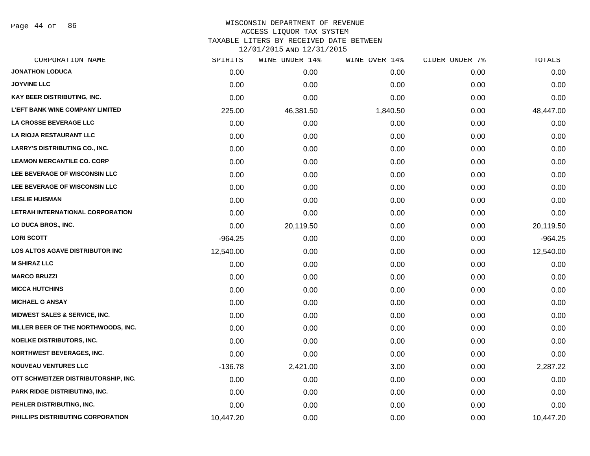Page 44 of 86

| CORPORATION NAME                         | SPIRITS   | WINE UNDER 14% | WINE OVER 14% | CIDER UNDER 7% | TOTALS    |
|------------------------------------------|-----------|----------------|---------------|----------------|-----------|
| <b>JONATHON LODUCA</b>                   | 0.00      | 0.00           | 0.00          | 0.00           | 0.00      |
| <b>JOYVINE LLC</b>                       | 0.00      | 0.00           | 0.00          | 0.00           | 0.00      |
| KAY BEER DISTRIBUTING, INC.              | 0.00      | 0.00           | 0.00          | 0.00           | 0.00      |
| <b>L'EFT BANK WINE COMPANY LIMITED</b>   | 225.00    | 46,381.50      | 1,840.50      | 0.00           | 48,447.00 |
| <b>LA CROSSE BEVERAGE LLC</b>            | 0.00      | 0.00           | 0.00          | 0.00           | 0.00      |
| LA RIOJA RESTAURANT LLC                  | 0.00      | 0.00           | 0.00          | 0.00           | 0.00      |
| <b>LARRY'S DISTRIBUTING CO., INC.</b>    | 0.00      | 0.00           | 0.00          | 0.00           | 0.00      |
| <b>LEAMON MERCANTILE CO. CORP</b>        | 0.00      | 0.00           | 0.00          | 0.00           | 0.00      |
| LEE BEVERAGE OF WISCONSIN LLC            | 0.00      | 0.00           | 0.00          | 0.00           | 0.00      |
| LEE BEVERAGE OF WISCONSIN LLC            | 0.00      | 0.00           | 0.00          | 0.00           | 0.00      |
| <b>LESLIE HUISMAN</b>                    | 0.00      | 0.00           | 0.00          | 0.00           | 0.00      |
| LETRAH INTERNATIONAL CORPORATION         | 0.00      | 0.00           | 0.00          | 0.00           | 0.00      |
| LO DUCA BROS., INC.                      | 0.00      | 20,119.50      | 0.00          | 0.00           | 20,119.50 |
| <b>LORI SCOTT</b>                        | $-964.25$ | 0.00           | 0.00          | 0.00           | $-964.25$ |
| LOS ALTOS AGAVE DISTRIBUTOR INC          | 12,540.00 | 0.00           | 0.00          | 0.00           | 12,540.00 |
| <b>M SHIRAZ LLC</b>                      | 0.00      | 0.00           | 0.00          | 0.00           | 0.00      |
| <b>MARCO BRUZZI</b>                      | 0.00      | 0.00           | 0.00          | 0.00           | 0.00      |
| <b>MICCA HUTCHINS</b>                    | 0.00      | 0.00           | 0.00          | 0.00           | 0.00      |
| <b>MICHAEL G ANSAY</b>                   | 0.00      | 0.00           | 0.00          | 0.00           | 0.00      |
| <b>MIDWEST SALES &amp; SERVICE, INC.</b> | 0.00      | 0.00           | 0.00          | 0.00           | 0.00      |
| MILLER BEER OF THE NORTHWOODS, INC.      | 0.00      | 0.00           | 0.00          | 0.00           | 0.00      |
| <b>NOELKE DISTRIBUTORS, INC.</b>         | 0.00      | 0.00           | 0.00          | 0.00           | 0.00      |
| <b>NORTHWEST BEVERAGES, INC.</b>         | 0.00      | 0.00           | 0.00          | 0.00           | 0.00      |
| <b>NOUVEAU VENTURES LLC</b>              | $-136.78$ | 2,421.00       | 3.00          | 0.00           | 2,287.22  |
| OTT SCHWEITZER DISTRIBUTORSHIP, INC.     | 0.00      | 0.00           | 0.00          | 0.00           | 0.00      |
| <b>PARK RIDGE DISTRIBUTING, INC.</b>     | 0.00      | 0.00           | 0.00          | 0.00           | 0.00      |
| PEHLER DISTRIBUTING, INC.                | 0.00      | 0.00           | 0.00          | 0.00           | 0.00      |
| PHILLIPS DISTRIBUTING CORPORATION        | 10,447.20 | 0.00           | 0.00          | 0.00           | 10,447.20 |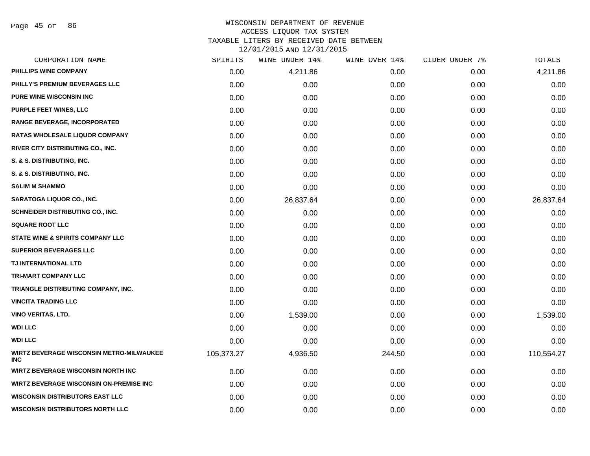Page 45 of 86

| CORPORATION NAME                                              | SPIRITS    | WINE UNDER 14% | WINE OVER 14% | CIDER UNDER 7% | <b>TOTALS</b> |
|---------------------------------------------------------------|------------|----------------|---------------|----------------|---------------|
| PHILLIPS WINE COMPANY                                         | 0.00       | 4,211.86       | 0.00          | 0.00           | 4,211.86      |
| PHILLY'S PREMIUM BEVERAGES LLC                                | 0.00       | 0.00           | 0.00          | 0.00           | 0.00          |
| <b>PURE WINE WISCONSIN INC</b>                                | 0.00       | 0.00           | 0.00          | 0.00           | 0.00          |
| <b>PURPLE FEET WINES, LLC</b>                                 | 0.00       | 0.00           | 0.00          | 0.00           | 0.00          |
| RANGE BEVERAGE, INCORPORATED                                  | 0.00       | 0.00           | 0.00          | 0.00           | 0.00          |
| <b>RATAS WHOLESALE LIQUOR COMPANY</b>                         | 0.00       | 0.00           | 0.00          | 0.00           | 0.00          |
| RIVER CITY DISTRIBUTING CO., INC.                             | 0.00       | 0.00           | 0.00          | 0.00           | 0.00          |
| S. & S. DISTRIBUTING, INC.                                    | 0.00       | 0.00           | 0.00          | 0.00           | 0.00          |
| S. & S. DISTRIBUTING, INC.                                    | 0.00       | 0.00           | 0.00          | 0.00           | 0.00          |
| <b>SALIM M SHAMMO</b>                                         | 0.00       | 0.00           | 0.00          | 0.00           | 0.00          |
| SARATOGA LIQUOR CO., INC.                                     | 0.00       | 26,837.64      | 0.00          | 0.00           | 26,837.64     |
| SCHNEIDER DISTRIBUTING CO., INC.                              | 0.00       | 0.00           | 0.00          | 0.00           | 0.00          |
| <b>SQUARE ROOT LLC</b>                                        | 0.00       | 0.00           | 0.00          | 0.00           | 0.00          |
| <b>STATE WINE &amp; SPIRITS COMPANY LLC</b>                   | 0.00       | 0.00           | 0.00          | 0.00           | 0.00          |
| <b>SUPERIOR BEVERAGES LLC</b>                                 | 0.00       | 0.00           | 0.00          | 0.00           | 0.00          |
| <b>TJ INTERNATIONAL LTD</b>                                   | 0.00       | 0.00           | 0.00          | 0.00           | 0.00          |
| <b>TRI-MART COMPANY LLC</b>                                   | 0.00       | 0.00           | 0.00          | 0.00           | 0.00          |
| TRIANGLE DISTRIBUTING COMPANY, INC.                           | 0.00       | 0.00           | 0.00          | 0.00           | 0.00          |
| <b>VINCITA TRADING LLC</b>                                    | 0.00       | 0.00           | 0.00          | 0.00           | 0.00          |
| <b>VINO VERITAS, LTD.</b>                                     | 0.00       | 1,539.00       | 0.00          | 0.00           | 1,539.00      |
| <b>WDI LLC</b>                                                | 0.00       | 0.00           | 0.00          | 0.00           | 0.00          |
| <b>WDI LLC</b>                                                | 0.00       | 0.00           | 0.00          | 0.00           | 0.00          |
| <b>WIRTZ BEVERAGE WISCONSIN METRO-MILWAUKEE</b><br><b>INC</b> | 105,373.27 | 4,936.50       | 244.50        | 0.00           | 110,554.27    |
| <b>WIRTZ BEVERAGE WISCONSIN NORTH INC</b>                     | 0.00       | 0.00           | 0.00          | 0.00           | 0.00          |
| WIRTZ BEVERAGE WISCONSIN ON-PREMISE INC                       | 0.00       | 0.00           | 0.00          | 0.00           | 0.00          |
| <b>WISCONSIN DISTRIBUTORS EAST LLC</b>                        | 0.00       | 0.00           | 0.00          | 0.00           | 0.00          |
| <b>WISCONSIN DISTRIBUTORS NORTH LLC</b>                       | 0.00       | 0.00           | 0.00          | 0.00           | 0.00          |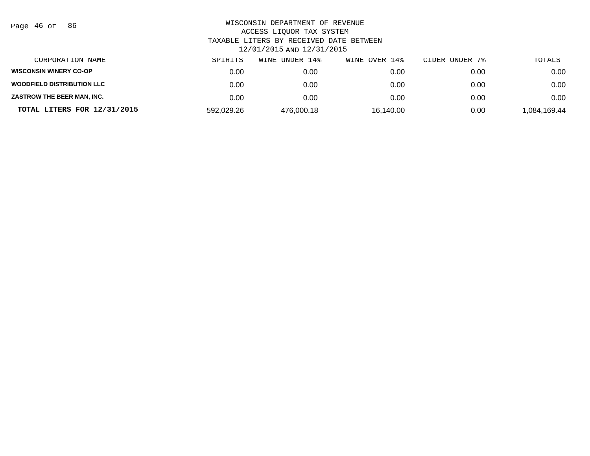| Page |  | 46 of | 86 |
|------|--|-------|----|
|------|--|-------|----|

| CORPORATION NAME                  | SPIRITS    | WINE UNDER 14% | WINE OVER 14% | CIDER UNDER 7% | TOTALS       |
|-----------------------------------|------------|----------------|---------------|----------------|--------------|
| <b>WISCONSIN WINERY CO-OP</b>     | 0.00       | 0.00           | 0.00          | 0.00           | 0.00         |
| <b>WOODFIELD DISTRIBUTION LLC</b> | 0.00       | 0.00           | 0.00          | 0.00           | 0.00         |
| ZASTROW THE BEER MAN, INC.        | 0.00       | 0.00           | 0.00          | 0.00           | 0.00         |
| TOTAL LITERS FOR 12/31/2015       | 592,029.26 | 476,000.18     | 16,140.00     | 0.00           | 1,084,169.44 |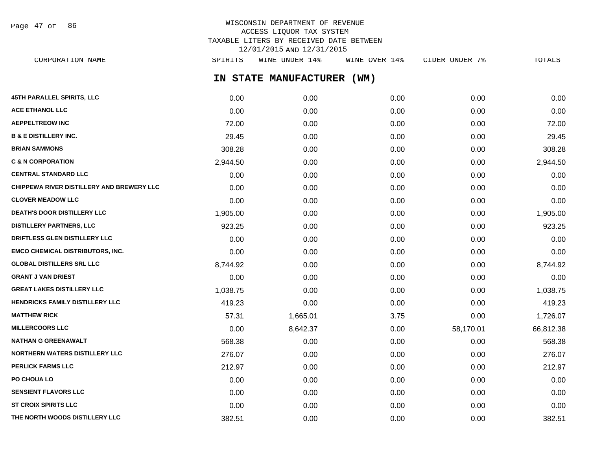Page 47 of 86

# WISCONSIN DEPARTMENT OF REVENUE ACCESS LIQUOR TAX SYSTEM TAXABLE LITERS BY RECEIVED DATE BETWEEN 12/01/2015 AND 12/31/2015

**IN STATE MANUFACTURER (WM) 45TH PARALLEL SPIRITS, LLC** 0.00 0.00 0.00 0.00 0.00 **ACE ETHANOL LLC** 0.00 0.00 0.00 0.00 0.00 **AEPPELTREOW INC** 72.00 0.00 0.00 0.00 72.00 **B & E DISTILLERY INC.** 29.45 0.00 0.00 0.00 29.45 **BRIAN SAMMONS** 308.28 0.00 0.00 0.00 308.28 **C & N CORPORATION** 2,944.50 0.00 0.00 0.00 2,944.50 **CENTRAL STANDARD LLC** 0.00 0.00 0.00 0.00 0.00 **CHIPPEWA RIVER DISTILLERY AND BREWERY LLC** 0.00 0.00 0.00 0.00 0.00 **CLOVER MEADOW LLC** 0.00 0.00 0.00 0.00 0.00 **DEATH'S DOOR DISTILLERY LLC** 1,905.00 0.00 0.00 0.00 1,905.00 **DISTILLERY PARTNERS, LLC** 923.25 0.00 0.00 0.00 923.25 **DRIFTLESS GLEN DISTILLERY LLC** 0.00 0.00 0.00 0.00 0.00 **EMCO CHEMICAL DISTRIBUTORS, INC.** 0.00 0.00 0.00 0.00 0.00 **GLOBAL DISTILLERS SRL LLC** 8,744.92 0.00 0.00 0.00 8,744.92 **GRANT J VAN DRIEST** 0.00 0.00 0.00 0.00 0.00 **GREAT LAKES DISTILLERY LLC** 1,038.75 0.00 0.00 0.00 1,038.75 **HENDRICKS FAMILY DISTILLERY LLC** 419.23 0.00 0.00 0.00 0.00 0.00 419.23 **MATTHEW RICK** 57.31 1,665.01 3.75 0.00 1,726.07 **MILLERCOORS LLC** 0.00 8,642.37 0.00 58,170.01 66,812.38 **NATHAN G GREENAWALT** 568.38 0.00 0.00 0.00 568.38 **NORTHERN WATERS DISTILLERY LLC** 276.07 0.00 0.00 0.00 276.07 **PERLICK FARMS LLC** 212.97 0.00 0.00 0.00 212.97 **PO CHOUA LO** 0.00 0.00 0.00 0.00 0.00 **SENSIENT FLAVORS LLC** 0.00 0.00 0.00 0.00 0.00 **ST CROIX SPIRITS LLC** 0.00 0.00 0.00 0.00 0.00 CORPORATION NAME SPIRITS WINE UNDER 14% WINE OVER 14% CIDER UNDER 7% TOTALS

**THE NORTH WOODS DISTILLERY LLC**  $382.51$  0.00 0.00 0.00 0.00 0.00 0.00 382.51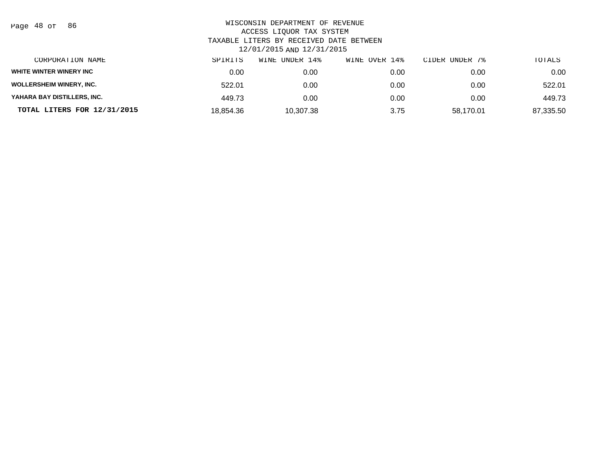| Page | 48 of | 86 |
|------|-------|----|
|------|-------|----|

| CORPORATION NAME                | SPIRITS   | UNDER 14%<br>WINE | WINE OVER 14% | CIDER UNDER 7% | TOTALS    |
|---------------------------------|-----------|-------------------|---------------|----------------|-----------|
| WHITE WINTER WINERY INC         | 0.00      | 0.00              | 0.00          | 0.00           | 0.00      |
| <b>WOLLERSHEIM WINERY, INC.</b> | 522.01    | 0.00              | 0.00          | 0.00           | 522.01    |
| YAHARA BAY DISTILLERS, INC.     | 449.73    | 0.00              | 0.00          | 0.00           | 449.73    |
| TOTAL LITERS FOR 12/31/2015     | 18.854.36 | 10,307.38         | 3.75          | 58,170.01      | 87,335.50 |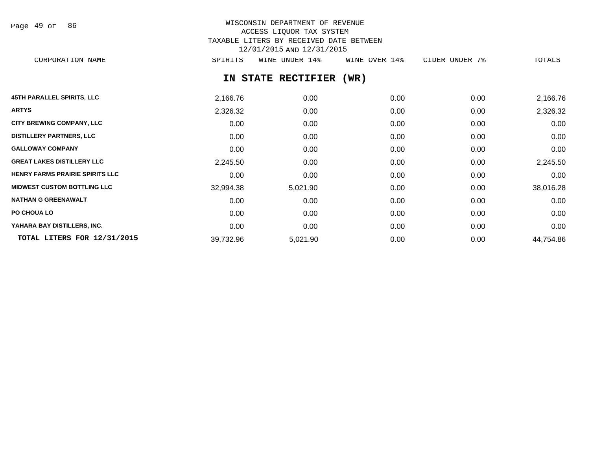Page 49 of 86

# WISCONSIN DEPARTMENT OF REVENUE ACCESS LIQUOR TAX SYSTEM TAXABLE LITERS BY RECEIVED DATE BETWEEN 12/01/2015 AND 12/31/2015

CORPORATION NAME SPIRITS WINE UNDER 14% WINE OVER 14% CIDER UNDER 7% TOTALS

# **IN STATE RECTIFIER (WR)**

| <b>45TH PARALLEL SPIRITS, LLC</b>      | 2,166.76  | 0.00     | 0.00 | 0.00 | 2,166.76  |
|----------------------------------------|-----------|----------|------|------|-----------|
| <b>ARTYS</b>                           | 2,326.32  | 0.00     | 0.00 | 0.00 | 2,326.32  |
| <b>CITY BREWING COMPANY, LLC</b>       | 0.00      | 0.00     | 0.00 | 0.00 | 0.00      |
| <b>DISTILLERY PARTNERS, LLC</b>        | 0.00      | 0.00     | 0.00 | 0.00 | 0.00      |
| <b>GALLOWAY COMPANY</b>                | 0.00      | 0.00     | 0.00 | 0.00 | 0.00      |
| <b>GREAT LAKES DISTILLERY LLC</b>      | 2,245.50  | 0.00     | 0.00 | 0.00 | 2,245.50  |
| <b>HENRY FARMS PRAIRIE SPIRITS LLC</b> | 0.00      | 0.00     | 0.00 | 0.00 | 0.00      |
| <b>MIDWEST CUSTOM BOTTLING LLC</b>     | 32,994.38 | 5,021.90 | 0.00 | 0.00 | 38,016.28 |
| <b>NATHAN G GREENAWALT</b>             | 0.00      | 0.00     | 0.00 | 0.00 | 0.00      |
| PO CHOUA LO                            | 0.00      | 0.00     | 0.00 | 0.00 | 0.00      |
| YAHARA BAY DISTILLERS, INC.            | 0.00      | 0.00     | 0.00 | 0.00 | 0.00      |
| TOTAL LITERS FOR 12/31/2015            | 39,732.96 | 5,021.90 | 0.00 | 0.00 | 44,754.86 |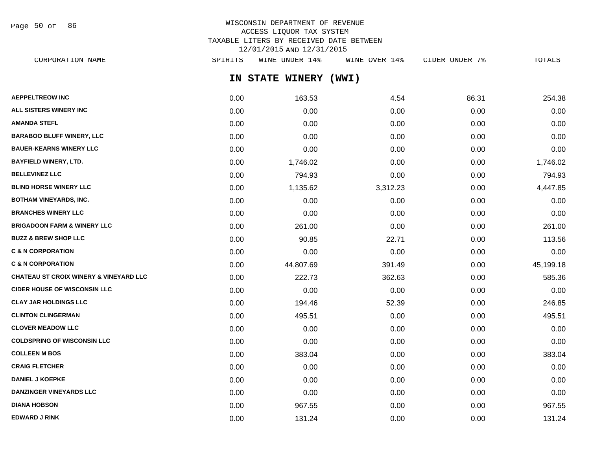Page 50 of 86

# WISCONSIN DEPARTMENT OF REVENUE ACCESS LIQUOR TAX SYSTEM TAXABLE LITERS BY RECEIVED DATE BETWEEN 12/01/2015 AND 12/31/2015

**IN STATE WINERY (WWI) AEPPELTREOW INC** 254.38 **6.31** 254.38 **ALL SISTERS WINERY INC** 0.00 0.00 0.00 0.00 0.00 **AMANDA STEFL** 0.00 0.00 0.00 0.00 0.00 **BARABOO BLUFF WINERY, LLC** 0.00 0.00 0.00 0.00 0.00 **BAUER-KEARNS WINERY LLC** 0.00 0.00 0.00 0.00 0.00 **BAYFIELD WINERY, LTD.** 0.00 1,746.02 0.00 0.00 1,746.02 **BELLEVINEZ LLC** 0.00 794.93 0.00 0.00 794.93 **BLIND HORSE WINERY LLC** 0.00 1,135.62 3,312.23 0.00 4,447.85 **BOTHAM VINEYARDS, INC.** 0.00 0.00 0.00 0.00 0.00 **BRANCHES WINERY LLC** 0.00 0.00 0.00 0.00 0.00 **BRIGADOON FARM & WINERY LLC** 0.00 261.00 0.00 0.00 261.00 **BUZZ & BREW SHOP LLC** 2.00 22.71 0.00 22.71 0.00 0.00 22.71 0.00 113.56 **C & N CORPORATION** 0.00 0.00 0.00 0.00 0.00 **C & N CORPORATION** 0.00 44,807.69 391.49 0.00 45,199.18 **CHATEAU ST CROIX WINERY & VINEYARD LLC** 0.00 222.73 362.63 0.00 585.36 **CIDER HOUSE OF WISCONSIN LLC** 0.00 0.00 0.00 0.00 0.00 **CLAY JAR HOLDINGS LLC** 0.00 194.46 52.39 0.00 246.85 **CLINTON CLINGERMAN** 0.00 495.51 0.00 0.00 495.51 **CLOVER MEADOW LLC** 0.00 0.00 0.00 0.00 0.00 **COLDSPRING OF WISCONSIN LLC** 0.00 0.00 0.00 0.00 0.00 **COLLEEN M BOS** 0.00 383.04 0.00 0.00 383.04 **CRAIG FLETCHER** 0.00 0.00 0.00 0.00 0.00 **DANIEL J KOEPKE** 0.00 0.00 0.00 0.00 0.00 **DANZINGER VINEYARDS LLC** 0.00 0.00 0.00 0.00 0.00 CORPORATION NAME SPIRITS WINE UNDER 14% WINE OVER 14% CIDER UNDER 7% TOTALS

**DIANA HOBSON** 0.00 967.55 0.00 0.00 967.55 **EDWARD J RINK** 0.00 131.24 0.00 0.00 131.24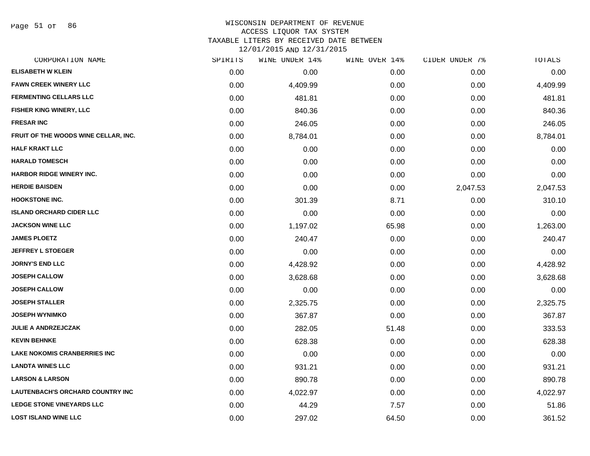Page 51 of 86

#### WISCONSIN DEPARTMENT OF REVENUE ACCESS LIQUOR TAX SYSTEM

TAXABLE LITERS BY RECEIVED DATE BETWEEN

| CORPORATION NAME                        | SPIRITS | WINE UNDER 14% | WINE OVER 14% | CIDER UNDER 7% | TOTALS   |
|-----------------------------------------|---------|----------------|---------------|----------------|----------|
| <b>ELISABETH W KLEIN</b>                | 0.00    | 0.00           | 0.00          | 0.00           | 0.00     |
| <b>FAWN CREEK WINERY LLC</b>            | 0.00    | 4,409.99       | 0.00          | 0.00           | 4,409.99 |
| <b>FERMENTING CELLARS LLC</b>           | 0.00    | 481.81         | 0.00          | 0.00           | 481.81   |
| FISHER KING WINERY, LLC                 | 0.00    | 840.36         | 0.00          | 0.00           | 840.36   |
| <b>FRESAR INC</b>                       | 0.00    | 246.05         | 0.00          | 0.00           | 246.05   |
| FRUIT OF THE WOODS WINE CELLAR, INC.    | 0.00    | 8,784.01       | 0.00          | 0.00           | 8,784.01 |
| <b>HALF KRAKT LLC</b>                   | 0.00    | 0.00           | 0.00          | 0.00           | 0.00     |
| <b>HARALD TOMESCH</b>                   | 0.00    | 0.00           | 0.00          | 0.00           | 0.00     |
| HARBOR RIDGE WINERY INC.                | 0.00    | 0.00           | 0.00          | 0.00           | 0.00     |
| <b>HERDIE BAISDEN</b>                   | 0.00    | 0.00           | 0.00          | 2,047.53       | 2,047.53 |
| <b>HOOKSTONE INC.</b>                   | 0.00    | 301.39         | 8.71          | 0.00           | 310.10   |
| <b>ISLAND ORCHARD CIDER LLC</b>         | 0.00    | 0.00           | 0.00          | 0.00           | 0.00     |
| <b>JACKSON WINE LLC</b>                 | 0.00    | 1,197.02       | 65.98         | 0.00           | 1,263.00 |
| <b>JAMES PLOETZ</b>                     | 0.00    | 240.47         | 0.00          | 0.00           | 240.47   |
| <b>JEFFREY L STOEGER</b>                | 0.00    | 0.00           | 0.00          | 0.00           | 0.00     |
| <b>JORNY'S END LLC</b>                  | 0.00    | 4,428.92       | 0.00          | 0.00           | 4,428.92 |
| <b>JOSEPH CALLOW</b>                    | 0.00    | 3,628.68       | 0.00          | 0.00           | 3,628.68 |
| <b>JOSEPH CALLOW</b>                    | 0.00    | 0.00           | 0.00          | 0.00           | 0.00     |
| <b>JOSEPH STALLER</b>                   | 0.00    | 2,325.75       | 0.00          | 0.00           | 2,325.75 |
| <b>JOSEPH WYNIMKO</b>                   | 0.00    | 367.87         | 0.00          | 0.00           | 367.87   |
| <b>JULIE A ANDRZEJCZAK</b>              | 0.00    | 282.05         | 51.48         | 0.00           | 333.53   |
| <b>KEVIN BEHNKE</b>                     | 0.00    | 628.38         | 0.00          | 0.00           | 628.38   |
| <b>LAKE NOKOMIS CRANBERRIES INC</b>     | 0.00    | 0.00           | 0.00          | 0.00           | 0.00     |
| <b>LANDTA WINES LLC</b>                 | 0.00    | 931.21         | 0.00          | 0.00           | 931.21   |
| <b>LARSON &amp; LARSON</b>              | 0.00    | 890.78         | 0.00          | 0.00           | 890.78   |
| <b>LAUTENBACH'S ORCHARD COUNTRY INC</b> | 0.00    | 4,022.97       | 0.00          | 0.00           | 4,022.97 |
| <b>LEDGE STONE VINEYARDS LLC</b>        | 0.00    | 44.29          | 7.57          | 0.00           | 51.86    |
| <b>LOST ISLAND WINE LLC</b>             | 0.00    | 297.02         | 64.50         | 0.00           | 361.52   |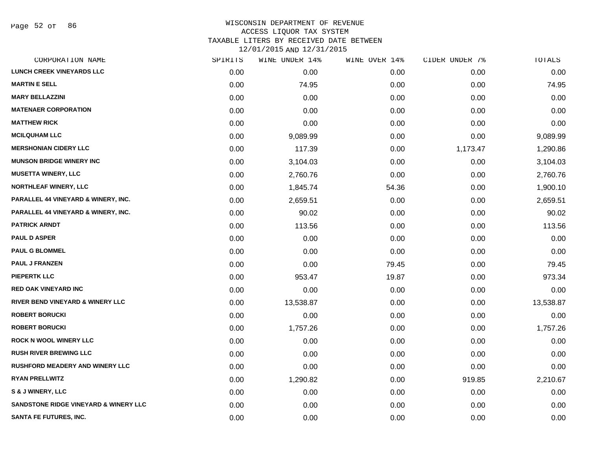Page 52 of 86

## WISCONSIN DEPARTMENT OF REVENUE ACCESS LIQUOR TAX SYSTEM TAXABLE LITERS BY RECEIVED DATE BETWEEN

| CORPORATION NAME                                 | SPIRITS | WINE UNDER 14% | WINE OVER 14% | CIDER UNDER 7% | TOTALS    |
|--------------------------------------------------|---------|----------------|---------------|----------------|-----------|
| <b>LUNCH CREEK VINEYARDS LLC</b>                 | 0.00    | 0.00           | 0.00          | 0.00           | 0.00      |
| <b>MARTIN E SELL</b>                             | 0.00    | 74.95          | 0.00          | 0.00           | 74.95     |
| <b>MARY BELLAZZINI</b>                           | 0.00    | 0.00           | 0.00          | 0.00           | 0.00      |
| <b>MATENAER CORPORATION</b>                      | 0.00    | 0.00           | 0.00          | 0.00           | 0.00      |
| <b>MATTHEW RICK</b>                              | 0.00    | 0.00           | 0.00          | 0.00           | 0.00      |
| <b>MCILQUHAM LLC</b>                             | 0.00    | 9,089.99       | 0.00          | 0.00           | 9,089.99  |
| <b>MERSHONIAN CIDERY LLC</b>                     | 0.00    | 117.39         | 0.00          | 1,173.47       | 1,290.86  |
| <b>MUNSON BRIDGE WINERY INC</b>                  | 0.00    | 3,104.03       | 0.00          | 0.00           | 3,104.03  |
| <b>MUSETTA WINERY, LLC</b>                       | 0.00    | 2,760.76       | 0.00          | 0.00           | 2,760.76  |
| <b>NORTHLEAF WINERY, LLC</b>                     | 0.00    | 1,845.74       | 54.36         | 0.00           | 1,900.10  |
| PARALLEL 44 VINEYARD & WINERY, INC.              | 0.00    | 2,659.51       | 0.00          | 0.00           | 2,659.51  |
| PARALLEL 44 VINEYARD & WINERY, INC.              | 0.00    | 90.02          | 0.00          | 0.00           | 90.02     |
| <b>PATRICK ARNDT</b>                             | 0.00    | 113.56         | 0.00          | 0.00           | 113.56    |
| <b>PAUL D ASPER</b>                              | 0.00    | 0.00           | 0.00          | 0.00           | 0.00      |
| <b>PAUL G BLOMMEL</b>                            | 0.00    | 0.00           | 0.00          | 0.00           | 0.00      |
| <b>PAUL J FRANZEN</b>                            | 0.00    | 0.00           | 79.45         | 0.00           | 79.45     |
| <b>PIEPERTK LLC</b>                              | 0.00    | 953.47         | 19.87         | 0.00           | 973.34    |
| <b>RED OAK VINEYARD INC</b>                      | 0.00    | 0.00           | 0.00          | 0.00           | 0.00      |
| <b>RIVER BEND VINEYARD &amp; WINERY LLC</b>      | 0.00    | 13,538.87      | 0.00          | 0.00           | 13,538.87 |
| <b>ROBERT BORUCKI</b>                            | 0.00    | 0.00           | 0.00          | 0.00           | 0.00      |
| <b>ROBERT BORUCKI</b>                            | 0.00    | 1,757.26       | 0.00          | 0.00           | 1,757.26  |
| <b>ROCK N WOOL WINERY LLC</b>                    | 0.00    | 0.00           | 0.00          | 0.00           | 0.00      |
| <b>RUSH RIVER BREWING LLC</b>                    | 0.00    | 0.00           | 0.00          | 0.00           | 0.00      |
| <b>RUSHFORD MEADERY AND WINERY LLC</b>           | 0.00    | 0.00           | 0.00          | 0.00           | 0.00      |
| <b>RYAN PRELLWITZ</b>                            | 0.00    | 1,290.82       | 0.00          | 919.85         | 2,210.67  |
| S & J WINERY, LLC                                | 0.00    | 0.00           | 0.00          | 0.00           | 0.00      |
| <b>SANDSTONE RIDGE VINEYARD &amp; WINERY LLC</b> | 0.00    | 0.00           | 0.00          | 0.00           | 0.00      |
| <b>SANTA FE FUTURES, INC.</b>                    | 0.00    | 0.00           | 0.00          | 0.00           | 0.00      |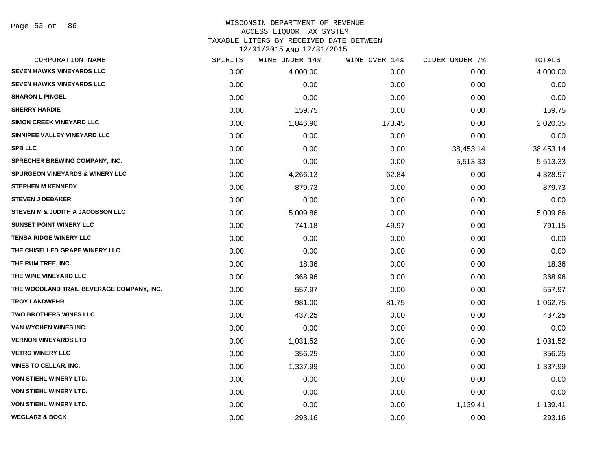# WISCONSIN DEPARTMENT OF REVENUE ACCESS LIQUOR TAX SYSTEM

TAXABLE LITERS BY RECEIVED DATE BETWEEN

| CORPORATION NAME                           | SPIRITS | WINE UNDER 14% | WINE OVER 14% | CIDER UNDER 7% | TOTALS    |
|--------------------------------------------|---------|----------------|---------------|----------------|-----------|
| <b>SEVEN HAWKS VINEYARDS LLC</b>           | 0.00    | 4,000.00       | 0.00          | 0.00           | 4,000.00  |
| <b>SEVEN HAWKS VINEYARDS LLC</b>           | 0.00    | 0.00           | 0.00          | 0.00           | 0.00      |
| <b>SHARON L PINGEL</b>                     | 0.00    | 0.00           | 0.00          | 0.00           | 0.00      |
| <b>SHERRY HARDIE</b>                       | 0.00    | 159.75         | 0.00          | 0.00           | 159.75    |
| <b>SIMON CREEK VINEYARD LLC</b>            | 0.00    | 1,846.90       | 173.45        | 0.00           | 2,020.35  |
| SINNIPEE VALLEY VINEYARD LLC               | 0.00    | 0.00           | 0.00          | 0.00           | 0.00      |
| <b>SPB LLC</b>                             | 0.00    | 0.00           | 0.00          | 38,453.14      | 38,453.14 |
| SPRECHER BREWING COMPANY, INC.             | 0.00    | 0.00           | 0.00          | 5,513.33       | 5,513.33  |
| <b>SPURGEON VINEYARDS &amp; WINERY LLC</b> | 0.00    | 4,266.13       | 62.84         | 0.00           | 4,328.97  |
| <b>STEPHEN M KENNEDY</b>                   | 0.00    | 879.73         | 0.00          | 0.00           | 879.73    |
| <b>STEVEN J DEBAKER</b>                    | 0.00    | 0.00           | 0.00          | 0.00           | 0.00      |
| STEVEN M & JUDITH A JACOBSON LLC           | 0.00    | 5,009.86       | 0.00          | 0.00           | 5,009.86  |
| <b>SUNSET POINT WINERY LLC</b>             | 0.00    | 741.18         | 49.97         | 0.00           | 791.15    |
| <b>TENBA RIDGE WINERY LLC</b>              | 0.00    | 0.00           | 0.00          | 0.00           | 0.00      |
| THE CHISELLED GRAPE WINERY LLC             | 0.00    | 0.00           | 0.00          | 0.00           | 0.00      |
| THE RUM TREE, INC.                         | 0.00    | 18.36          | 0.00          | 0.00           | 18.36     |
| THE WINE VINEYARD LLC                      | 0.00    | 368.96         | 0.00          | 0.00           | 368.96    |
| THE WOODLAND TRAIL BEVERAGE COMPANY, INC.  | 0.00    | 557.97         | 0.00          | 0.00           | 557.97    |
| <b>TROY LANDWEHR</b>                       | 0.00    | 981.00         | 81.75         | 0.00           | 1,062.75  |
| <b>TWO BROTHERS WINES LLC</b>              | 0.00    | 437.25         | 0.00          | 0.00           | 437.25    |
| VAN WYCHEN WINES INC.                      | 0.00    | 0.00           | 0.00          | 0.00           | 0.00      |
| <b>VERNON VINEYARDS LTD</b>                | 0.00    | 1,031.52       | 0.00          | 0.00           | 1,031.52  |
| <b>VETRO WINERY LLC</b>                    | 0.00    | 356.25         | 0.00          | 0.00           | 356.25    |
| <b>VINES TO CELLAR, INC.</b>               | 0.00    | 1,337.99       | 0.00          | 0.00           | 1,337.99  |
| <b>VON STIEHL WINERY LTD.</b>              | 0.00    | 0.00           | 0.00          | 0.00           | 0.00      |
| <b>VON STIEHL WINERY LTD.</b>              | 0.00    | 0.00           | 0.00          | 0.00           | 0.00      |
| VON STIEHL WINERY LTD.                     | 0.00    | 0.00           | 0.00          | 1,139.41       | 1,139.41  |
| <b>WEGLARZ &amp; BOCK</b>                  | 0.00    | 293.16         | 0.00          | 0.00           | 293.16    |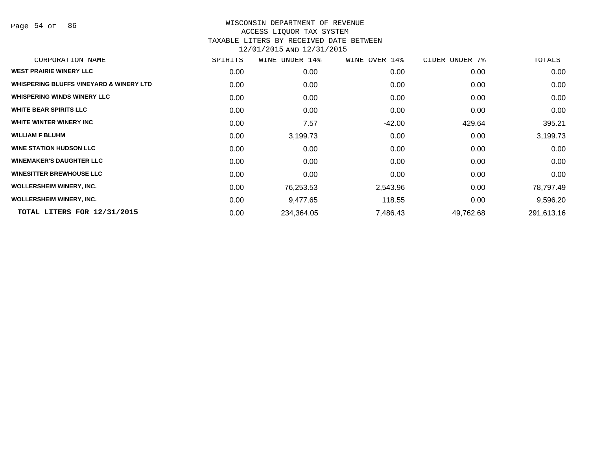Page 54 of 86

| CORPORATION NAME                                   | SPIRITS | WINE<br>UNDER 14% | WINE OVER 14% | CIDER UNDER 7% | TOTALS     |
|----------------------------------------------------|---------|-------------------|---------------|----------------|------------|
| <b>WEST PRAIRIE WINERY LLC</b>                     | 0.00    | 0.00              | 0.00          | 0.00           | 0.00       |
| <b>WHISPERING BLUFFS VINEYARD &amp; WINERY LTD</b> | 0.00    | 0.00              | 0.00          | 0.00           | 0.00       |
| <b>WHISPERING WINDS WINERY LLC</b>                 | 0.00    | 0.00              | 0.00          | 0.00           | 0.00       |
| <b>WHITE BEAR SPIRITS LLC</b>                      | 0.00    | 0.00              | 0.00          | 0.00           | 0.00       |
| WHITE WINTER WINERY INC                            | 0.00    | 7.57              | $-42.00$      | 429.64         | 395.21     |
| <b>WILLIAM F BLUHM</b>                             | 0.00    | 3,199.73          | 0.00          | 0.00           | 3,199.73   |
| <b>WINE STATION HUDSON LLC</b>                     | 0.00    | 0.00              | 0.00          | 0.00           | 0.00       |
| <b>WINEMAKER'S DAUGHTER LLC</b>                    | 0.00    | 0.00              | 0.00          | 0.00           | 0.00       |
| <b>WINESITTER BREWHOUSE LLC</b>                    | 0.00    | 0.00              | 0.00          | 0.00           | 0.00       |
| <b>WOLLERSHEIM WINERY, INC.</b>                    | 0.00    | 76,253.53         | 2,543.96      | 0.00           | 78,797.49  |
| <b>WOLLERSHEIM WINERY, INC.</b>                    | 0.00    | 9,477.65          | 118.55        | 0.00           | 9,596.20   |
| TOTAL LITERS FOR 12/31/2015                        | 0.00    | 234,364.05        | 7,486.43      | 49,762.68      | 291,613.16 |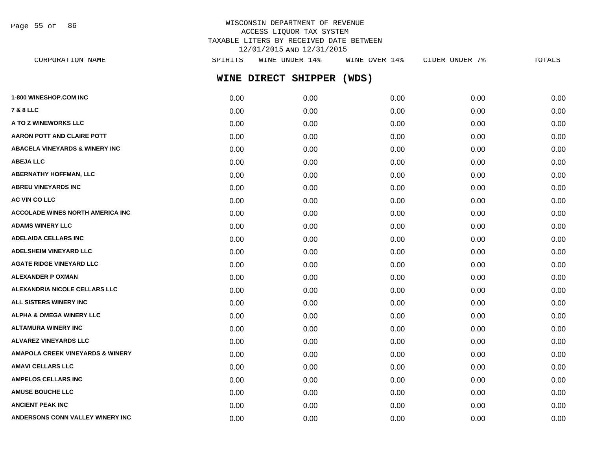Page 55 of 86

# WISCONSIN DEPARTMENT OF REVENUE ACCESS LIQUOR TAX SYSTEM TAXABLE LITERS BY RECEIVED DATE BETWEEN 12/01/2015 AND 12/31/2015

| CORPORATION NAME                          | SPIRITS | WINE UNDER 14%      | WINE OVER 14% | CIDER UNDER 7% | TOTALS |
|-------------------------------------------|---------|---------------------|---------------|----------------|--------|
|                                           |         | WINE DIRECT SHIPPER | (WDS)         |                |        |
| <b>1-800 WINESHOP.COM INC</b>             | 0.00    | 0.00                | 0.00          | 0.00           | 0.00   |
| 7 & 8 LLC                                 | 0.00    | 0.00                | 0.00          | 0.00           | 0.00   |
| <b>A TO Z WINEWORKS LLC</b>               | 0.00    | 0.00                | 0.00          | 0.00           | 0.00   |
| AARON POTT AND CLAIRE POTT                | 0.00    | 0.00                | 0.00          | 0.00           | 0.00   |
| <b>ABACELA VINEYARDS &amp; WINERY INC</b> | 0.00    | 0.00                | 0.00          | 0.00           | 0.00   |
| <b>ABEJA LLC</b>                          | 0.00    | 0.00                | 0.00          | 0.00           | 0.00   |
| ABERNATHY HOFFMAN, LLC                    | 0.00    | 0.00                | 0.00          | 0.00           | 0.00   |
| <b>ABREU VINEYARDS INC</b>                | 0.00    | 0.00                | 0.00          | 0.00           | 0.00   |
| <b>AC VIN CO LLC</b>                      | 0.00    | 0.00                | 0.00          | 0.00           | 0.00   |
| ACCOLADE WINES NORTH AMERICA INC          | 0.00    | 0.00                | 0.00          | 0.00           | 0.00   |
| <b>ADAMS WINERY LLC</b>                   | 0.00    | 0.00                | 0.00          | 0.00           | 0.00   |
| <b>ADELAIDA CELLARS INC</b>               | 0.00    | 0.00                | 0.00          | 0.00           | 0.00   |
| <b>ADELSHEIM VINEYARD LLC</b>             | 0.00    | 0.00                | 0.00          | 0.00           | 0.00   |
| <b>AGATE RIDGE VINEYARD LLC</b>           | 0.00    | 0.00                | 0.00          | 0.00           | 0.00   |
| ALEXANDER P OXMAN                         | 0.00    | 0.00                | 0.00          | 0.00           | 0.00   |
| <b>ALEXANDRIA NICOLE CELLARS LLC</b>      | 0.00    | 0.00                | 0.00          | 0.00           | 0.00   |
| <b>ALL SISTERS WINERY INC</b>             | 0.00    | 0.00                | 0.00          | 0.00           | 0.00   |
| ALPHA & OMEGA WINERY LLC                  | 0.00    | 0.00                | 0.00          | 0.00           | 0.00   |
| ALTAMURA WINERY INC                       | 0.00    | 0.00                | 0.00          | 0.00           | 0.00   |
| <b>ALVAREZ VINEYARDS LLC</b>              | 0.00    | 0.00                | 0.00          | 0.00           | 0.00   |
| AMAPOLA CREEK VINEYARDS & WINERY          | 0.00    | 0.00                | 0.00          | 0.00           | 0.00   |
| AMAVI CELLARS LLC                         | 0.00    | 0.00                | 0.00          | 0.00           | 0.00   |
| <b>AMPELOS CELLARS INC</b>                | 0.00    | 0.00                | 0.00          | 0.00           | 0.00   |
| <b>AMUSE BOUCHE LLC</b>                   | 0.00    | 0.00                | 0.00          | 0.00           | 0.00   |
| <b>ANCIENT PEAK INC</b>                   | 0.00    | 0.00                | 0.00          | 0.00           | 0.00   |

**ANDERSONS CONN VALLEY WINERY INC** 0.00 0.00 0.00 0.00 0.00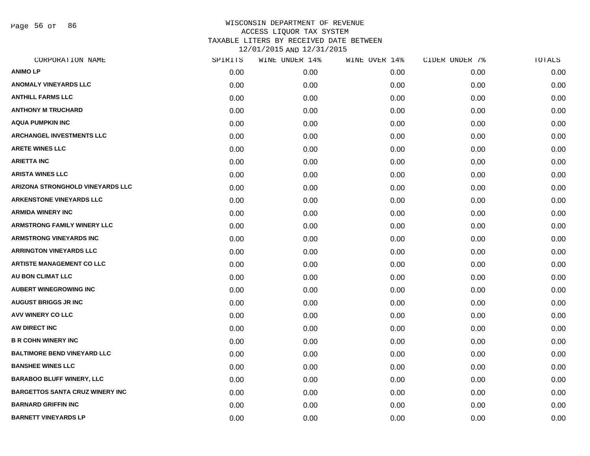Page 56 of 86

| CORPORATION NAME                       | SPIRITS | WINE UNDER 14% | WINE OVER 14% | CIDER UNDER 7% | TOTALS |
|----------------------------------------|---------|----------------|---------------|----------------|--------|
| <b>ANIMO LP</b>                        | 0.00    | 0.00           | 0.00          | 0.00           | 0.00   |
| <b>ANOMALY VINEYARDS LLC</b>           | 0.00    | 0.00           | 0.00          | 0.00           | 0.00   |
| <b>ANTHILL FARMS LLC</b>               | 0.00    | 0.00           | 0.00          | 0.00           | 0.00   |
| <b>ANTHONY M TRUCHARD</b>              | 0.00    | 0.00           | 0.00          | 0.00           | 0.00   |
| <b>AQUA PUMPKIN INC</b>                | 0.00    | 0.00           | 0.00          | 0.00           | 0.00   |
| <b>ARCHANGEL INVESTMENTS LLC</b>       | 0.00    | 0.00           | 0.00          | 0.00           | 0.00   |
| <b>ARETE WINES LLC</b>                 | 0.00    | 0.00           | 0.00          | 0.00           | 0.00   |
| <b>ARIETTA INC</b>                     | 0.00    | 0.00           | 0.00          | 0.00           | 0.00   |
| <b>ARISTA WINES LLC</b>                | 0.00    | 0.00           | 0.00          | 0.00           | 0.00   |
| ARIZONA STRONGHOLD VINEYARDS LLC       | 0.00    | 0.00           | 0.00          | 0.00           | 0.00   |
| <b>ARKENSTONE VINEYARDS LLC</b>        | 0.00    | 0.00           | 0.00          | 0.00           | 0.00   |
| <b>ARMIDA WINERY INC</b>               | 0.00    | 0.00           | 0.00          | 0.00           | 0.00   |
| <b>ARMSTRONG FAMILY WINERY LLC</b>     | 0.00    | 0.00           | 0.00          | 0.00           | 0.00   |
| <b>ARMSTRONG VINEYARDS INC</b>         | 0.00    | 0.00           | 0.00          | 0.00           | 0.00   |
| <b>ARRINGTON VINEYARDS LLC</b>         | 0.00    | 0.00           | 0.00          | 0.00           | 0.00   |
| <b>ARTISTE MANAGEMENT CO LLC</b>       | 0.00    | 0.00           | 0.00          | 0.00           | 0.00   |
| <b>AU BON CLIMAT LLC</b>               | 0.00    | 0.00           | 0.00          | 0.00           | 0.00   |
| <b>AUBERT WINEGROWING INC</b>          | 0.00    | 0.00           | 0.00          | 0.00           | 0.00   |
| <b>AUGUST BRIGGS JR INC</b>            | 0.00    | 0.00           | 0.00          | 0.00           | 0.00   |
| <b>AVV WINERY CO LLC</b>               | 0.00    | 0.00           | 0.00          | 0.00           | 0.00   |
| AW DIRECT INC                          | 0.00    | 0.00           | 0.00          | 0.00           | 0.00   |
| <b>B R COHN WINERY INC</b>             | 0.00    | 0.00           | 0.00          | 0.00           | 0.00   |
| <b>BALTIMORE BEND VINEYARD LLC</b>     | 0.00    | 0.00           | 0.00          | 0.00           | 0.00   |
| <b>BANSHEE WINES LLC</b>               | 0.00    | 0.00           | 0.00          | 0.00           | 0.00   |
| <b>BARABOO BLUFF WINERY, LLC</b>       | 0.00    | 0.00           | 0.00          | 0.00           | 0.00   |
| <b>BARGETTOS SANTA CRUZ WINERY INC</b> | 0.00    | 0.00           | 0.00          | 0.00           | 0.00   |
| <b>BARNARD GRIFFIN INC</b>             | 0.00    | 0.00           | 0.00          | 0.00           | 0.00   |
| <b>BARNETT VINEYARDS LP</b>            | 0.00    | 0.00           | 0.00          | 0.00           | 0.00   |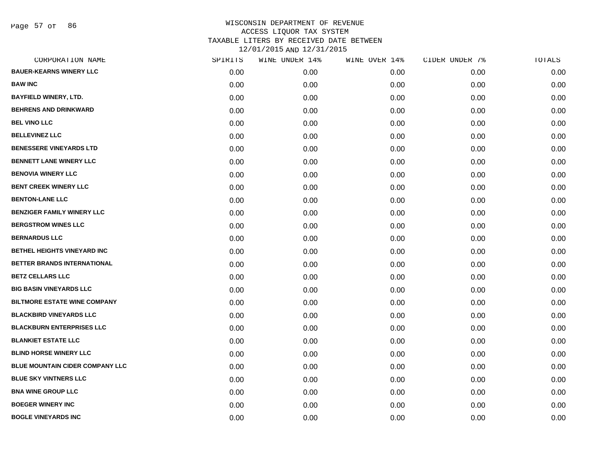Page 57 of 86

| CORPORATION NAME                       | SPIRITS | WINE UNDER 14% | WINE OVER 14% | CIDER UNDER 7% | TOTALS |
|----------------------------------------|---------|----------------|---------------|----------------|--------|
| <b>BAUER-KEARNS WINERY LLC</b>         | 0.00    | 0.00           | 0.00          | 0.00           | 0.00   |
| <b>BAW INC</b>                         | 0.00    | 0.00           | 0.00          | 0.00           | 0.00   |
| <b>BAYFIELD WINERY, LTD.</b>           | 0.00    | 0.00           | 0.00          | 0.00           | 0.00   |
| <b>BEHRENS AND DRINKWARD</b>           | 0.00    | 0.00           | 0.00          | 0.00           | 0.00   |
| <b>BEL VINO LLC</b>                    | 0.00    | 0.00           | 0.00          | 0.00           | 0.00   |
| <b>BELLEVINEZ LLC</b>                  | 0.00    | 0.00           | 0.00          | 0.00           | 0.00   |
| <b>BENESSERE VINEYARDS LTD</b>         | 0.00    | 0.00           | 0.00          | 0.00           | 0.00   |
| <b>BENNETT LANE WINERY LLC</b>         | 0.00    | 0.00           | 0.00          | 0.00           | 0.00   |
| <b>BENOVIA WINERY LLC</b>              | 0.00    | 0.00           | 0.00          | 0.00           | 0.00   |
| <b>BENT CREEK WINERY LLC</b>           | 0.00    | 0.00           | 0.00          | 0.00           | 0.00   |
| <b>BENTON-LANE LLC</b>                 | 0.00    | 0.00           | 0.00          | 0.00           | 0.00   |
| <b>BENZIGER FAMILY WINERY LLC</b>      | 0.00    | 0.00           | 0.00          | 0.00           | 0.00   |
| <b>BERGSTROM WINES LLC</b>             | 0.00    | 0.00           | 0.00          | 0.00           | 0.00   |
| <b>BERNARDUS LLC</b>                   | 0.00    | 0.00           | 0.00          | 0.00           | 0.00   |
| BETHEL HEIGHTS VINEYARD INC            | 0.00    | 0.00           | 0.00          | 0.00           | 0.00   |
| BETTER BRANDS INTERNATIONAL            | 0.00    | 0.00           | 0.00          | 0.00           | 0.00   |
| <b>BETZ CELLARS LLC</b>                | 0.00    | 0.00           | 0.00          | 0.00           | 0.00   |
| <b>BIG BASIN VINEYARDS LLC</b>         | 0.00    | 0.00           | 0.00          | 0.00           | 0.00   |
| <b>BILTMORE ESTATE WINE COMPANY</b>    | 0.00    | 0.00           | 0.00          | 0.00           | 0.00   |
| <b>BLACKBIRD VINEYARDS LLC</b>         | 0.00    | 0.00           | 0.00          | 0.00           | 0.00   |
| <b>BLACKBURN ENTERPRISES LLC</b>       | 0.00    | 0.00           | 0.00          | 0.00           | 0.00   |
| <b>BLANKIET ESTATE LLC</b>             | 0.00    | 0.00           | 0.00          | 0.00           | 0.00   |
| <b>BLIND HORSE WINERY LLC</b>          | 0.00    | 0.00           | 0.00          | 0.00           | 0.00   |
| <b>BLUE MOUNTAIN CIDER COMPANY LLC</b> | 0.00    | 0.00           | 0.00          | 0.00           | 0.00   |
| <b>BLUE SKY VINTNERS LLC</b>           | 0.00    | 0.00           | 0.00          | 0.00           | 0.00   |
| <b>BNA WINE GROUP LLC</b>              | 0.00    | 0.00           | 0.00          | 0.00           | 0.00   |
| <b>BOEGER WINERY INC</b>               | 0.00    | 0.00           | 0.00          | 0.00           | 0.00   |
| <b>BOGLE VINEYARDS INC</b>             | 0.00    | 0.00           | 0.00          | 0.00           | 0.00   |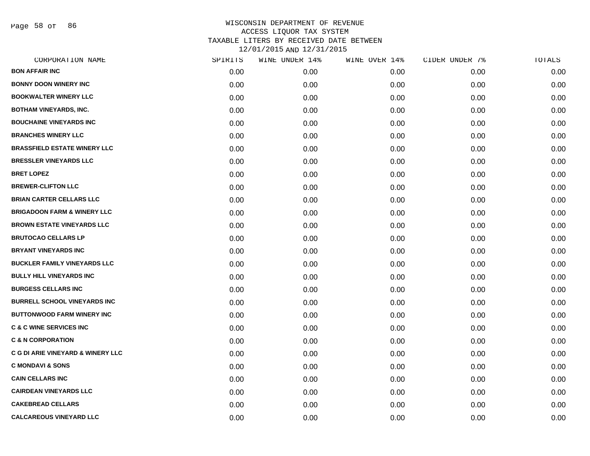Page 58 of 86

| CORPORATION NAME                             | SPIRITS | WINE UNDER 14% | WINE OVER 14% | CIDER UNDER 7% | TOTALS |
|----------------------------------------------|---------|----------------|---------------|----------------|--------|
| <b>BON AFFAIR INC</b>                        | 0.00    | 0.00           | 0.00          | 0.00           | 0.00   |
| <b>BONNY DOON WINERY INC</b>                 | 0.00    | 0.00           | 0.00          | 0.00           | 0.00   |
| <b>BOOKWALTER WINERY LLC</b>                 | 0.00    | 0.00           | 0.00          | 0.00           | 0.00   |
| <b>BOTHAM VINEYARDS, INC.</b>                | 0.00    | 0.00           | 0.00          | 0.00           | 0.00   |
| <b>BOUCHAINE VINEYARDS INC</b>               | 0.00    | 0.00           | 0.00          | 0.00           | 0.00   |
| <b>BRANCHES WINERY LLC</b>                   | 0.00    | 0.00           | 0.00          | 0.00           | 0.00   |
| <b>BRASSFIELD ESTATE WINERY LLC</b>          | 0.00    | 0.00           | 0.00          | 0.00           | 0.00   |
| <b>BRESSLER VINEYARDS LLC</b>                | 0.00    | 0.00           | 0.00          | 0.00           | 0.00   |
| <b>BRET LOPEZ</b>                            | 0.00    | 0.00           | 0.00          | 0.00           | 0.00   |
| <b>BREWER-CLIFTON LLC</b>                    | 0.00    | 0.00           | 0.00          | 0.00           | 0.00   |
| <b>BRIAN CARTER CELLARS LLC</b>              | 0.00    | 0.00           | 0.00          | 0.00           | 0.00   |
| <b>BRIGADOON FARM &amp; WINERY LLC</b>       | 0.00    | 0.00           | 0.00          | 0.00           | 0.00   |
| <b>BROWN ESTATE VINEYARDS LLC</b>            | 0.00    | 0.00           | 0.00          | 0.00           | 0.00   |
| <b>BRUTOCAO CELLARS LP</b>                   | 0.00    | 0.00           | 0.00          | 0.00           | 0.00   |
| <b>BRYANT VINEYARDS INC</b>                  | 0.00    | 0.00           | 0.00          | 0.00           | 0.00   |
| <b>BUCKLER FAMILY VINEYARDS LLC</b>          | 0.00    | 0.00           | 0.00          | 0.00           | 0.00   |
| <b>BULLY HILL VINEYARDS INC.</b>             | 0.00    | 0.00           | 0.00          | 0.00           | 0.00   |
| <b>BURGESS CELLARS INC</b>                   | 0.00    | 0.00           | 0.00          | 0.00           | 0.00   |
| <b>BURRELL SCHOOL VINEYARDS INC</b>          | 0.00    | 0.00           | 0.00          | 0.00           | 0.00   |
| <b>BUTTONWOOD FARM WINERY INC</b>            | 0.00    | 0.00           | 0.00          | 0.00           | 0.00   |
| <b>C &amp; C WINE SERVICES INC</b>           | 0.00    | 0.00           | 0.00          | 0.00           | 0.00   |
| <b>C &amp; N CORPORATION</b>                 | 0.00    | 0.00           | 0.00          | 0.00           | 0.00   |
| <b>C G DI ARIE VINEYARD &amp; WINERY LLC</b> | 0.00    | 0.00           | 0.00          | 0.00           | 0.00   |
| <b>C MONDAVI &amp; SONS</b>                  | 0.00    | 0.00           | 0.00          | 0.00           | 0.00   |
| <b>CAIN CELLARS INC</b>                      | 0.00    | 0.00           | 0.00          | 0.00           | 0.00   |
| <b>CAIRDEAN VINEYARDS LLC</b>                | 0.00    | 0.00           | 0.00          | 0.00           | 0.00   |
| <b>CAKEBREAD CELLARS</b>                     | 0.00    | 0.00           | 0.00          | 0.00           | 0.00   |
| <b>CALCAREOUS VINEYARD LLC</b>               | 0.00    | 0.00           | 0.00          | 0.00           | 0.00   |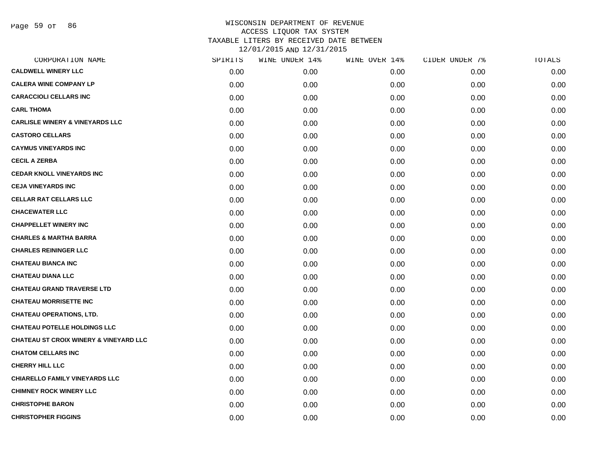Page 59 of 86

| CORPORATION NAME                                  | SPIRITS | WINE UNDER 14% | WINE OVER 14% | CIDER UNDER 7% | TOTALS |
|---------------------------------------------------|---------|----------------|---------------|----------------|--------|
| <b>CALDWELL WINERY LLC</b>                        | 0.00    | 0.00           | 0.00          | 0.00           | 0.00   |
| <b>CALERA WINE COMPANY LP</b>                     | 0.00    | 0.00           | 0.00          | 0.00           | 0.00   |
| <b>CARACCIOLI CELLARS INC</b>                     | 0.00    | 0.00           | 0.00          | 0.00           | 0.00   |
| <b>CARL THOMA</b>                                 | 0.00    | 0.00           | 0.00          | 0.00           | 0.00   |
| <b>CARLISLE WINERY &amp; VINEYARDS LLC</b>        | 0.00    | 0.00           | 0.00          | 0.00           | 0.00   |
| <b>CASTORO CELLARS</b>                            | 0.00    | 0.00           | 0.00          | 0.00           | 0.00   |
| <b>CAYMUS VINEYARDS INC</b>                       | 0.00    | 0.00           | 0.00          | 0.00           | 0.00   |
| <b>CECIL A ZERBA</b>                              | 0.00    | 0.00           | 0.00          | 0.00           | 0.00   |
| <b>CEDAR KNOLL VINEYARDS INC</b>                  | 0.00    | 0.00           | 0.00          | 0.00           | 0.00   |
| <b>CEJA VINEYARDS INC</b>                         | 0.00    | 0.00           | 0.00          | 0.00           | 0.00   |
| <b>CELLAR RAT CELLARS LLC</b>                     | 0.00    | 0.00           | 0.00          | 0.00           | 0.00   |
| <b>CHACEWATER LLC</b>                             | 0.00    | 0.00           | 0.00          | 0.00           | 0.00   |
| <b>CHAPPELLET WINERY INC</b>                      | 0.00    | 0.00           | 0.00          | 0.00           | 0.00   |
| <b>CHARLES &amp; MARTHA BARRA</b>                 | 0.00    | 0.00           | 0.00          | 0.00           | 0.00   |
| <b>CHARLES REININGER LLC</b>                      | 0.00    | 0.00           | 0.00          | 0.00           | 0.00   |
| <b>CHATEAU BIANCA INC</b>                         | 0.00    | 0.00           | 0.00          | 0.00           | 0.00   |
| <b>CHATEAU DIANA LLC</b>                          | 0.00    | 0.00           | 0.00          | 0.00           | 0.00   |
| <b>CHATEAU GRAND TRAVERSE LTD</b>                 | 0.00    | 0.00           | 0.00          | 0.00           | 0.00   |
| <b>CHATEAU MORRISETTE INC</b>                     | 0.00    | 0.00           | 0.00          | 0.00           | 0.00   |
| <b>CHATEAU OPERATIONS, LTD.</b>                   | 0.00    | 0.00           | 0.00          | 0.00           | 0.00   |
| <b>CHATEAU POTELLE HOLDINGS LLC</b>               | 0.00    | 0.00           | 0.00          | 0.00           | 0.00   |
| <b>CHATEAU ST CROIX WINERY &amp; VINEYARD LLC</b> | 0.00    | 0.00           | 0.00          | 0.00           | 0.00   |
| <b>CHATOM CELLARS INC</b>                         | 0.00    | 0.00           | 0.00          | 0.00           | 0.00   |
| <b>CHERRY HILL LLC</b>                            | 0.00    | 0.00           | 0.00          | 0.00           | 0.00   |
| <b>CHIARELLO FAMILY VINEYARDS LLC</b>             | 0.00    | 0.00           | 0.00          | 0.00           | 0.00   |
| <b>CHIMNEY ROCK WINERY LLC</b>                    | 0.00    | 0.00           | 0.00          | 0.00           | 0.00   |
| <b>CHRISTOPHE BARON</b>                           | 0.00    | 0.00           | 0.00          | 0.00           | 0.00   |
| <b>CHRISTOPHER FIGGINS</b>                        | 0.00    | 0.00           | 0.00          | 0.00           | 0.00   |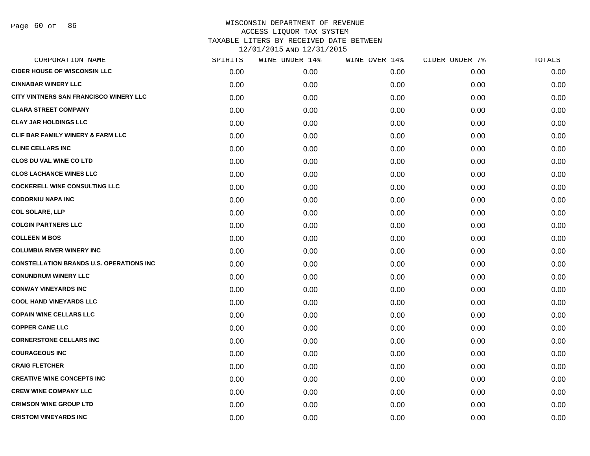| CORPORATION NAME                                | SPIRITS | WINE UNDER 14% | WINE OVER 14% | CIDER UNDER 7% | TOTALS |
|-------------------------------------------------|---------|----------------|---------------|----------------|--------|
| <b>CIDER HOUSE OF WISCONSIN LLC</b>             | 0.00    | 0.00           | 0.00          | 0.00           | 0.00   |
| <b>CINNABAR WINERY LLC</b>                      | 0.00    | 0.00           | 0.00          | 0.00           | 0.00   |
| CITY VINTNERS SAN FRANCISCO WINERY LLC          | 0.00    | 0.00           | 0.00          | 0.00           | 0.00   |
| <b>CLARA STREET COMPANY</b>                     | 0.00    | 0.00           | 0.00          | 0.00           | 0.00   |
| <b>CLAY JAR HOLDINGS LLC</b>                    | 0.00    | 0.00           | 0.00          | 0.00           | 0.00   |
| <b>CLIF BAR FAMILY WINERY &amp; FARM LLC</b>    | 0.00    | 0.00           | 0.00          | 0.00           | 0.00   |
| <b>CLINE CELLARS INC</b>                        | 0.00    | 0.00           | 0.00          | 0.00           | 0.00   |
| <b>CLOS DU VAL WINE CO LTD</b>                  | 0.00    | 0.00           | 0.00          | 0.00           | 0.00   |
| <b>CLOS LACHANCE WINES LLC</b>                  | 0.00    | 0.00           | 0.00          | 0.00           | 0.00   |
| <b>COCKERELL WINE CONSULTING LLC</b>            | 0.00    | 0.00           | 0.00          | 0.00           | 0.00   |
| <b>CODORNIU NAPA INC</b>                        | 0.00    | 0.00           | 0.00          | 0.00           | 0.00   |
| <b>COL SOLARE, LLP</b>                          | 0.00    | 0.00           | 0.00          | 0.00           | 0.00   |
| <b>COLGIN PARTNERS LLC</b>                      | 0.00    | 0.00           | 0.00          | 0.00           | 0.00   |
| <b>COLLEEN M BOS</b>                            | 0.00    | 0.00           | 0.00          | 0.00           | 0.00   |
| <b>COLUMBIA RIVER WINERY INC</b>                | 0.00    | 0.00           | 0.00          | 0.00           | 0.00   |
| <b>CONSTELLATION BRANDS U.S. OPERATIONS INC</b> | 0.00    | 0.00           | 0.00          | 0.00           | 0.00   |
| <b>CONUNDRUM WINERY LLC</b>                     | 0.00    | 0.00           | 0.00          | 0.00           | 0.00   |
| <b>CONWAY VINEYARDS INC</b>                     | 0.00    | 0.00           | 0.00          | 0.00           | 0.00   |
| <b>COOL HAND VINEYARDS LLC</b>                  | 0.00    | 0.00           | 0.00          | 0.00           | 0.00   |
| <b>COPAIN WINE CELLARS LLC</b>                  | 0.00    | 0.00           | 0.00          | 0.00           | 0.00   |
| <b>COPPER CANE LLC</b>                          | 0.00    | 0.00           | 0.00          | 0.00           | 0.00   |
| <b>CORNERSTONE CELLARS INC</b>                  | 0.00    | 0.00           | 0.00          | 0.00           | 0.00   |
| <b>COURAGEOUS INC</b>                           | 0.00    | 0.00           | 0.00          | 0.00           | 0.00   |
| <b>CRAIG FLETCHER</b>                           | 0.00    | 0.00           | 0.00          | 0.00           | 0.00   |
| <b>CREATIVE WINE CONCEPTS INC</b>               | 0.00    | 0.00           | 0.00          | 0.00           | 0.00   |
| <b>CREW WINE COMPANY LLC</b>                    | 0.00    | 0.00           | 0.00          | 0.00           | 0.00   |
| <b>CRIMSON WINE GROUP LTD</b>                   | 0.00    | 0.00           | 0.00          | 0.00           | 0.00   |
| <b>CRISTOM VINEYARDS INC</b>                    | 0.00    | 0.00           | 0.00          | 0.00           | 0.00   |
|                                                 |         |                |               |                |        |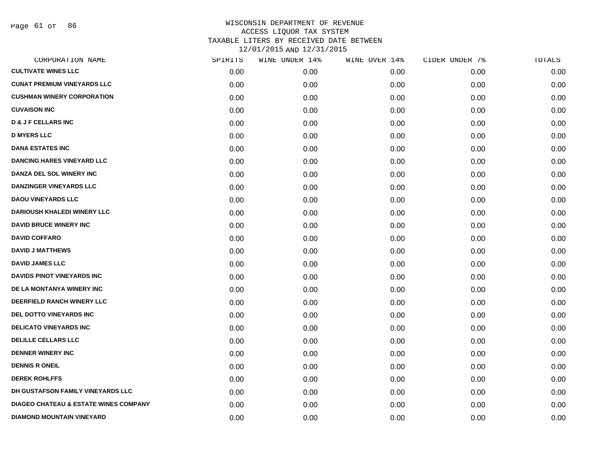Page 61 of 86

| CORPORATION NAME                                 | SPIRITS | WINE UNDER 14% | WINE OVER 14% | CIDER UNDER 7% | TOTALS |
|--------------------------------------------------|---------|----------------|---------------|----------------|--------|
| <b>CULTIVATE WINES LLC</b>                       | 0.00    | 0.00           | 0.00          | 0.00           | 0.00   |
| <b>CUNAT PREMIUM VINEYARDS LLC</b>               | 0.00    | 0.00           | 0.00          | 0.00           | 0.00   |
| <b>CUSHMAN WINERY CORPORATION</b>                | 0.00    | 0.00           | 0.00          | 0.00           | 0.00   |
| <b>CUVAISON INC</b>                              | 0.00    | 0.00           | 0.00          | 0.00           | 0.00   |
| <b>D &amp; J F CELLARS INC</b>                   | 0.00    | 0.00           | 0.00          | 0.00           | 0.00   |
| <b>D MYERS LLC</b>                               | 0.00    | 0.00           | 0.00          | 0.00           | 0.00   |
| <b>DANA ESTATES INC</b>                          | 0.00    | 0.00           | 0.00          | 0.00           | 0.00   |
| <b>DANCING HARES VINEYARD LLC</b>                | 0.00    | 0.00           | 0.00          | 0.00           | 0.00   |
| DANZA DEL SOL WINERY INC                         | 0.00    | 0.00           | 0.00          | 0.00           | 0.00   |
| <b>DANZINGER VINEYARDS LLC</b>                   | 0.00    | 0.00           | 0.00          | 0.00           | 0.00   |
| <b>DAOU VINEYARDS LLC</b>                        | 0.00    | 0.00           | 0.00          | 0.00           | 0.00   |
| <b>DARIOUSH KHALEDI WINERY LLC</b>               | 0.00    | 0.00           | 0.00          | 0.00           | 0.00   |
| <b>DAVID BRUCE WINERY INC</b>                    | 0.00    | 0.00           | 0.00          | 0.00           | 0.00   |
| <b>DAVID COFFARO</b>                             | 0.00    | 0.00           | 0.00          | 0.00           | 0.00   |
| <b>DAVID J MATTHEWS</b>                          | 0.00    | 0.00           | 0.00          | 0.00           | 0.00   |
| <b>DAVID JAMES LLC</b>                           | 0.00    | 0.00           | 0.00          | 0.00           | 0.00   |
| <b>DAVIDS PINOT VINEYARDS INC</b>                | 0.00    | 0.00           | 0.00          | 0.00           | 0.00   |
| DE LA MONTANYA WINERY INC                        | 0.00    | 0.00           | 0.00          | 0.00           | 0.00   |
| DEERFIELD RANCH WINERY LLC                       | 0.00    | 0.00           | 0.00          | 0.00           | 0.00   |
| DEL DOTTO VINEYARDS INC                          | 0.00    | 0.00           | 0.00          | 0.00           | 0.00   |
| <b>DELICATO VINEYARDS INC</b>                    | 0.00    | 0.00           | 0.00          | 0.00           | 0.00   |
| <b>DELILLE CELLARS LLC</b>                       | 0.00    | 0.00           | 0.00          | 0.00           | 0.00   |
| <b>DENNER WINERY INC</b>                         | 0.00    | 0.00           | 0.00          | 0.00           | 0.00   |
| <b>DENNIS R ONEIL</b>                            | 0.00    | 0.00           | 0.00          | 0.00           | 0.00   |
| <b>DEREK ROHLFFS</b>                             | 0.00    | 0.00           | 0.00          | 0.00           | 0.00   |
| DH GUSTAFSON FAMILY VINEYARDS LLC                | 0.00    | 0.00           | 0.00          | 0.00           | 0.00   |
| <b>DIAGEO CHATEAU &amp; ESTATE WINES COMPANY</b> | 0.00    | 0.00           | 0.00          | 0.00           | 0.00   |
| <b>DIAMOND MOUNTAIN VINEYARD</b>                 | 0.00    | 0.00           | 0.00          | 0.00           | 0.00   |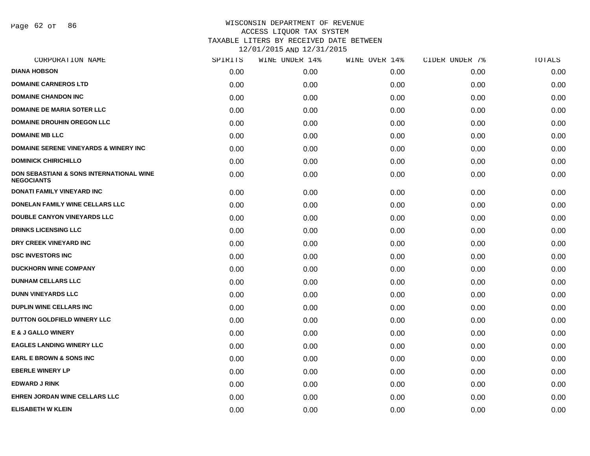Page 62 of 86

| CORPORATION NAME                                                         | SPIRITS | WINE UNDER 14% | WINE OVER 14% | CIDER UNDER 7% | TOTALS |
|--------------------------------------------------------------------------|---------|----------------|---------------|----------------|--------|
| <b>DIANA HOBSON</b>                                                      | 0.00    | 0.00           | 0.00          | 0.00           | 0.00   |
| <b>DOMAINE CARNEROS LTD</b>                                              | 0.00    | 0.00           | 0.00          | 0.00           | 0.00   |
| <b>DOMAINE CHANDON INC</b>                                               | 0.00    | 0.00           | 0.00          | 0.00           | 0.00   |
| <b>DOMAINE DE MARIA SOTER LLC</b>                                        | 0.00    | 0.00           | 0.00          | 0.00           | 0.00   |
| <b>DOMAINE DROUHIN OREGON LLC</b>                                        | 0.00    | 0.00           | 0.00          | 0.00           | 0.00   |
| <b>DOMAINE MB LLC</b>                                                    | 0.00    | 0.00           | 0.00          | 0.00           | 0.00   |
| <b>DOMAINE SERENE VINEYARDS &amp; WINERY INC</b>                         | 0.00    | 0.00           | 0.00          | 0.00           | 0.00   |
| <b>DOMINICK CHIRICHILLO</b>                                              | 0.00    | 0.00           | 0.00          | 0.00           | 0.00   |
| <b>DON SEBASTIANI &amp; SONS INTERNATIONAL WINE</b><br><b>NEGOCIANTS</b> | 0.00    | 0.00           | 0.00          | 0.00           | 0.00   |
| DONATI FAMILY VINEYARD INC                                               | 0.00    | 0.00           | 0.00          | 0.00           | 0.00   |
| DONELAN FAMILY WINE CELLARS LLC                                          | 0.00    | 0.00           | 0.00          | 0.00           | 0.00   |
| <b>DOUBLE CANYON VINEYARDS LLC</b>                                       | 0.00    | 0.00           | 0.00          | 0.00           | 0.00   |
| <b>DRINKS LICENSING LLC</b>                                              | 0.00    | 0.00           | 0.00          | 0.00           | 0.00   |
| DRY CREEK VINEYARD INC                                                   | 0.00    | 0.00           | 0.00          | 0.00           | 0.00   |
| <b>DSC INVESTORS INC</b>                                                 | 0.00    | 0.00           | 0.00          | 0.00           | 0.00   |
| <b>DUCKHORN WINE COMPANY</b>                                             | 0.00    | 0.00           | 0.00          | 0.00           | 0.00   |
| <b>DUNHAM CELLARS LLC</b>                                                | 0.00    | 0.00           | 0.00          | 0.00           | 0.00   |
| <b>DUNN VINEYARDS LLC</b>                                                | 0.00    | 0.00           | 0.00          | 0.00           | 0.00   |
| <b>DUPLIN WINE CELLARS INC</b>                                           | 0.00    | 0.00           | 0.00          | 0.00           | 0.00   |
| DUTTON GOLDFIELD WINERY LLC                                              | 0.00    | 0.00           | 0.00          | 0.00           | 0.00   |
| <b>E &amp; J GALLO WINERY</b>                                            | 0.00    | 0.00           | 0.00          | 0.00           | 0.00   |
| <b>EAGLES LANDING WINERY LLC</b>                                         | 0.00    | 0.00           | 0.00          | 0.00           | 0.00   |
| <b>EARL E BROWN &amp; SONS INC</b>                                       | 0.00    | 0.00           | 0.00          | 0.00           | 0.00   |
| <b>EBERLE WINERY LP</b>                                                  | 0.00    | 0.00           | 0.00          | 0.00           | 0.00   |
| <b>EDWARD J RINK</b>                                                     | 0.00    | 0.00           | 0.00          | 0.00           | 0.00   |
| <b>EHREN JORDAN WINE CELLARS LLC</b>                                     | 0.00    | 0.00           | 0.00          | 0.00           | 0.00   |
| <b>ELISABETH W KLEIN</b>                                                 | 0.00    | 0.00           | 0.00          | 0.00           | 0.00   |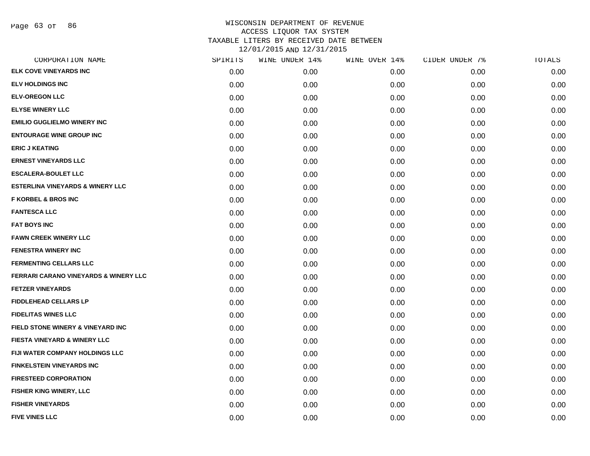Page 63 of 86

| CORPORATION NAME                                 | SPIRITS | WINE UNDER 14% | WINE OVER 14% | CIDER UNDER 7% | TOTALS |
|--------------------------------------------------|---------|----------------|---------------|----------------|--------|
| ELK COVE VINEYARDS INC                           | 0.00    | 0.00           | 0.00          | 0.00           | 0.00   |
| <b>ELV HOLDINGS INC</b>                          | 0.00    | 0.00           | 0.00          | 0.00           | 0.00   |
| <b>ELV-OREGON LLC</b>                            | 0.00    | 0.00           | 0.00          | 0.00           | 0.00   |
| <b>ELYSE WINERY LLC</b>                          | 0.00    | 0.00           | 0.00          | 0.00           | 0.00   |
| <b>EMILIO GUGLIELMO WINERY INC</b>               | 0.00    | 0.00           | 0.00          | 0.00           | 0.00   |
| <b>ENTOURAGE WINE GROUP INC</b>                  | 0.00    | 0.00           | 0.00          | 0.00           | 0.00   |
| <b>ERIC J KEATING</b>                            | 0.00    | 0.00           | 0.00          | 0.00           | 0.00   |
| <b>ERNEST VINEYARDS LLC</b>                      | 0.00    | 0.00           | 0.00          | 0.00           | 0.00   |
| <b>ESCALERA-BOULET LLC</b>                       | 0.00    | 0.00           | 0.00          | 0.00           | 0.00   |
| <b>ESTERLINA VINEYARDS &amp; WINERY LLC</b>      | 0.00    | 0.00           | 0.00          | 0.00           | 0.00   |
| <b>F KORBEL &amp; BROS INC</b>                   | 0.00    | 0.00           | 0.00          | 0.00           | 0.00   |
| <b>FANTESCA LLC</b>                              | 0.00    | 0.00           | 0.00          | 0.00           | 0.00   |
| <b>FAT BOYS INC</b>                              | 0.00    | 0.00           | 0.00          | 0.00           | 0.00   |
| <b>FAWN CREEK WINERY LLC</b>                     | 0.00    | 0.00           | 0.00          | 0.00           | 0.00   |
| <b>FENESTRA WINERY INC</b>                       | 0.00    | 0.00           | 0.00          | 0.00           | 0.00   |
| <b>FERMENTING CELLARS LLC</b>                    | 0.00    | 0.00           | 0.00          | 0.00           | 0.00   |
| <b>FERRARI CARANO VINEYARDS &amp; WINERY LLC</b> | 0.00    | 0.00           | 0.00          | 0.00           | 0.00   |
| <b>FETZER VINEYARDS</b>                          | 0.00    | 0.00           | 0.00          | 0.00           | 0.00   |
| <b>FIDDLEHEAD CELLARS LP</b>                     | 0.00    | 0.00           | 0.00          | 0.00           | 0.00   |
| <b>FIDELITAS WINES LLC</b>                       | 0.00    | 0.00           | 0.00          | 0.00           | 0.00   |
| FIELD STONE WINERY & VINEYARD INC                | 0.00    | 0.00           | 0.00          | 0.00           | 0.00   |
| <b>FIESTA VINEYARD &amp; WINERY LLC</b>          | 0.00    | 0.00           | 0.00          | 0.00           | 0.00   |
| FIJI WATER COMPANY HOLDINGS LLC                  | 0.00    | 0.00           | 0.00          | 0.00           | 0.00   |
| <b>FINKELSTEIN VINEYARDS INC</b>                 | 0.00    | 0.00           | 0.00          | 0.00           | 0.00   |
| <b>FIRESTEED CORPORATION</b>                     | 0.00    | 0.00           | 0.00          | 0.00           | 0.00   |
| <b>FISHER KING WINERY, LLC</b>                   | 0.00    | 0.00           | 0.00          | 0.00           | 0.00   |
| <b>FISHER VINEYARDS</b>                          | 0.00    | 0.00           | 0.00          | 0.00           | 0.00   |
| <b>FIVE VINES LLC</b>                            | 0.00    | 0.00           | 0.00          | 0.00           | 0.00   |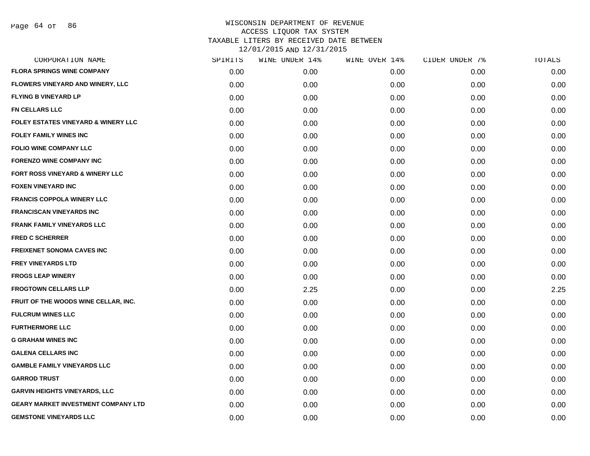| SPIRITS | WINE UNDER 14% | WINE OVER 14% | CIDER UNDER 7% | TOTALS |
|---------|----------------|---------------|----------------|--------|
| 0.00    | 0.00           | 0.00          | 0.00           | 0.00   |
| 0.00    | 0.00           | 0.00          | 0.00           | 0.00   |
| 0.00    | 0.00           | 0.00          | 0.00           | 0.00   |
| 0.00    | 0.00           | 0.00          | 0.00           | 0.00   |
| 0.00    | 0.00           | 0.00          | 0.00           | 0.00   |
| 0.00    | 0.00           | 0.00          | 0.00           | 0.00   |
| 0.00    | 0.00           | 0.00          | 0.00           | 0.00   |
| 0.00    | 0.00           | 0.00          | 0.00           | 0.00   |
| 0.00    | 0.00           | 0.00          | 0.00           | 0.00   |
| 0.00    | 0.00           | 0.00          | 0.00           | 0.00   |
| 0.00    | 0.00           | 0.00          | 0.00           | 0.00   |
| 0.00    | 0.00           | 0.00          | 0.00           | 0.00   |
| 0.00    | 0.00           | 0.00          | 0.00           | 0.00   |
| 0.00    | 0.00           | 0.00          | 0.00           | 0.00   |
| 0.00    | 0.00           | 0.00          | 0.00           | 0.00   |
| 0.00    | 0.00           | 0.00          | 0.00           | 0.00   |
| 0.00    | 0.00           | 0.00          | 0.00           | 0.00   |
| 0.00    | 2.25           | 0.00          | 0.00           | 2.25   |
| 0.00    | 0.00           | 0.00          | 0.00           | 0.00   |
| 0.00    | 0.00           | 0.00          | 0.00           | 0.00   |
| 0.00    | 0.00           | 0.00          | 0.00           | 0.00   |
| 0.00    | 0.00           | 0.00          | 0.00           | 0.00   |
| 0.00    | 0.00           | 0.00          | 0.00           | 0.00   |
| 0.00    | 0.00           | 0.00          | 0.00           | 0.00   |
| 0.00    | 0.00           | 0.00          | 0.00           | 0.00   |
| 0.00    | 0.00           | 0.00          | 0.00           | 0.00   |
| 0.00    | 0.00           | 0.00          | 0.00           | 0.00   |
| 0.00    | 0.00           | 0.00          | 0.00           | 0.00   |
|         |                |               |                |        |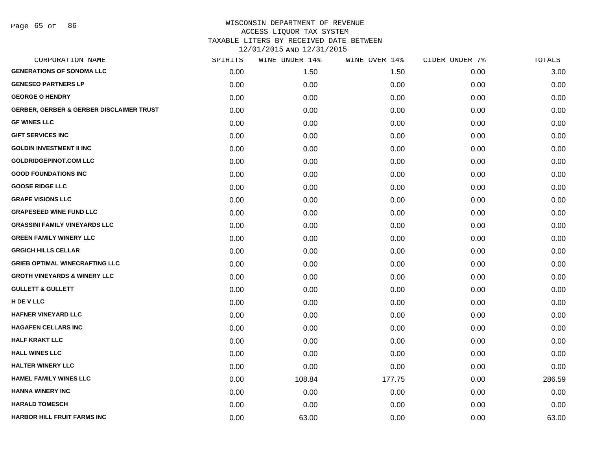| CORPORATION NAME                                    | SPIRITS | WINE UNDER 14% | WINE OVER 14% | CIDER UNDER 7% | <b>TOTALS</b> |
|-----------------------------------------------------|---------|----------------|---------------|----------------|---------------|
| <b>GENERATIONS OF SONOMA LLC</b>                    | 0.00    | 1.50           | 1.50          | 0.00           | 3.00          |
| <b>GENESEO PARTNERS LP</b>                          | 0.00    | 0.00           | 0.00          | 0.00           | 0.00          |
| <b>GEORGE O HENDRY</b>                              | 0.00    | 0.00           | 0.00          | 0.00           | 0.00          |
| <b>GERBER, GERBER &amp; GERBER DISCLAIMER TRUST</b> | 0.00    | 0.00           | 0.00          | 0.00           | 0.00          |
| <b>GF WINES LLC</b>                                 | 0.00    | 0.00           | 0.00          | 0.00           | 0.00          |
| <b>GIFT SERVICES INC</b>                            | 0.00    | 0.00           | 0.00          | 0.00           | 0.00          |
| <b>GOLDIN INVESTMENT II INC</b>                     | 0.00    | 0.00           | 0.00          | 0.00           | 0.00          |
| <b>GOLDRIDGEPINOT.COM LLC</b>                       | 0.00    | 0.00           | 0.00          | 0.00           | 0.00          |
| <b>GOOD FOUNDATIONS INC</b>                         | 0.00    | 0.00           | 0.00          | 0.00           | 0.00          |
| <b>GOOSE RIDGE LLC</b>                              | 0.00    | 0.00           | 0.00          | 0.00           | 0.00          |
| <b>GRAPE VISIONS LLC</b>                            | 0.00    | 0.00           | 0.00          | 0.00           | 0.00          |
| <b>GRAPESEED WINE FUND LLC</b>                      | 0.00    | 0.00           | 0.00          | 0.00           | 0.00          |
| <b>GRASSINI FAMILY VINEYARDS LLC</b>                | 0.00    | 0.00           | 0.00          | 0.00           | 0.00          |
| <b>GREEN FAMILY WINERY LLC</b>                      | 0.00    | 0.00           | 0.00          | 0.00           | 0.00          |
| <b>GRGICH HILLS CELLAR</b>                          | 0.00    | 0.00           | 0.00          | 0.00           | 0.00          |
| <b>GRIEB OPTIMAL WINECRAFTING LLC</b>               | 0.00    | 0.00           | 0.00          | 0.00           | 0.00          |
| <b>GROTH VINEYARDS &amp; WINERY LLC</b>             | 0.00    | 0.00           | 0.00          | 0.00           | 0.00          |
| <b>GULLETT &amp; GULLETT</b>                        | 0.00    | 0.00           | 0.00          | 0.00           | 0.00          |
| H DE V LLC                                          | 0.00    | 0.00           | 0.00          | 0.00           | 0.00          |
| <b>HAFNER VINEYARD LLC</b>                          | 0.00    | 0.00           | 0.00          | 0.00           | 0.00          |
| <b>HAGAFEN CELLARS INC</b>                          | 0.00    | 0.00           | 0.00          | 0.00           | 0.00          |
| <b>HALF KRAKT LLC</b>                               | 0.00    | 0.00           | 0.00          | 0.00           | 0.00          |
| <b>HALL WINES LLC</b>                               | 0.00    | 0.00           | 0.00          | 0.00           | 0.00          |
| <b>HALTER WINERY LLC</b>                            | 0.00    | 0.00           | 0.00          | 0.00           | 0.00          |
| <b>HAMEL FAMILY WINES LLC</b>                       | 0.00    | 108.84         | 177.75        | 0.00           | 286.59        |
| <b>HANNA WINERY INC</b>                             | 0.00    | 0.00           | 0.00          | 0.00           | 0.00          |
| <b>HARALD TOMESCH</b>                               | 0.00    | 0.00           | 0.00          | 0.00           | 0.00          |
| <b>HARBOR HILL FRUIT FARMS INC</b>                  | 0.00    | 63.00          | 0.00          | 0.00           | 63.00         |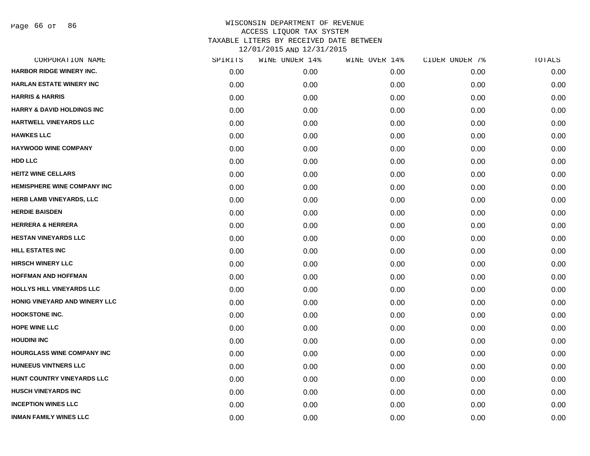Page 66 of 86

| CORPORATION NAME                      | SPIRITS | WINE UNDER 14% | WINE OVER 14% | CIDER UNDER 7% | TOTALS |
|---------------------------------------|---------|----------------|---------------|----------------|--------|
| <b>HARBOR RIDGE WINERY INC.</b>       | 0.00    | 0.00           | 0.00          | 0.00           | 0.00   |
| <b>HARLAN ESTATE WINERY INC</b>       | 0.00    | 0.00           | 0.00          | 0.00           | 0.00   |
| <b>HARRIS &amp; HARRIS</b>            | 0.00    | 0.00           | 0.00          | 0.00           | 0.00   |
| <b>HARRY &amp; DAVID HOLDINGS INC</b> | 0.00    | 0.00           | 0.00          | 0.00           | 0.00   |
| <b>HARTWELL VINEYARDS LLC</b>         | 0.00    | 0.00           | 0.00          | 0.00           | 0.00   |
| <b>HAWKES LLC</b>                     | 0.00    | 0.00           | 0.00          | 0.00           | 0.00   |
| <b>HAYWOOD WINE COMPANY</b>           | 0.00    | 0.00           | 0.00          | 0.00           | 0.00   |
| <b>HDD LLC</b>                        | 0.00    | 0.00           | 0.00          | 0.00           | 0.00   |
| <b>HEITZ WINE CELLARS</b>             | 0.00    | 0.00           | 0.00          | 0.00           | 0.00   |
| <b>HEMISPHERE WINE COMPANY INC</b>    | 0.00    | 0.00           | 0.00          | 0.00           | 0.00   |
| <b>HERB LAMB VINEYARDS, LLC</b>       | 0.00    | 0.00           | 0.00          | 0.00           | 0.00   |
| <b>HERDIE BAISDEN</b>                 | 0.00    | 0.00           | 0.00          | 0.00           | 0.00   |
| <b>HERRERA &amp; HERRERA</b>          | 0.00    | 0.00           | 0.00          | 0.00           | 0.00   |
| <b>HESTAN VINEYARDS LLC</b>           | 0.00    | 0.00           | 0.00          | 0.00           | 0.00   |
| <b>HILL ESTATES INC</b>               | 0.00    | 0.00           | 0.00          | 0.00           | 0.00   |
| <b>HIRSCH WINERY LLC</b>              | 0.00    | 0.00           | 0.00          | 0.00           | 0.00   |
| <b>HOFFMAN AND HOFFMAN</b>            | 0.00    | 0.00           | 0.00          | 0.00           | 0.00   |
| <b>HOLLYS HILL VINEYARDS LLC</b>      | 0.00    | 0.00           | 0.00          | 0.00           | 0.00   |
| HONIG VINEYARD AND WINERY LLC         | 0.00    | 0.00           | 0.00          | 0.00           | 0.00   |
| <b>HOOKSTONE INC.</b>                 | 0.00    | 0.00           | 0.00          | 0.00           | 0.00   |
| <b>HOPE WINE LLC</b>                  | 0.00    | 0.00           | 0.00          | 0.00           | 0.00   |
| <b>HOUDINI INC</b>                    | 0.00    | 0.00           | 0.00          | 0.00           | 0.00   |
| HOURGLASS WINE COMPANY INC            | 0.00    | 0.00           | 0.00          | 0.00           | 0.00   |
| <b>HUNEEUS VINTNERS LLC</b>           | 0.00    | 0.00           | 0.00          | 0.00           | 0.00   |
| HUNT COUNTRY VINEYARDS LLC            | 0.00    | 0.00           | 0.00          | 0.00           | 0.00   |
| <b>HUSCH VINEYARDS INC</b>            | 0.00    | 0.00           | 0.00          | 0.00           | 0.00   |
| <b>INCEPTION WINES LLC</b>            | 0.00    | 0.00           | 0.00          | 0.00           | 0.00   |
| <b>INMAN FAMILY WINES LLC</b>         | 0.00    | 0.00           | 0.00          | 0.00           | 0.00   |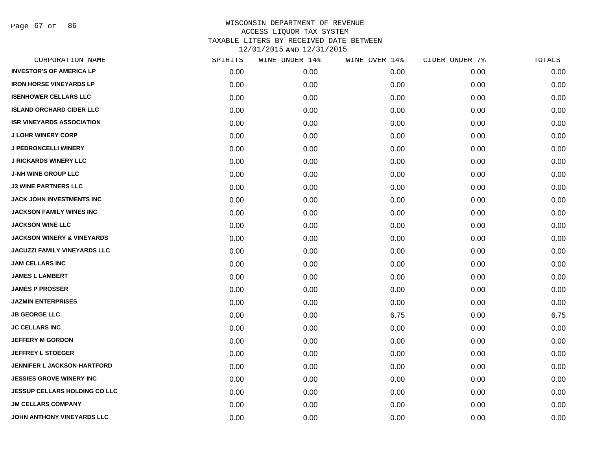Page 67 of 86

| CORPORATION NAME                      | SPIRITS | WINE UNDER 14% | WINE OVER 14% | CIDER UNDER 7% | TOTALS |
|---------------------------------------|---------|----------------|---------------|----------------|--------|
| <b>INVESTOR'S OF AMERICA LP</b>       | 0.00    | 0.00           | 0.00          | 0.00           | 0.00   |
| <b>IRON HORSE VINEYARDS LP</b>        | 0.00    | 0.00           | 0.00          | 0.00           | 0.00   |
| <b>ISENHOWER CELLARS LLC</b>          | 0.00    | 0.00           | 0.00          | 0.00           | 0.00   |
| <b>ISLAND ORCHARD CIDER LLC</b>       | 0.00    | 0.00           | 0.00          | 0.00           | 0.00   |
| <b>ISR VINEYARDS ASSOCIATION</b>      | 0.00    | 0.00           | 0.00          | 0.00           | 0.00   |
| <b>J LOHR WINERY CORP</b>             | 0.00    | 0.00           | 0.00          | 0.00           | 0.00   |
| <b>J PEDRONCELLI WINERY</b>           | 0.00    | 0.00           | 0.00          | 0.00           | 0.00   |
| <b>J RICKARDS WINERY LLC</b>          | 0.00    | 0.00           | 0.00          | 0.00           | 0.00   |
| <b>J-NH WINE GROUP LLC</b>            | 0.00    | 0.00           | 0.00          | 0.00           | 0.00   |
| <b>J3 WINE PARTNERS LLC</b>           | 0.00    | 0.00           | 0.00          | 0.00           | 0.00   |
| JACK JOHN INVESTMENTS INC             | 0.00    | 0.00           | 0.00          | 0.00           | 0.00   |
| <b>JACKSON FAMILY WINES INC</b>       | 0.00    | 0.00           | 0.00          | 0.00           | 0.00   |
| <b>JACKSON WINE LLC</b>               | 0.00    | 0.00           | 0.00          | 0.00           | 0.00   |
| <b>JACKSON WINERY &amp; VINEYARDS</b> | 0.00    | 0.00           | 0.00          | 0.00           | 0.00   |
| <b>JACUZZI FAMILY VINEYARDS LLC</b>   | 0.00    | 0.00           | 0.00          | 0.00           | 0.00   |
| <b>JAM CELLARS INC</b>                | 0.00    | 0.00           | 0.00          | 0.00           | 0.00   |
| <b>JAMES L LAMBERT</b>                | 0.00    | 0.00           | 0.00          | 0.00           | 0.00   |
| <b>JAMES P PROSSER</b>                | 0.00    | 0.00           | 0.00          | 0.00           | 0.00   |
| <b>JAZMIN ENTERPRISES</b>             | 0.00    | 0.00           | 0.00          | 0.00           | 0.00   |
| <b>JB GEORGE LLC</b>                  | 0.00    | 0.00           | 6.75          | 0.00           | 6.75   |
| <b>JC CELLARS INC</b>                 | 0.00    | 0.00           | 0.00          | 0.00           | 0.00   |
| <b>JEFFERY M GORDON</b>               | 0.00    | 0.00           | 0.00          | 0.00           | 0.00   |
| <b>JEFFREY L STOEGER</b>              | 0.00    | 0.00           | 0.00          | 0.00           | 0.00   |
| <b>JENNIFER L JACKSON-HARTFORD</b>    | 0.00    | 0.00           | 0.00          | 0.00           | 0.00   |
| <b>JESSIES GROVE WINERY INC</b>       | 0.00    | 0.00           | 0.00          | 0.00           | 0.00   |
| <b>JESSUP CELLARS HOLDING CO LLC</b>  | 0.00    | 0.00           | 0.00          | 0.00           | 0.00   |
| <b>JM CELLARS COMPANY</b>             | 0.00    | 0.00           | 0.00          | 0.00           | 0.00   |
| JOHN ANTHONY VINEYARDS LLC            | 0.00    | 0.00           | 0.00          | 0.00           | 0.00   |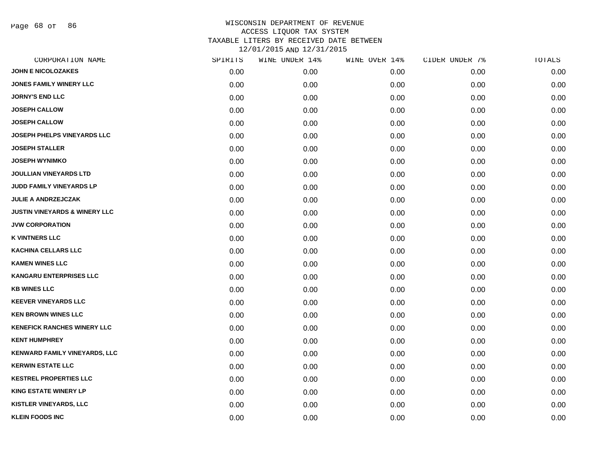Page 68 of 86

| CORPORATION NAME                         | SPIRITS | WINE UNDER 14% | WINE OVER 14% | CIDER UNDER 7% | TOTALS |
|------------------------------------------|---------|----------------|---------------|----------------|--------|
| <b>JOHN E NICOLOZAKES</b>                | 0.00    | 0.00           | 0.00          | 0.00           | 0.00   |
| <b>JONES FAMILY WINERY LLC</b>           | 0.00    | 0.00           | 0.00          | 0.00           | 0.00   |
| <b>JORNY'S END LLC</b>                   | 0.00    | 0.00           | 0.00          | 0.00           | 0.00   |
| <b>JOSEPH CALLOW</b>                     | 0.00    | 0.00           | 0.00          | 0.00           | 0.00   |
| <b>JOSEPH CALLOW</b>                     | 0.00    | 0.00           | 0.00          | 0.00           | 0.00   |
| <b>JOSEPH PHELPS VINEYARDS LLC</b>       | 0.00    | 0.00           | 0.00          | 0.00           | 0.00   |
| <b>JOSEPH STALLER</b>                    | 0.00    | 0.00           | 0.00          | 0.00           | 0.00   |
| <b>JOSEPH WYNIMKO</b>                    | 0.00    | 0.00           | 0.00          | 0.00           | 0.00   |
| <b>JOULLIAN VINEYARDS LTD</b>            | 0.00    | 0.00           | 0.00          | 0.00           | 0.00   |
| JUDD FAMILY VINEYARDS LP                 | 0.00    | 0.00           | 0.00          | 0.00           | 0.00   |
| <b>JULIE A ANDRZEJCZAK</b>               | 0.00    | 0.00           | 0.00          | 0.00           | 0.00   |
| <b>JUSTIN VINEYARDS &amp; WINERY LLC</b> | 0.00    | 0.00           | 0.00          | 0.00           | 0.00   |
| <b>JVW CORPORATION</b>                   | 0.00    | 0.00           | 0.00          | 0.00           | 0.00   |
| <b>K VINTNERS LLC</b>                    | 0.00    | 0.00           | 0.00          | 0.00           | 0.00   |
| <b>KACHINA CELLARS LLC</b>               | 0.00    | 0.00           | 0.00          | 0.00           | 0.00   |
| <b>KAMEN WINES LLC</b>                   | 0.00    | 0.00           | 0.00          | 0.00           | 0.00   |
| <b>KANGARU ENTERPRISES LLC</b>           | 0.00    | 0.00           | 0.00          | 0.00           | 0.00   |
| <b>KB WINES LLC</b>                      | 0.00    | 0.00           | 0.00          | 0.00           | 0.00   |
| <b>KEEVER VINEYARDS LLC</b>              | 0.00    | 0.00           | 0.00          | 0.00           | 0.00   |
| <b>KEN BROWN WINES LLC</b>               | 0.00    | 0.00           | 0.00          | 0.00           | 0.00   |
| <b>KENEFICK RANCHES WINERY LLC</b>       | 0.00    | 0.00           | 0.00          | 0.00           | 0.00   |
| <b>KENT HUMPHREY</b>                     | 0.00    | 0.00           | 0.00          | 0.00           | 0.00   |
| KENWARD FAMILY VINEYARDS, LLC            | 0.00    | 0.00           | 0.00          | 0.00           | 0.00   |
| <b>KERWIN ESTATE LLC</b>                 | 0.00    | 0.00           | 0.00          | 0.00           | 0.00   |
| <b>KESTREL PROPERTIES LLC</b>            | 0.00    | 0.00           | 0.00          | 0.00           | 0.00   |
| <b>KING ESTATE WINERY LP</b>             | 0.00    | 0.00           | 0.00          | 0.00           | 0.00   |
| <b>KISTLER VINEYARDS, LLC</b>            | 0.00    | 0.00           | 0.00          | 0.00           | 0.00   |
| <b>KLEIN FOODS INC</b>                   | 0.00    | 0.00           | 0.00          | 0.00           | 0.00   |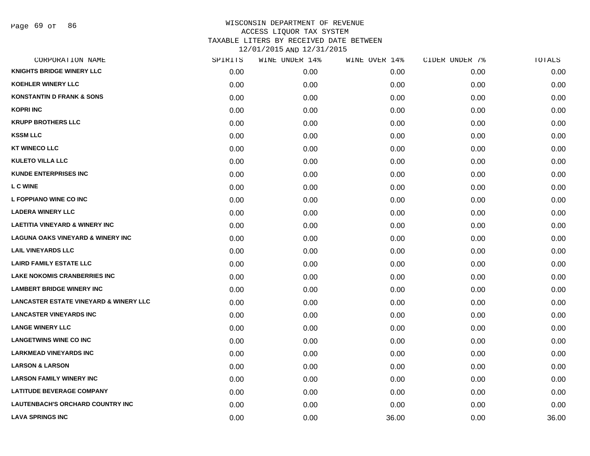| CORPORATION NAME                                  | SPIRITS | WINE UNDER 14% | WINE OVER 14% | CIDER UNDER 7% | TOTALS |
|---------------------------------------------------|---------|----------------|---------------|----------------|--------|
| <b>KNIGHTS BRIDGE WINERY LLC</b>                  | 0.00    | 0.00           | 0.00          | 0.00           | 0.00   |
| <b>KOEHLER WINERY LLC</b>                         | 0.00    | 0.00           | 0.00          | 0.00           | 0.00   |
| <b>KONSTANTIN D FRANK &amp; SONS</b>              | 0.00    | 0.00           | 0.00          | 0.00           | 0.00   |
| <b>KOPRI INC</b>                                  | 0.00    | 0.00           | 0.00          | 0.00           | 0.00   |
| <b>KRUPP BROTHERS LLC</b>                         | 0.00    | 0.00           | 0.00          | 0.00           | 0.00   |
| <b>KSSM LLC</b>                                   | 0.00    | 0.00           | 0.00          | 0.00           | 0.00   |
| <b>KT WINECO LLC</b>                              | 0.00    | 0.00           | 0.00          | 0.00           | 0.00   |
| <b>KULETO VILLA LLC</b>                           | 0.00    | 0.00           | 0.00          | 0.00           | 0.00   |
| <b>KUNDE ENTERPRISES INC</b>                      | 0.00    | 0.00           | 0.00          | 0.00           | 0.00   |
| <b>L C WINE</b>                                   | 0.00    | 0.00           | 0.00          | 0.00           | 0.00   |
| L FOPPIANO WINE CO INC                            | 0.00    | 0.00           | 0.00          | 0.00           | 0.00   |
| <b>LADERA WINERY LLC</b>                          | 0.00    | 0.00           | 0.00          | 0.00           | 0.00   |
| <b>LAETITIA VINEYARD &amp; WINERY INC</b>         | 0.00    | 0.00           | 0.00          | 0.00           | 0.00   |
| <b>LAGUNA OAKS VINEYARD &amp; WINERY INC</b>      | 0.00    | 0.00           | 0.00          | 0.00           | 0.00   |
| <b>LAIL VINEYARDS LLC</b>                         | 0.00    | 0.00           | 0.00          | 0.00           | 0.00   |
| <b>LAIRD FAMILY ESTATE LLC</b>                    | 0.00    | 0.00           | 0.00          | 0.00           | 0.00   |
| <b>LAKE NOKOMIS CRANBERRIES INC</b>               | 0.00    | 0.00           | 0.00          | 0.00           | 0.00   |
| <b>LAMBERT BRIDGE WINERY INC</b>                  | 0.00    | 0.00           | 0.00          | 0.00           | 0.00   |
| <b>LANCASTER ESTATE VINEYARD &amp; WINERY LLC</b> | 0.00    | 0.00           | 0.00          | 0.00           | 0.00   |
| <b>LANCASTER VINEYARDS INC</b>                    | 0.00    | 0.00           | 0.00          | 0.00           | 0.00   |
| <b>LANGE WINERY LLC</b>                           | 0.00    | 0.00           | 0.00          | 0.00           | 0.00   |
| <b>LANGETWINS WINE CO INC</b>                     | 0.00    | 0.00           | 0.00          | 0.00           | 0.00   |
| <b>LARKMEAD VINEYARDS INC</b>                     | 0.00    | 0.00           | 0.00          | 0.00           | 0.00   |
| <b>LARSON &amp; LARSON</b>                        | 0.00    | 0.00           | 0.00          | 0.00           | 0.00   |
| <b>LARSON FAMILY WINERY INC</b>                   | 0.00    | 0.00           | 0.00          | 0.00           | 0.00   |
| <b>LATITUDE BEVERAGE COMPANY</b>                  | 0.00    | 0.00           | 0.00          | 0.00           | 0.00   |
| LAUTENBACH'S ORCHARD COUNTRY INC                  | 0.00    | 0.00           | 0.00          | 0.00           | 0.00   |
| <b>LAVA SPRINGS INC</b>                           | 0.00    | 0.00           | 36.00         | 0.00           | 36.00  |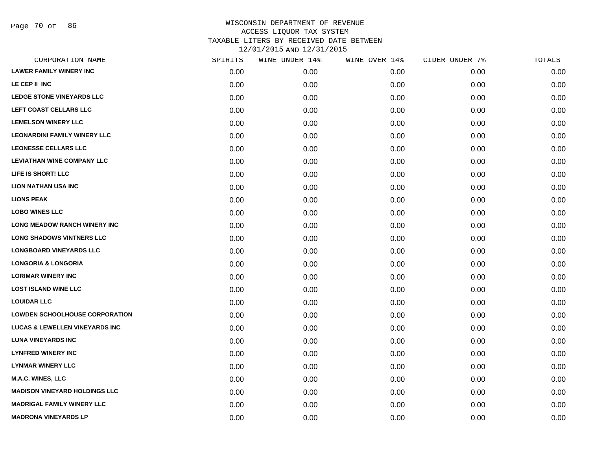Page 70 of 86

| CORPORATION NAME                          | SPIRITS | WINE UNDER 14% | WINE OVER 14% | CIDER UNDER 7% | TOTALS |
|-------------------------------------------|---------|----------------|---------------|----------------|--------|
| <b>LAWER FAMILY WINERY INC</b>            | 0.00    | 0.00           | 0.00          | 0.00           | 0.00   |
| LE CEP II INC                             | 0.00    | 0.00           | 0.00          | 0.00           | 0.00   |
| <b>LEDGE STONE VINEYARDS LLC</b>          | 0.00    | 0.00           | 0.00          | 0.00           | 0.00   |
| LEFT COAST CELLARS LLC                    | 0.00    | 0.00           | 0.00          | 0.00           | 0.00   |
| <b>LEMELSON WINERY LLC</b>                | 0.00    | 0.00           | 0.00          | 0.00           | 0.00   |
| <b>LEONARDINI FAMILY WINERY LLC</b>       | 0.00    | 0.00           | 0.00          | 0.00           | 0.00   |
| <b>LEONESSE CELLARS LLC</b>               | 0.00    | 0.00           | 0.00          | 0.00           | 0.00   |
| <b>LEVIATHAN WINE COMPANY LLC</b>         | 0.00    | 0.00           | 0.00          | 0.00           | 0.00   |
| LIFE IS SHORT! LLC                        | 0.00    | 0.00           | 0.00          | 0.00           | 0.00   |
| <b>LION NATHAN USA INC</b>                | 0.00    | 0.00           | 0.00          | 0.00           | 0.00   |
| <b>LIONS PEAK</b>                         | 0.00    | 0.00           | 0.00          | 0.00           | 0.00   |
| <b>LOBO WINES LLC</b>                     | 0.00    | 0.00           | 0.00          | 0.00           | 0.00   |
| <b>LONG MEADOW RANCH WINERY INC</b>       | 0.00    | 0.00           | 0.00          | 0.00           | 0.00   |
| <b>LONG SHADOWS VINTNERS LLC</b>          | 0.00    | 0.00           | 0.00          | 0.00           | 0.00   |
| <b>LONGBOARD VINEYARDS LLC</b>            | 0.00    | 0.00           | 0.00          | 0.00           | 0.00   |
| <b>LONGORIA &amp; LONGORIA</b>            | 0.00    | 0.00           | 0.00          | 0.00           | 0.00   |
| <b>LORIMAR WINERY INC</b>                 | 0.00    | 0.00           | 0.00          | 0.00           | 0.00   |
| <b>LOST ISLAND WINE LLC</b>               | 0.00    | 0.00           | 0.00          | 0.00           | 0.00   |
| <b>LOUIDAR LLC</b>                        | 0.00    | 0.00           | 0.00          | 0.00           | 0.00   |
| <b>LOWDEN SCHOOLHOUSE CORPORATION</b>     | 0.00    | 0.00           | 0.00          | 0.00           | 0.00   |
| <b>LUCAS &amp; LEWELLEN VINEYARDS INC</b> | 0.00    | 0.00           | 0.00          | 0.00           | 0.00   |
| <b>LUNA VINEYARDS INC</b>                 | 0.00    | 0.00           | 0.00          | 0.00           | 0.00   |
| <b>LYNFRED WINERY INC</b>                 | 0.00    | 0.00           | 0.00          | 0.00           | 0.00   |
| <b>LYNMAR WINERY LLC</b>                  | 0.00    | 0.00           | 0.00          | 0.00           | 0.00   |
| M.A.C. WINES, LLC                         | 0.00    | 0.00           | 0.00          | 0.00           | 0.00   |
| <b>MADISON VINEYARD HOLDINGS LLC</b>      | 0.00    | 0.00           | 0.00          | 0.00           | 0.00   |
| <b>MADRIGAL FAMILY WINERY LLC</b>         | 0.00    | 0.00           | 0.00          | 0.00           | 0.00   |
| <b>MADRONA VINEYARDS LP</b>               | 0.00    | 0.00           | 0.00          | 0.00           | 0.00   |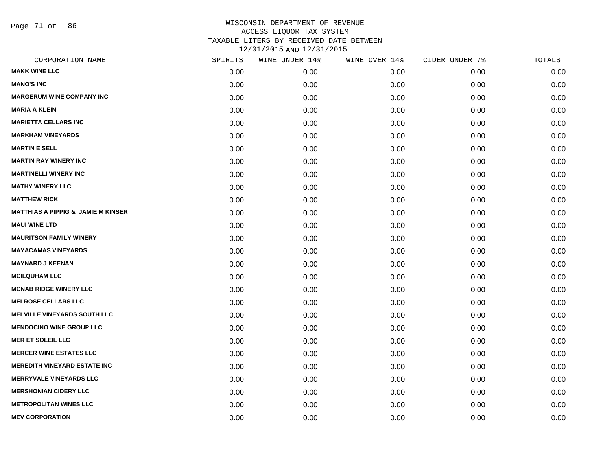Page 71 of 86

| CORPORATION NAME                              | SPIRITS | WINE UNDER 14% | WINE OVER 14% | CIDER UNDER 7% | TOTALS |
|-----------------------------------------------|---------|----------------|---------------|----------------|--------|
| <b>MAKK WINE LLC</b>                          | 0.00    | 0.00           | 0.00          | 0.00           | 0.00   |
| <b>MANO'S INC</b>                             | 0.00    | 0.00           | 0.00          | 0.00           | 0.00   |
| <b>MARGERUM WINE COMPANY INC</b>              | 0.00    | 0.00           | 0.00          | 0.00           | 0.00   |
| <b>MARIA A KLEIN</b>                          | 0.00    | 0.00           | 0.00          | 0.00           | 0.00   |
| <b>MARIETTA CELLARS INC</b>                   | 0.00    | 0.00           | 0.00          | 0.00           | 0.00   |
| <b>MARKHAM VINEYARDS</b>                      | 0.00    | 0.00           | 0.00          | 0.00           | 0.00   |
| <b>MARTIN E SELL</b>                          | 0.00    | 0.00           | 0.00          | 0.00           | 0.00   |
| <b>MARTIN RAY WINERY INC</b>                  | 0.00    | 0.00           | 0.00          | 0.00           | 0.00   |
| <b>MARTINELLI WINERY INC</b>                  | 0.00    | 0.00           | 0.00          | 0.00           | 0.00   |
| <b>MATHY WINERY LLC</b>                       | 0.00    | 0.00           | 0.00          | 0.00           | 0.00   |
| <b>MATTHEW RICK</b>                           | 0.00    | 0.00           | 0.00          | 0.00           | 0.00   |
| <b>MATTHIAS A PIPPIG &amp; JAMIE M KINSER</b> | 0.00    | 0.00           | 0.00          | 0.00           | 0.00   |
| <b>MAUI WINE LTD</b>                          | 0.00    | 0.00           | 0.00          | 0.00           | 0.00   |
| <b>MAURITSON FAMILY WINERY</b>                | 0.00    | 0.00           | 0.00          | 0.00           | 0.00   |
| <b>MAYACAMAS VINEYARDS</b>                    | 0.00    | 0.00           | 0.00          | 0.00           | 0.00   |
| <b>MAYNARD J KEENAN</b>                       | 0.00    | 0.00           | 0.00          | 0.00           | 0.00   |
| <b>MCILQUHAM LLC</b>                          | 0.00    | 0.00           | 0.00          | 0.00           | 0.00   |
| <b>MCNAB RIDGE WINERY LLC</b>                 | 0.00    | 0.00           | 0.00          | 0.00           | 0.00   |
| <b>MELROSE CELLARS LLC</b>                    | 0.00    | 0.00           | 0.00          | 0.00           | 0.00   |
| <b>MELVILLE VINEYARDS SOUTH LLC</b>           | 0.00    | 0.00           | 0.00          | 0.00           | 0.00   |
| <b>MENDOCINO WINE GROUP LLC</b>               | 0.00    | 0.00           | 0.00          | 0.00           | 0.00   |
| <b>MER ET SOLEIL LLC</b>                      | 0.00    | 0.00           | 0.00          | 0.00           | 0.00   |
| <b>MERCER WINE ESTATES LLC</b>                | 0.00    | 0.00           | 0.00          | 0.00           | 0.00   |
| <b>MEREDITH VINEYARD ESTATE INC</b>           | 0.00    | 0.00           | 0.00          | 0.00           | 0.00   |
| <b>MERRYVALE VINEYARDS LLC</b>                | 0.00    | 0.00           | 0.00          | 0.00           | 0.00   |
| <b>MERSHONIAN CIDERY LLC</b>                  | 0.00    | 0.00           | 0.00          | 0.00           | 0.00   |
| <b>METROPOLITAN WINES LLC</b>                 | 0.00    | 0.00           | 0.00          | 0.00           | 0.00   |
| <b>MEV CORPORATION</b>                        | 0.00    | 0.00           | 0.00          | 0.00           | 0.00   |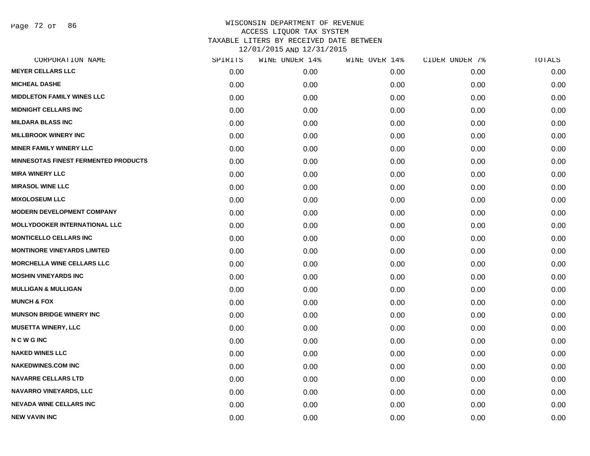Page 72 of 86

| CORPORATION NAME                            | SPIRITS | WINE UNDER 14% | WINE OVER 14% | CIDER UNDER 7% | TOTALS |
|---------------------------------------------|---------|----------------|---------------|----------------|--------|
| <b>MEYER CELLARS LLC</b>                    | 0.00    | 0.00           | 0.00          | 0.00           | 0.00   |
| <b>MICHEAL DASHE</b>                        | 0.00    | 0.00           | 0.00          | 0.00           | 0.00   |
| <b>MIDDLETON FAMILY WINES LLC</b>           | 0.00    | 0.00           | 0.00          | 0.00           | 0.00   |
| <b>MIDNIGHT CELLARS INC</b>                 | 0.00    | 0.00           | 0.00          | 0.00           | 0.00   |
| <b>MILDARA BLASS INC</b>                    | 0.00    | 0.00           | 0.00          | 0.00           | 0.00   |
| <b>MILLBROOK WINERY INC</b>                 | 0.00    | 0.00           | 0.00          | 0.00           | 0.00   |
| <b>MINER FAMILY WINERY LLC</b>              | 0.00    | 0.00           | 0.00          | 0.00           | 0.00   |
| <b>MINNESOTAS FINEST FERMENTED PRODUCTS</b> | 0.00    | 0.00           | 0.00          | 0.00           | 0.00   |
| <b>MIRA WINERY LLC</b>                      | 0.00    | 0.00           | 0.00          | 0.00           | 0.00   |
| <b>MIRASOL WINE LLC</b>                     | 0.00    | 0.00           | 0.00          | 0.00           | 0.00   |
| <b>MIXOLOSEUM LLC</b>                       | 0.00    | 0.00           | 0.00          | 0.00           | 0.00   |
| <b>MODERN DEVELOPMENT COMPANY</b>           | 0.00    | 0.00           | 0.00          | 0.00           | 0.00   |
| <b>MOLLYDOOKER INTERNATIONAL LLC</b>        | 0.00    | 0.00           | 0.00          | 0.00           | 0.00   |
| <b>MONTICELLO CELLARS INC</b>               | 0.00    | 0.00           | 0.00          | 0.00           | 0.00   |
| <b>MONTINORE VINEYARDS LIMITED</b>          | 0.00    | 0.00           | 0.00          | 0.00           | 0.00   |
| <b>MORCHELLA WINE CELLARS LLC</b>           | 0.00    | 0.00           | 0.00          | 0.00           | 0.00   |
| <b>MOSHIN VINEYARDS INC</b>                 | 0.00    | 0.00           | 0.00          | 0.00           | 0.00   |
| <b>MULLIGAN &amp; MULLIGAN</b>              | 0.00    | 0.00           | 0.00          | 0.00           | 0.00   |
| <b>MUNCH &amp; FOX</b>                      | 0.00    | 0.00           | 0.00          | 0.00           | 0.00   |
| <b>MUNSON BRIDGE WINERY INC</b>             | 0.00    | 0.00           | 0.00          | 0.00           | 0.00   |
| <b>MUSETTA WINERY, LLC</b>                  | 0.00    | 0.00           | 0.00          | 0.00           | 0.00   |
| <b>NCWGINC</b>                              | 0.00    | 0.00           | 0.00          | 0.00           | 0.00   |
| <b>NAKED WINES LLC</b>                      | 0.00    | 0.00           | 0.00          | 0.00           | 0.00   |
| <b>NAKEDWINES.COM INC</b>                   | 0.00    | 0.00           | 0.00          | 0.00           | 0.00   |
| <b>NAVARRE CELLARS LTD</b>                  | 0.00    | 0.00           | 0.00          | 0.00           | 0.00   |
| <b>NAVARRO VINEYARDS, LLC</b>               | 0.00    | 0.00           | 0.00          | 0.00           | 0.00   |
| <b>NEVADA WINE CELLARS INC</b>              | 0.00    | 0.00           | 0.00          | 0.00           | 0.00   |
| <b>NEW VAVIN INC</b>                        | 0.00    | 0.00           | 0.00          | 0.00           | 0.00   |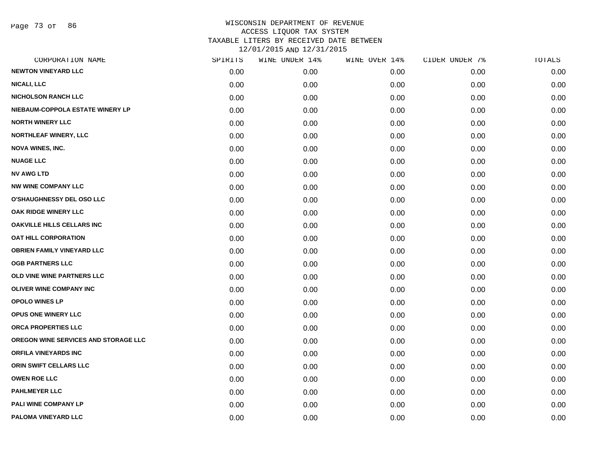Page 73 of 86

| CORPORATION NAME                     | SPIRITS | WINE UNDER 14% | WINE OVER 14% | CIDER UNDER 7% | TOTALS |
|--------------------------------------|---------|----------------|---------------|----------------|--------|
| <b>NEWTON VINEYARD LLC</b>           | 0.00    | 0.00           | 0.00          | 0.00           | 0.00   |
| <b>NICALI, LLC</b>                   | 0.00    | 0.00           | 0.00          | 0.00           | 0.00   |
| <b>NICHOLSON RANCH LLC</b>           | 0.00    | 0.00           | 0.00          | 0.00           | 0.00   |
| NIEBAUM-COPPOLA ESTATE WINERY LP     | 0.00    | 0.00           | 0.00          | 0.00           | 0.00   |
| <b>NORTH WINERY LLC</b>              | 0.00    | 0.00           | 0.00          | 0.00           | 0.00   |
| NORTHLEAF WINERY, LLC                | 0.00    | 0.00           | 0.00          | 0.00           | 0.00   |
| <b>NOVA WINES, INC.</b>              | 0.00    | 0.00           | 0.00          | 0.00           | 0.00   |
| <b>NUAGE LLC</b>                     | 0.00    | 0.00           | 0.00          | 0.00           | 0.00   |
| <b>NV AWG LTD</b>                    | 0.00    | 0.00           | 0.00          | 0.00           | 0.00   |
| <b>NW WINE COMPANY LLC</b>           | 0.00    | 0.00           | 0.00          | 0.00           | 0.00   |
| O'SHAUGHNESSY DEL OSO LLC            | 0.00    | 0.00           | 0.00          | 0.00           | 0.00   |
| OAK RIDGE WINERY LLC                 | 0.00    | 0.00           | 0.00          | 0.00           | 0.00   |
| OAKVILLE HILLS CELLARS INC           | 0.00    | 0.00           | 0.00          | 0.00           | 0.00   |
| <b>OAT HILL CORPORATION</b>          | 0.00    | 0.00           | 0.00          | 0.00           | 0.00   |
| <b>OBRIEN FAMILY VINEYARD LLC</b>    | 0.00    | 0.00           | 0.00          | 0.00           | 0.00   |
| <b>OGB PARTNERS LLC</b>              | 0.00    | 0.00           | 0.00          | 0.00           | 0.00   |
| OLD VINE WINE PARTNERS LLC           | 0.00    | 0.00           | 0.00          | 0.00           | 0.00   |
| <b>OLIVER WINE COMPANY INC</b>       | 0.00    | 0.00           | 0.00          | 0.00           | 0.00   |
| <b>OPOLO WINES LP</b>                | 0.00    | 0.00           | 0.00          | 0.00           | 0.00   |
| OPUS ONE WINERY LLC                  | 0.00    | 0.00           | 0.00          | 0.00           | 0.00   |
| ORCA PROPERTIES LLC                  | 0.00    | 0.00           | 0.00          | 0.00           | 0.00   |
| OREGON WINE SERVICES AND STORAGE LLC | 0.00    | 0.00           | 0.00          | 0.00           | 0.00   |
| <b>ORFILA VINEYARDS INC</b>          | 0.00    | 0.00           | 0.00          | 0.00           | 0.00   |
| ORIN SWIFT CELLARS LLC               | 0.00    | 0.00           | 0.00          | 0.00           | 0.00   |
| <b>OWEN ROE LLC</b>                  | 0.00    | 0.00           | 0.00          | 0.00           | 0.00   |
| <b>PAHLMEYER LLC</b>                 | 0.00    | 0.00           | 0.00          | 0.00           | 0.00   |
| <b>PALI WINE COMPANY LP</b>          | 0.00    | 0.00           | 0.00          | 0.00           | 0.00   |
| PALOMA VINEYARD LLC                  | 0.00    | 0.00           | 0.00          | 0.00           | 0.00   |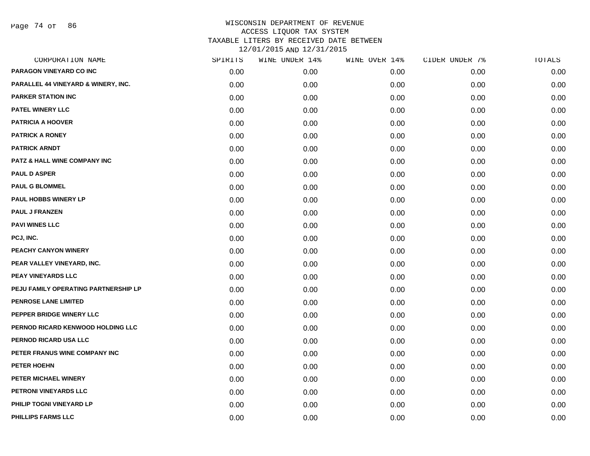Page 74 of 86

| CORPORATION NAME                     | SPIRITS | WINE UNDER 14% | WINE OVER 14% | CIDER UNDER 7% | TOTALS |
|--------------------------------------|---------|----------------|---------------|----------------|--------|
| PARAGON VINEYARD CO INC              | 0.00    | 0.00           | 0.00          | 0.00           | 0.00   |
| PARALLEL 44 VINEYARD & WINERY, INC.  | 0.00    | 0.00           | 0.00          | 0.00           | 0.00   |
| <b>PARKER STATION INC</b>            | 0.00    | 0.00           | 0.00          | 0.00           | 0.00   |
| PATEL WINERY LLC                     | 0.00    | 0.00           | 0.00          | 0.00           | 0.00   |
| <b>PATRICIA A HOOVER</b>             | 0.00    | 0.00           | 0.00          | 0.00           | 0.00   |
| <b>PATRICK A RONEY</b>               | 0.00    | 0.00           | 0.00          | 0.00           | 0.00   |
| <b>PATRICK ARNDT</b>                 | 0.00    | 0.00           | 0.00          | 0.00           | 0.00   |
| PATZ & HALL WINE COMPANY INC         | 0.00    | 0.00           | 0.00          | 0.00           | 0.00   |
| <b>PAUL D ASPER</b>                  | 0.00    | 0.00           | 0.00          | 0.00           | 0.00   |
| <b>PAUL G BLOMMEL</b>                | 0.00    | 0.00           | 0.00          | 0.00           | 0.00   |
| <b>PAUL HOBBS WINERY LP</b>          | 0.00    | 0.00           | 0.00          | 0.00           | 0.00   |
| <b>PAUL J FRANZEN</b>                | 0.00    | 0.00           | 0.00          | 0.00           | 0.00   |
| <b>PAVI WINES LLC</b>                | 0.00    | 0.00           | 0.00          | 0.00           | 0.00   |
| PCJ, INC.                            | 0.00    | 0.00           | 0.00          | 0.00           | 0.00   |
| PEACHY CANYON WINERY                 | 0.00    | 0.00           | 0.00          | 0.00           | 0.00   |
| PEAR VALLEY VINEYARD, INC.           | 0.00    | 0.00           | 0.00          | 0.00           | 0.00   |
| PEAY VINEYARDS LLC                   | 0.00    | 0.00           | 0.00          | 0.00           | 0.00   |
| PEJU FAMILY OPERATING PARTNERSHIP LP | 0.00    | 0.00           | 0.00          | 0.00           | 0.00   |
| PENROSE LANE LIMITED                 | 0.00    | 0.00           | 0.00          | 0.00           | 0.00   |
| PEPPER BRIDGE WINERY LLC             | 0.00    | 0.00           | 0.00          | 0.00           | 0.00   |
| PERNOD RICARD KENWOOD HOLDING LLC    | 0.00    | 0.00           | 0.00          | 0.00           | 0.00   |
| PERNOD RICARD USA LLC                | 0.00    | 0.00           | 0.00          | 0.00           | 0.00   |
| PETER FRANUS WINE COMPANY INC        | 0.00    | 0.00           | 0.00          | 0.00           | 0.00   |
| <b>PETER HOEHN</b>                   | 0.00    | 0.00           | 0.00          | 0.00           | 0.00   |
| PETER MICHAEL WINERY                 | 0.00    | 0.00           | 0.00          | 0.00           | 0.00   |
| PETRONI VINEYARDS LLC                | 0.00    | 0.00           | 0.00          | 0.00           | 0.00   |
| PHILIP TOGNI VINEYARD LP             | 0.00    | 0.00           | 0.00          | 0.00           | 0.00   |
| PHILLIPS FARMS LLC                   | 0.00    | 0.00           | 0.00          | 0.00           | 0.00   |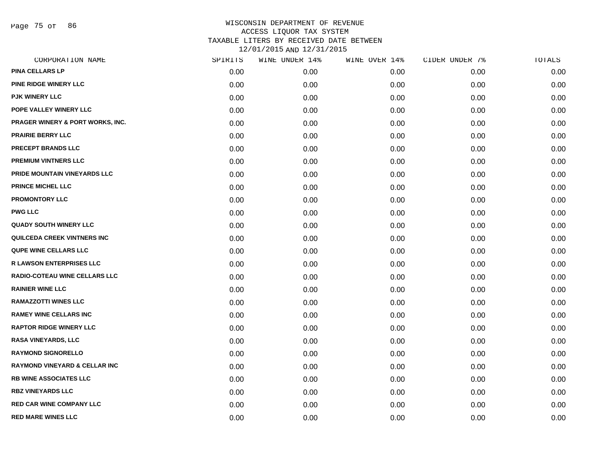Page 75 of 86

| CORPORATION NAME                         | SPIRITS | WINE UNDER 14% | WINE OVER 14% | CIDER UNDER 7% | TOTALS |
|------------------------------------------|---------|----------------|---------------|----------------|--------|
| <b>PINA CELLARS LP</b>                   | 0.00    | 0.00           | 0.00          | 0.00           | 0.00   |
| PINE RIDGE WINERY LLC                    | 0.00    | 0.00           | 0.00          | 0.00           | 0.00   |
| <b>PJK WINERY LLC</b>                    | 0.00    | 0.00           | 0.00          | 0.00           | 0.00   |
| POPE VALLEY WINERY LLC                   | 0.00    | 0.00           | 0.00          | 0.00           | 0.00   |
| PRAGER WINERY & PORT WORKS, INC.         | 0.00    | 0.00           | 0.00          | 0.00           | 0.00   |
| <b>PRAIRIE BERRY LLC</b>                 | 0.00    | 0.00           | 0.00          | 0.00           | 0.00   |
| PRECEPT BRANDS LLC                       | 0.00    | 0.00           | 0.00          | 0.00           | 0.00   |
| <b>PREMIUM VINTNERS LLC</b>              | 0.00    | 0.00           | 0.00          | 0.00           | 0.00   |
| PRIDE MOUNTAIN VINEYARDS LLC             | 0.00    | 0.00           | 0.00          | 0.00           | 0.00   |
| <b>PRINCE MICHEL LLC</b>                 | 0.00    | 0.00           | 0.00          | 0.00           | 0.00   |
| <b>PROMONTORY LLC</b>                    | 0.00    | 0.00           | 0.00          | 0.00           | 0.00   |
| <b>PWG LLC</b>                           | 0.00    | 0.00           | 0.00          | 0.00           | 0.00   |
| <b>QUADY SOUTH WINERY LLC</b>            | 0.00    | 0.00           | 0.00          | 0.00           | 0.00   |
| QUILCEDA CREEK VINTNERS INC              | 0.00    | 0.00           | 0.00          | 0.00           | 0.00   |
| <b>QUPE WINE CELLARS LLC</b>             | 0.00    | 0.00           | 0.00          | 0.00           | 0.00   |
| <b>R LAWSON ENTERPRISES LLC</b>          | 0.00    | 0.00           | 0.00          | 0.00           | 0.00   |
| <b>RADIO-COTEAU WINE CELLARS LLC</b>     | 0.00    | 0.00           | 0.00          | 0.00           | 0.00   |
| <b>RAINIER WINE LLC</b>                  | 0.00    | 0.00           | 0.00          | 0.00           | 0.00   |
| <b>RAMAZZOTTI WINES LLC</b>              | 0.00    | 0.00           | 0.00          | 0.00           | 0.00   |
| <b>RAMEY WINE CELLARS INC</b>            | 0.00    | 0.00           | 0.00          | 0.00           | 0.00   |
| <b>RAPTOR RIDGE WINERY LLC</b>           | 0.00    | 0.00           | 0.00          | 0.00           | 0.00   |
| RASA VINEYARDS, LLC                      | 0.00    | 0.00           | 0.00          | 0.00           | 0.00   |
| <b>RAYMOND SIGNORELLO</b>                | 0.00    | 0.00           | 0.00          | 0.00           | 0.00   |
| <b>RAYMOND VINEYARD &amp; CELLAR INC</b> | 0.00    | 0.00           | 0.00          | 0.00           | 0.00   |
| <b>RB WINE ASSOCIATES LLC</b>            | 0.00    | 0.00           | 0.00          | 0.00           | 0.00   |
| <b>RBZ VINEYARDS LLC</b>                 | 0.00    | 0.00           | 0.00          | 0.00           | 0.00   |
| <b>RED CAR WINE COMPANY LLC</b>          | 0.00    | 0.00           | 0.00          | 0.00           | 0.00   |
| <b>RED MARE WINES LLC</b>                | 0.00    | 0.00           | 0.00          | 0.00           | 0.00   |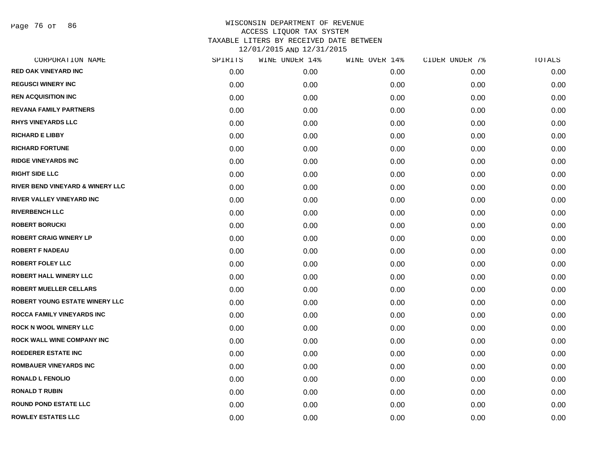Page 76 of 86

| CORPORATION NAME                      | SPIRITS | WINE UNDER 14% | WINE OVER 14% | CIDER UNDER 7% | TOTALS |
|---------------------------------------|---------|----------------|---------------|----------------|--------|
| <b>RED OAK VINEYARD INC</b>           | 0.00    | 0.00           | 0.00          | 0.00           | 0.00   |
| <b>REGUSCI WINERY INC</b>             | 0.00    | 0.00           | 0.00          | 0.00           | 0.00   |
| <b>REN ACQUISITION INC</b>            | 0.00    | 0.00           | 0.00          | 0.00           | 0.00   |
| <b>REVANA FAMILY PARTNERS</b>         | 0.00    | 0.00           | 0.00          | 0.00           | 0.00   |
| <b>RHYS VINEYARDS LLC</b>             | 0.00    | 0.00           | 0.00          | 0.00           | 0.00   |
| <b>RICHARD E LIBBY</b>                | 0.00    | 0.00           | 0.00          | 0.00           | 0.00   |
| <b>RICHARD FORTUNE</b>                | 0.00    | 0.00           | 0.00          | 0.00           | 0.00   |
| <b>RIDGE VINEYARDS INC</b>            | 0.00    | 0.00           | 0.00          | 0.00           | 0.00   |
| <b>RIGHT SIDE LLC</b>                 | 0.00    | 0.00           | 0.00          | 0.00           | 0.00   |
| RIVER BEND VINEYARD & WINERY LLC      | 0.00    | 0.00           | 0.00          | 0.00           | 0.00   |
| <b>RIVER VALLEY VINEYARD INC</b>      | 0.00    | 0.00           | 0.00          | 0.00           | 0.00   |
| <b>RIVERBENCH LLC</b>                 | 0.00    | 0.00           | 0.00          | 0.00           | 0.00   |
| <b>ROBERT BORUCKI</b>                 | 0.00    | 0.00           | 0.00          | 0.00           | 0.00   |
| <b>ROBERT CRAIG WINERY LP</b>         | 0.00    | 0.00           | 0.00          | 0.00           | 0.00   |
| <b>ROBERT F NADEAU</b>                | 0.00    | 0.00           | 0.00          | 0.00           | 0.00   |
| <b>ROBERT FOLEY LLC</b>               | 0.00    | 0.00           | 0.00          | 0.00           | 0.00   |
| <b>ROBERT HALL WINERY LLC</b>         | 0.00    | 0.00           | 0.00          | 0.00           | 0.00   |
| <b>ROBERT MUELLER CELLARS</b>         | 0.00    | 0.00           | 0.00          | 0.00           | 0.00   |
| <b>ROBERT YOUNG ESTATE WINERY LLC</b> | 0.00    | 0.00           | 0.00          | 0.00           | 0.00   |
| <b>ROCCA FAMILY VINEYARDS INC</b>     | 0.00    | 0.00           | 0.00          | 0.00           | 0.00   |
| <b>ROCK N WOOL WINERY LLC</b>         | 0.00    | 0.00           | 0.00          | 0.00           | 0.00   |
| <b>ROCK WALL WINE COMPANY INC</b>     | 0.00    | 0.00           | 0.00          | 0.00           | 0.00   |
| <b>ROEDERER ESTATE INC</b>            | 0.00    | 0.00           | 0.00          | 0.00           | 0.00   |
| <b>ROMBAUER VINEYARDS INC</b>         | 0.00    | 0.00           | 0.00          | 0.00           | 0.00   |
| <b>RONALD L FENOLIO</b>               | 0.00    | 0.00           | 0.00          | 0.00           | 0.00   |
| <b>RONALD T RUBIN</b>                 | 0.00    | 0.00           | 0.00          | 0.00           | 0.00   |
| <b>ROUND POND ESTATE LLC</b>          | 0.00    | 0.00           | 0.00          | 0.00           | 0.00   |
| <b>ROWLEY ESTATES LLC</b>             | 0.00    | 0.00           | 0.00          | 0.00           | 0.00   |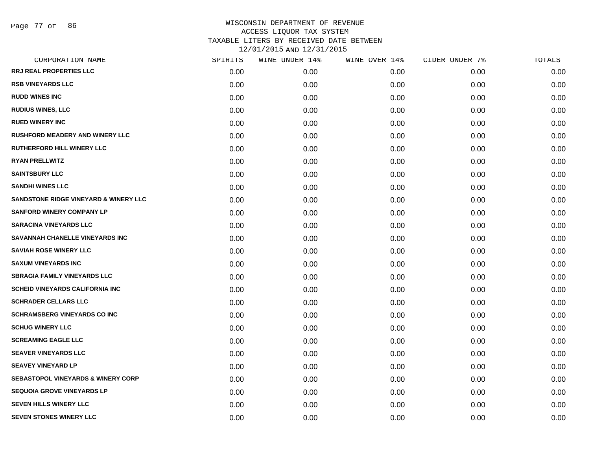| CORPORATION NAME                                 | SPIRITS | WINE UNDER 14% | WINE OVER 14% | CIDER UNDER 7% | TOTALS |
|--------------------------------------------------|---------|----------------|---------------|----------------|--------|
| <b>RRJ REAL PROPERTIES LLC</b>                   | 0.00    | 0.00           | 0.00          | 0.00           | 0.00   |
| <b>RSB VINEYARDS LLC</b>                         | 0.00    | 0.00           | 0.00          | 0.00           | 0.00   |
| <b>RUDD WINES INC</b>                            | 0.00    | 0.00           | 0.00          | 0.00           | 0.00   |
| <b>RUDIUS WINES, LLC</b>                         | 0.00    | 0.00           | 0.00          | 0.00           | 0.00   |
| <b>RUED WINERY INC</b>                           | 0.00    | 0.00           | 0.00          | 0.00           | 0.00   |
| <b>RUSHFORD MEADERY AND WINERY LLC</b>           | 0.00    | 0.00           | 0.00          | 0.00           | 0.00   |
| RUTHERFORD HILL WINERY LLC                       | 0.00    | 0.00           | 0.00          | 0.00           | 0.00   |
| <b>RYAN PRELLWITZ</b>                            | 0.00    | 0.00           | 0.00          | 0.00           | 0.00   |
| <b>SAINTSBURY LLC</b>                            | 0.00    | 0.00           | 0.00          | 0.00           | 0.00   |
| <b>SANDHI WINES LLC</b>                          | 0.00    | 0.00           | 0.00          | 0.00           | 0.00   |
| <b>SANDSTONE RIDGE VINEYARD &amp; WINERY LLC</b> | 0.00    | 0.00           | 0.00          | 0.00           | 0.00   |
| <b>SANFORD WINERY COMPANY LP</b>                 | 0.00    | 0.00           | 0.00          | 0.00           | 0.00   |
| <b>SARACINA VINEYARDS LLC</b>                    | 0.00    | 0.00           | 0.00          | 0.00           | 0.00   |
| <b>SAVANNAH CHANELLE VINEYARDS INC</b>           | 0.00    | 0.00           | 0.00          | 0.00           | 0.00   |
| <b>SAVIAH ROSE WINERY LLC</b>                    | 0.00    | 0.00           | 0.00          | 0.00           | 0.00   |
| <b>SAXUM VINEYARDS INC</b>                       | 0.00    | 0.00           | 0.00          | 0.00           | 0.00   |
| <b>SBRAGIA FAMILY VINEYARDS LLC</b>              | 0.00    | 0.00           | 0.00          | 0.00           | 0.00   |
| <b>SCHEID VINEYARDS CALIFORNIA INC</b>           | 0.00    | 0.00           | 0.00          | 0.00           | 0.00   |
| <b>SCHRADER CELLARS LLC</b>                      | 0.00    | 0.00           | 0.00          | 0.00           | 0.00   |
| <b>SCHRAMSBERG VINEYARDS CO INC</b>              | 0.00    | 0.00           | 0.00          | 0.00           | 0.00   |
| <b>SCHUG WINERY LLC</b>                          | 0.00    | 0.00           | 0.00          | 0.00           | 0.00   |
| <b>SCREAMING EAGLE LLC</b>                       | 0.00    | 0.00           | 0.00          | 0.00           | 0.00   |
| <b>SEAVER VINEYARDS LLC</b>                      | 0.00    | 0.00           | 0.00          | 0.00           | 0.00   |
| <b>SEAVEY VINEYARD LP</b>                        | 0.00    | 0.00           | 0.00          | 0.00           | 0.00   |
| <b>SEBASTOPOL VINEYARDS &amp; WINERY CORP</b>    | 0.00    | 0.00           | 0.00          | 0.00           | 0.00   |
| <b>SEQUOIA GROVE VINEYARDS LP</b>                | 0.00    | 0.00           | 0.00          | 0.00           | 0.00   |
| <b>SEVEN HILLS WINERY LLC</b>                    | 0.00    | 0.00           | 0.00          | 0.00           | 0.00   |
| <b>SEVEN STONES WINERY LLC</b>                   | 0.00    | 0.00           | 0.00          | 0.00           | 0.00   |
|                                                  |         |                |               |                |        |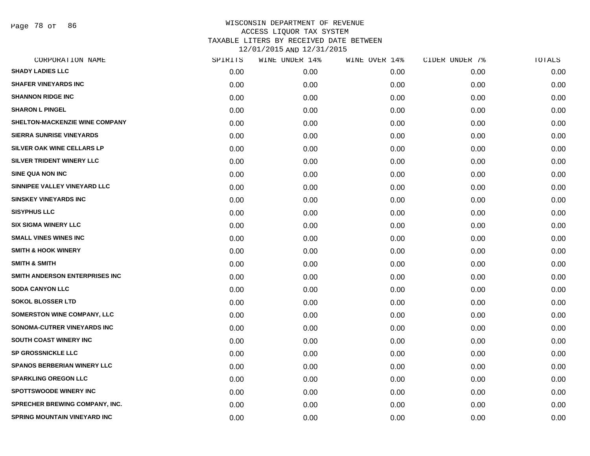Page 78 of 86

| CORPORATION NAME                      | SPIRITS | WINE UNDER 14% | WINE OVER 14% | CIDER UNDER 7% | TOTALS |
|---------------------------------------|---------|----------------|---------------|----------------|--------|
| <b>SHADY LADIES LLC</b>               | 0.00    | 0.00           | 0.00          | 0.00           | 0.00   |
| <b>SHAFER VINEYARDS INC</b>           | 0.00    | 0.00           | 0.00          | 0.00           | 0.00   |
| <b>SHANNON RIDGE INC</b>              | 0.00    | 0.00           | 0.00          | 0.00           | 0.00   |
| <b>SHARON L PINGEL</b>                | 0.00    | 0.00           | 0.00          | 0.00           | 0.00   |
| SHELTON-MACKENZIE WINE COMPANY        | 0.00    | 0.00           | 0.00          | 0.00           | 0.00   |
| <b>SIERRA SUNRISE VINEYARDS</b>       | 0.00    | 0.00           | 0.00          | 0.00           | 0.00   |
| SILVER OAK WINE CELLARS LP            | 0.00    | 0.00           | 0.00          | 0.00           | 0.00   |
| SILVER TRIDENT WINERY LLC             | 0.00    | 0.00           | 0.00          | 0.00           | 0.00   |
| <b>SINE QUA NON INC</b>               | 0.00    | 0.00           | 0.00          | 0.00           | 0.00   |
| SINNIPEE VALLEY VINEYARD LLC          | 0.00    | 0.00           | 0.00          | 0.00           | 0.00   |
| <b>SINSKEY VINEYARDS INC</b>          | 0.00    | 0.00           | 0.00          | 0.00           | 0.00   |
| <b>SISYPHUS LLC</b>                   | 0.00    | 0.00           | 0.00          | 0.00           | 0.00   |
| <b>SIX SIGMA WINERY LLC</b>           | 0.00    | 0.00           | 0.00          | 0.00           | 0.00   |
| <b>SMALL VINES WINES INC</b>          | 0.00    | 0.00           | 0.00          | 0.00           | 0.00   |
| <b>SMITH &amp; HOOK WINERY</b>        | 0.00    | 0.00           | 0.00          | 0.00           | 0.00   |
| <b>SMITH &amp; SMITH</b>              | 0.00    | 0.00           | 0.00          | 0.00           | 0.00   |
| SMITH ANDERSON ENTERPRISES INC        | 0.00    | 0.00           | 0.00          | 0.00           | 0.00   |
| <b>SODA CANYON LLC</b>                | 0.00    | 0.00           | 0.00          | 0.00           | 0.00   |
| <b>SOKOL BLOSSER LTD</b>              | 0.00    | 0.00           | 0.00          | 0.00           | 0.00   |
| <b>SOMERSTON WINE COMPANY, LLC</b>    | 0.00    | 0.00           | 0.00          | 0.00           | 0.00   |
| SONOMA-CUTRER VINEYARDS INC           | 0.00    | 0.00           | 0.00          | 0.00           | 0.00   |
| SOUTH COAST WINERY INC                | 0.00    | 0.00           | 0.00          | 0.00           | 0.00   |
| <b>SP GROSSNICKLE LLC</b>             | 0.00    | 0.00           | 0.00          | 0.00           | 0.00   |
| <b>SPANOS BERBERIAN WINERY LLC</b>    | 0.00    | 0.00           | 0.00          | 0.00           | 0.00   |
| <b>SPARKLING OREGON LLC</b>           | 0.00    | 0.00           | 0.00          | 0.00           | 0.00   |
| SPOTTSWOODE WINERY INC                | 0.00    | 0.00           | 0.00          | 0.00           | 0.00   |
| <b>SPRECHER BREWING COMPANY, INC.</b> | 0.00    | 0.00           | 0.00          | 0.00           | 0.00   |
| <b>SPRING MOUNTAIN VINEYARD INC</b>   | 0.00    | 0.00           | 0.00          | 0.00           | 0.00   |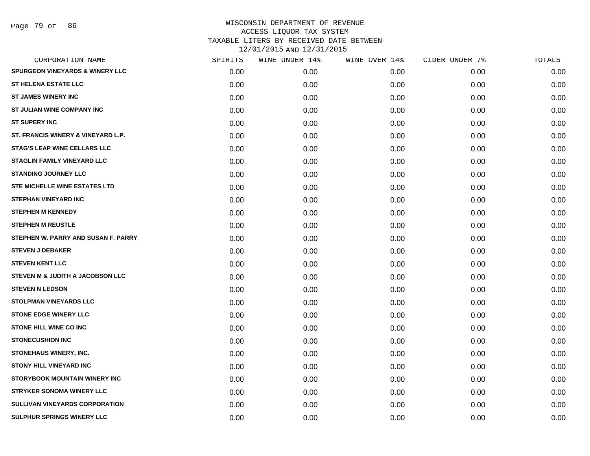Page 79 of 86

| CORPORATION NAME                            | SPIRITS | WINE UNDER 14% | WINE OVER 14% | CIDER UNDER 7% | TOTALS |
|---------------------------------------------|---------|----------------|---------------|----------------|--------|
| <b>SPURGEON VINEYARDS &amp; WINERY LLC</b>  | 0.00    | 0.00           | 0.00          | 0.00           | 0.00   |
| <b>ST HELENA ESTATE LLC</b>                 | 0.00    | 0.00           | 0.00          | 0.00           | 0.00   |
| <b>ST JAMES WINERY INC</b>                  | 0.00    | 0.00           | 0.00          | 0.00           | 0.00   |
| <b>ST JULIAN WINE COMPANY INC</b>           | 0.00    | 0.00           | 0.00          | 0.00           | 0.00   |
| <b>ST SUPERY INC</b>                        | 0.00    | 0.00           | 0.00          | 0.00           | 0.00   |
| ST. FRANCIS WINERY & VINEYARD L.P.          | 0.00    | 0.00           | 0.00          | 0.00           | 0.00   |
| <b>STAG'S LEAP WINE CELLARS LLC</b>         | 0.00    | 0.00           | 0.00          | 0.00           | 0.00   |
| <b>STAGLIN FAMILY VINEYARD LLC</b>          | 0.00    | 0.00           | 0.00          | 0.00           | 0.00   |
| <b>STANDING JOURNEY LLC</b>                 | 0.00    | 0.00           | 0.00          | 0.00           | 0.00   |
| STE MICHELLE WINE ESTATES LTD               | 0.00    | 0.00           | 0.00          | 0.00           | 0.00   |
| <b>STEPHAN VINEYARD INC</b>                 | 0.00    | 0.00           | 0.00          | 0.00           | 0.00   |
| <b>STEPHEN M KENNEDY</b>                    | 0.00    | 0.00           | 0.00          | 0.00           | 0.00   |
| <b>STEPHEN M REUSTLE</b>                    | 0.00    | 0.00           | 0.00          | 0.00           | 0.00   |
| STEPHEN W. PARRY AND SUSAN F. PARRY         | 0.00    | 0.00           | 0.00          | 0.00           | 0.00   |
| <b>STEVEN J DEBAKER</b>                     | 0.00    | 0.00           | 0.00          | 0.00           | 0.00   |
| <b>STEVEN KENT LLC</b>                      | 0.00    | 0.00           | 0.00          | 0.00           | 0.00   |
| <b>STEVEN M &amp; JUDITH A JACOBSON LLC</b> | 0.00    | 0.00           | 0.00          | 0.00           | 0.00   |
| <b>STEVEN N LEDSON</b>                      | 0.00    | 0.00           | 0.00          | 0.00           | 0.00   |
| <b>STOLPMAN VINEYARDS LLC</b>               | 0.00    | 0.00           | 0.00          | 0.00           | 0.00   |
| <b>STONE EDGE WINERY LLC</b>                | 0.00    | 0.00           | 0.00          | 0.00           | 0.00   |
| <b>STONE HILL WINE CO INC</b>               | 0.00    | 0.00           | 0.00          | 0.00           | 0.00   |
| <b>STONECUSHION INC</b>                     | 0.00    | 0.00           | 0.00          | 0.00           | 0.00   |
| STONEHAUS WINERY, INC.                      | 0.00    | 0.00           | 0.00          | 0.00           | 0.00   |
| <b>STONY HILL VINEYARD INC.</b>             | 0.00    | 0.00           | 0.00          | 0.00           | 0.00   |
| <b>STORYBOOK MOUNTAIN WINERY INC</b>        | 0.00    | 0.00           | 0.00          | 0.00           | 0.00   |
| <b>STRYKER SONOMA WINERY LLC</b>            | 0.00    | 0.00           | 0.00          | 0.00           | 0.00   |
| <b>SULLIVAN VINEYARDS CORPORATION</b>       | 0.00    | 0.00           | 0.00          | 0.00           | 0.00   |
| <b>SULPHUR SPRINGS WINERY LLC</b>           | 0.00    | 0.00           | 0.00          | 0.00           | 0.00   |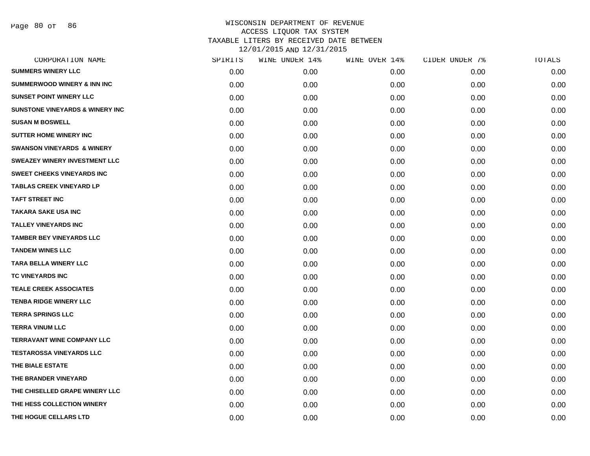Page 80 of 86

| CORPORATION NAME                           | SPIRITS | WINE UNDER 14% | WINE OVER 14% | CIDER UNDER 7% | TOTALS |
|--------------------------------------------|---------|----------------|---------------|----------------|--------|
| <b>SUMMERS WINERY LLC</b>                  | 0.00    | 0.00           | 0.00          | 0.00           | 0.00   |
| <b>SUMMERWOOD WINERY &amp; INN INC</b>     | 0.00    | 0.00           | 0.00          | 0.00           | 0.00   |
| <b>SUNSET POINT WINERY LLC</b>             | 0.00    | 0.00           | 0.00          | 0.00           | 0.00   |
| <b>SUNSTONE VINEYARDS &amp; WINERY INC</b> | 0.00    | 0.00           | 0.00          | 0.00           | 0.00   |
| <b>SUSAN M BOSWELL</b>                     | 0.00    | 0.00           | 0.00          | 0.00           | 0.00   |
| <b>SUTTER HOME WINERY INC</b>              | 0.00    | 0.00           | 0.00          | 0.00           | 0.00   |
| <b>SWANSON VINEYARDS &amp; WINERY</b>      | 0.00    | 0.00           | 0.00          | 0.00           | 0.00   |
| <b>SWEAZEY WINERY INVESTMENT LLC</b>       | 0.00    | 0.00           | 0.00          | 0.00           | 0.00   |
| <b>SWEET CHEEKS VINEYARDS INC</b>          | 0.00    | 0.00           | 0.00          | 0.00           | 0.00   |
| <b>TABLAS CREEK VINEYARD LP</b>            | 0.00    | 0.00           | 0.00          | 0.00           | 0.00   |
| <b>TAFT STREET INC</b>                     | 0.00    | 0.00           | 0.00          | 0.00           | 0.00   |
| TAKARA SAKE USA INC                        | 0.00    | 0.00           | 0.00          | 0.00           | 0.00   |
| <b>TALLEY VINEYARDS INC</b>                | 0.00    | 0.00           | 0.00          | 0.00           | 0.00   |
| <b>TAMBER BEY VINEYARDS LLC</b>            | 0.00    | 0.00           | 0.00          | 0.00           | 0.00   |
| <b>TANDEM WINES LLC</b>                    | 0.00    | 0.00           | 0.00          | 0.00           | 0.00   |
| <b>TARA BELLA WINERY LLC</b>               | 0.00    | 0.00           | 0.00          | 0.00           | 0.00   |
| TC VINEYARDS INC                           | 0.00    | 0.00           | 0.00          | 0.00           | 0.00   |
| <b>TEALE CREEK ASSOCIATES</b>              | 0.00    | 0.00           | 0.00          | 0.00           | 0.00   |
| <b>TENBA RIDGE WINERY LLC</b>              | 0.00    | 0.00           | 0.00          | 0.00           | 0.00   |
| <b>TERRA SPRINGS LLC</b>                   | 0.00    | 0.00           | 0.00          | 0.00           | 0.00   |
| <b>TERRA VINUM LLC</b>                     | 0.00    | 0.00           | 0.00          | 0.00           | 0.00   |
| <b>TERRAVANT WINE COMPANY LLC</b>          | 0.00    | 0.00           | 0.00          | 0.00           | 0.00   |
| <b>TESTAROSSA VINEYARDS LLC</b>            | 0.00    | 0.00           | 0.00          | 0.00           | 0.00   |
| THE BIALE ESTATE                           | 0.00    | 0.00           | 0.00          | 0.00           | 0.00   |
| THE BRANDER VINEYARD                       | 0.00    | 0.00           | 0.00          | 0.00           | 0.00   |
| THE CHISELLED GRAPE WINERY LLC             | 0.00    | 0.00           | 0.00          | 0.00           | 0.00   |
| THE HESS COLLECTION WINERY                 | 0.00    | 0.00           | 0.00          | 0.00           | 0.00   |
| THE HOGUE CELLARS LTD                      | 0.00    | 0.00           | 0.00          | 0.00           | 0.00   |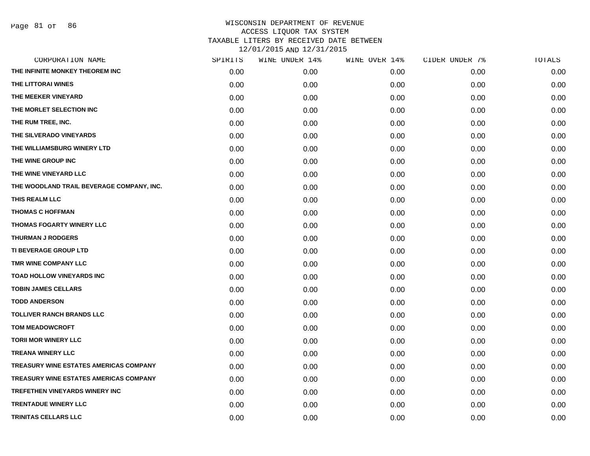Page 81 of 86

| CORPORATION NAME                              | SPIRITS | WINE UNDER 14% | WINE OVER 14% | CIDER UNDER 7% | TOTALS |
|-----------------------------------------------|---------|----------------|---------------|----------------|--------|
| THE INFINITE MONKEY THEOREM INC               | 0.00    | 0.00           | 0.00          | 0.00           | 0.00   |
| THE LITTORAI WINES                            | 0.00    | 0.00           | 0.00          | 0.00           | 0.00   |
| THE MEEKER VINEYARD                           | 0.00    | 0.00           | 0.00          | 0.00           | 0.00   |
| THE MORLET SELECTION INC                      | 0.00    | 0.00           | 0.00          | 0.00           | 0.00   |
| THE RUM TREE, INC.                            | 0.00    | 0.00           | 0.00          | 0.00           | 0.00   |
| THE SILVERADO VINEYARDS                       | 0.00    | 0.00           | 0.00          | 0.00           | 0.00   |
| THE WILLIAMSBURG WINERY LTD                   | 0.00    | 0.00           | 0.00          | 0.00           | 0.00   |
| THE WINE GROUP INC                            | 0.00    | 0.00           | 0.00          | 0.00           | 0.00   |
| THE WINE VINEYARD LLC                         | 0.00    | 0.00           | 0.00          | 0.00           | 0.00   |
| THE WOODLAND TRAIL BEVERAGE COMPANY, INC.     | 0.00    | 0.00           | 0.00          | 0.00           | 0.00   |
| THIS REALM LLC                                | 0.00    | 0.00           | 0.00          | 0.00           | 0.00   |
| <b>THOMAS C HOFFMAN</b>                       | 0.00    | 0.00           | 0.00          | 0.00           | 0.00   |
| THOMAS FOGARTY WINERY LLC                     | 0.00    | 0.00           | 0.00          | 0.00           | 0.00   |
| <b>THURMAN J RODGERS</b>                      | 0.00    | 0.00           | 0.00          | 0.00           | 0.00   |
| <b>TI BEVERAGE GROUP LTD</b>                  | 0.00    | 0.00           | 0.00          | 0.00           | 0.00   |
| TMR WINE COMPANY LLC                          | 0.00    | 0.00           | 0.00          | 0.00           | 0.00   |
| <b>TOAD HOLLOW VINEYARDS INC</b>              | 0.00    | 0.00           | 0.00          | 0.00           | 0.00   |
| <b>TOBIN JAMES CELLARS</b>                    | 0.00    | 0.00           | 0.00          | 0.00           | 0.00   |
| <b>TODD ANDERSON</b>                          | 0.00    | 0.00           | 0.00          | 0.00           | 0.00   |
| <b>TOLLIVER RANCH BRANDS LLC</b>              | 0.00    | 0.00           | 0.00          | 0.00           | 0.00   |
| <b>TOM MEADOWCROFT</b>                        | 0.00    | 0.00           | 0.00          | 0.00           | 0.00   |
| <b>TORII MOR WINERY LLC</b>                   | 0.00    | 0.00           | 0.00          | 0.00           | 0.00   |
| <b>TREANA WINERY LLC</b>                      | 0.00    | 0.00           | 0.00          | 0.00           | 0.00   |
| TREASURY WINE ESTATES AMERICAS COMPANY        | 0.00    | 0.00           | 0.00          | 0.00           | 0.00   |
| <b>TREASURY WINE ESTATES AMERICAS COMPANY</b> | 0.00    | 0.00           | 0.00          | 0.00           | 0.00   |
| TREFETHEN VINEYARDS WINERY INC                | 0.00    | 0.00           | 0.00          | 0.00           | 0.00   |
| <b>TRENTADUE WINERY LLC</b>                   | 0.00    | 0.00           | 0.00          | 0.00           | 0.00   |
| TRINITAS CELLARS LLC                          | 0.00    | 0.00           | 0.00          | 0.00           | 0.00   |
|                                               |         |                |               |                |        |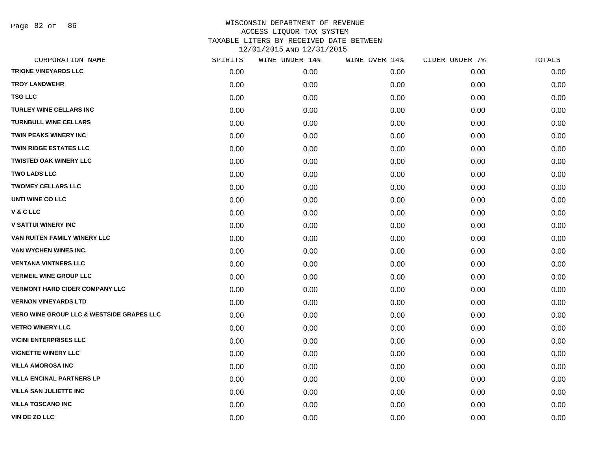Page 82 of 86

| CORPORATION NAME                                     | SPIRITS | WINE UNDER 14% | WINE OVER 14% | CIDER UNDER 7% | TOTALS |
|------------------------------------------------------|---------|----------------|---------------|----------------|--------|
| <b>TRIONE VINEYARDS LLC</b>                          | 0.00    | 0.00           | 0.00          | 0.00           | 0.00   |
| <b>TROY LANDWEHR</b>                                 | 0.00    | 0.00           | 0.00          | 0.00           | 0.00   |
| <b>TSG LLC</b>                                       | 0.00    | 0.00           | 0.00          | 0.00           | 0.00   |
| <b>TURLEY WINE CELLARS INC</b>                       | 0.00    | 0.00           | 0.00          | 0.00           | 0.00   |
| <b>TURNBULL WINE CELLARS</b>                         | 0.00    | 0.00           | 0.00          | 0.00           | 0.00   |
| <b>TWIN PEAKS WINERY INC</b>                         | 0.00    | 0.00           | 0.00          | 0.00           | 0.00   |
| <b>TWIN RIDGE ESTATES LLC</b>                        | 0.00    | 0.00           | 0.00          | 0.00           | 0.00   |
| <b>TWISTED OAK WINERY LLC</b>                        | 0.00    | 0.00           | 0.00          | 0.00           | 0.00   |
| <b>TWO LADS LLC</b>                                  | 0.00    | 0.00           | 0.00          | 0.00           | 0.00   |
| <b>TWOMEY CELLARS LLC</b>                            | 0.00    | 0.00           | 0.00          | 0.00           | 0.00   |
| UNTI WINE CO LLC                                     | 0.00    | 0.00           | 0.00          | 0.00           | 0.00   |
| V & C LLC                                            | 0.00    | 0.00           | 0.00          | 0.00           | 0.00   |
| <b>V SATTUI WINERY INC</b>                           | 0.00    | 0.00           | 0.00          | 0.00           | 0.00   |
| VAN RUITEN FAMILY WINERY LLC                         | 0.00    | 0.00           | 0.00          | 0.00           | 0.00   |
| VAN WYCHEN WINES INC.                                | 0.00    | 0.00           | 0.00          | 0.00           | 0.00   |
| <b>VENTANA VINTNERS LLC</b>                          | 0.00    | 0.00           | 0.00          | 0.00           | 0.00   |
| <b>VERMEIL WINE GROUP LLC</b>                        | 0.00    | 0.00           | 0.00          | 0.00           | 0.00   |
| <b>VERMONT HARD CIDER COMPANY LLC</b>                | 0.00    | 0.00           | 0.00          | 0.00           | 0.00   |
| <b>VERNON VINEYARDS LTD</b>                          | 0.00    | 0.00           | 0.00          | 0.00           | 0.00   |
| <b>VERO WINE GROUP LLC &amp; WESTSIDE GRAPES LLC</b> | 0.00    | 0.00           | 0.00          | 0.00           | 0.00   |
| <b>VETRO WINERY LLC</b>                              | 0.00    | 0.00           | 0.00          | 0.00           | 0.00   |
| <b>VICINI ENTERPRISES LLC</b>                        | 0.00    | 0.00           | 0.00          | 0.00           | 0.00   |
| <b>VIGNETTE WINERY LLC</b>                           | 0.00    | 0.00           | 0.00          | 0.00           | 0.00   |
| <b>VILLA AMOROSA INC</b>                             | 0.00    | 0.00           | 0.00          | 0.00           | 0.00   |
| <b>VILLA ENCINAL PARTNERS LP</b>                     | 0.00    | 0.00           | 0.00          | 0.00           | 0.00   |
| <b>VILLA SAN JULIETTE INC</b>                        | 0.00    | 0.00           | 0.00          | 0.00           | 0.00   |
| <b>VILLA TOSCANO INC</b>                             | 0.00    | 0.00           | 0.00          | 0.00           | 0.00   |
| <b>VIN DE ZO LLC</b>                                 | 0.00    | 0.00           | 0.00          | 0.00           | 0.00   |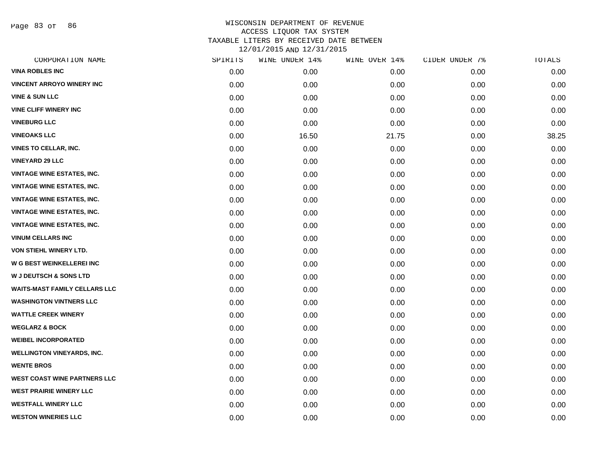Page 83 of 86

| CORPORATION NAME                     | SPIRITS | WINE UNDER 14% | WINE OVER 14% | CIDER UNDER 7% | TOTALS |
|--------------------------------------|---------|----------------|---------------|----------------|--------|
| <b>VINA ROBLES INC</b>               | 0.00    | 0.00           | 0.00          | 0.00           | 0.00   |
| <b>VINCENT ARROYO WINERY INC</b>     | 0.00    | 0.00           | 0.00          | 0.00           | 0.00   |
| <b>VINE &amp; SUN LLC</b>            | 0.00    | 0.00           | 0.00          | 0.00           | 0.00   |
| <b>VINE CLIFF WINERY INC</b>         | 0.00    | 0.00           | 0.00          | 0.00           | 0.00   |
| <b>VINEBURG LLC</b>                  | 0.00    | 0.00           | 0.00          | 0.00           | 0.00   |
| <b>VINEOAKS LLC</b>                  | 0.00    | 16.50          | 21.75         | 0.00           | 38.25  |
| <b>VINES TO CELLAR, INC.</b>         | 0.00    | 0.00           | 0.00          | 0.00           | 0.00   |
| <b>VINEYARD 29 LLC</b>               | 0.00    | 0.00           | 0.00          | 0.00           | 0.00   |
| <b>VINTAGE WINE ESTATES, INC.</b>    | 0.00    | 0.00           | 0.00          | 0.00           | 0.00   |
| <b>VINTAGE WINE ESTATES, INC.</b>    | 0.00    | 0.00           | 0.00          | 0.00           | 0.00   |
| <b>VINTAGE WINE ESTATES, INC.</b>    | 0.00    | 0.00           | 0.00          | 0.00           | 0.00   |
| <b>VINTAGE WINE ESTATES, INC.</b>    | 0.00    | 0.00           | 0.00          | 0.00           | 0.00   |
| <b>VINTAGE WINE ESTATES, INC.</b>    | 0.00    | 0.00           | 0.00          | 0.00           | 0.00   |
| <b>VINUM CELLARS INC</b>             | 0.00    | 0.00           | 0.00          | 0.00           | 0.00   |
| VON STIEHL WINERY LTD.               | 0.00    | 0.00           | 0.00          | 0.00           | 0.00   |
| W G BEST WEINKELLEREI INC            | 0.00    | 0.00           | 0.00          | 0.00           | 0.00   |
| <b>W J DEUTSCH &amp; SONS LTD</b>    | 0.00    | 0.00           | 0.00          | 0.00           | 0.00   |
| <b>WAITS-MAST FAMILY CELLARS LLC</b> | 0.00    | 0.00           | 0.00          | 0.00           | 0.00   |
| <b>WASHINGTON VINTNERS LLC</b>       | 0.00    | 0.00           | 0.00          | 0.00           | 0.00   |
| <b>WATTLE CREEK WINERY</b>           | 0.00    | 0.00           | 0.00          | 0.00           | 0.00   |
| <b>WEGLARZ &amp; BOCK</b>            | 0.00    | 0.00           | 0.00          | 0.00           | 0.00   |
| <b>WEIBEL INCORPORATED</b>           | 0.00    | 0.00           | 0.00          | 0.00           | 0.00   |
| <b>WELLINGTON VINEYARDS, INC.</b>    | 0.00    | 0.00           | 0.00          | 0.00           | 0.00   |
| <b>WENTE BROS</b>                    | 0.00    | 0.00           | 0.00          | 0.00           | 0.00   |
| <b>WEST COAST WINE PARTNERS LLC</b>  | 0.00    | 0.00           | 0.00          | 0.00           | 0.00   |
| <b>WEST PRAIRIE WINERY LLC</b>       | 0.00    | 0.00           | 0.00          | 0.00           | 0.00   |
| <b>WESTFALL WINERY LLC</b>           | 0.00    | 0.00           | 0.00          | 0.00           | 0.00   |
| <b>WESTON WINERIES LLC</b>           | 0.00    | 0.00           | 0.00          | 0.00           | 0.00   |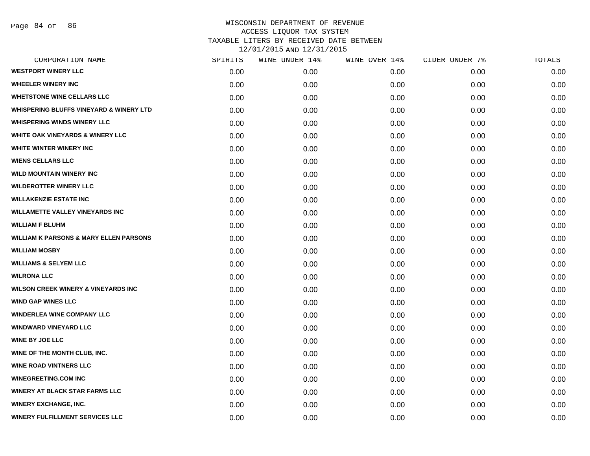| CORPORATION NAME                                   | SPIRITS | WINE UNDER 14% | WINE OVER 14% | CIDER UNDER 7% | TOTALS |
|----------------------------------------------------|---------|----------------|---------------|----------------|--------|
| <b>WESTPORT WINERY LLC</b>                         | 0.00    | 0.00           | 0.00          | 0.00           | 0.00   |
| <b>WHEELER WINERY INC</b>                          | 0.00    | 0.00           | 0.00          | 0.00           | 0.00   |
| <b>WHETSTONE WINE CELLARS LLC</b>                  | 0.00    | 0.00           | 0.00          | 0.00           | 0.00   |
| <b>WHISPERING BLUFFS VINEYARD &amp; WINERY LTD</b> | 0.00    | 0.00           | 0.00          | 0.00           | 0.00   |
| <b>WHISPERING WINDS WINERY LLC</b>                 | 0.00    | 0.00           | 0.00          | 0.00           | 0.00   |
| <b>WHITE OAK VINEYARDS &amp; WINERY LLC</b>        | 0.00    | 0.00           | 0.00          | 0.00           | 0.00   |
| WHITE WINTER WINERY INC                            | 0.00    | 0.00           | 0.00          | 0.00           | 0.00   |
| <b>WIENS CELLARS LLC</b>                           | 0.00    | 0.00           | 0.00          | 0.00           | 0.00   |
| <b>WILD MOUNTAIN WINERY INC</b>                    | 0.00    | 0.00           | 0.00          | 0.00           | 0.00   |
| <b>WILDEROTTER WINERY LLC</b>                      | 0.00    | 0.00           | 0.00          | 0.00           | 0.00   |
| <b>WILLAKENZIE ESTATE INC</b>                      | 0.00    | 0.00           | 0.00          | 0.00           | 0.00   |
| <b>WILLAMETTE VALLEY VINEYARDS INC</b>             | 0.00    | 0.00           | 0.00          | 0.00           | 0.00   |
| <b>WILLIAM F BLUHM</b>                             | 0.00    | 0.00           | 0.00          | 0.00           | 0.00   |
| <b>WILLIAM K PARSONS &amp; MARY ELLEN PARSONS</b>  | 0.00    | 0.00           | 0.00          | 0.00           | 0.00   |
| <b>WILLIAM MOSBY</b>                               | 0.00    | 0.00           | 0.00          | 0.00           | 0.00   |
| <b>WILLIAMS &amp; SELYEM LLC</b>                   | 0.00    | 0.00           | 0.00          | 0.00           | 0.00   |
| <b>WILRONA LLC</b>                                 | 0.00    | 0.00           | 0.00          | 0.00           | 0.00   |
| <b>WILSON CREEK WINERY &amp; VINEYARDS INC</b>     | 0.00    | 0.00           | 0.00          | 0.00           | 0.00   |
| <b>WIND GAP WINES LLC</b>                          | 0.00    | 0.00           | 0.00          | 0.00           | 0.00   |
| <b>WINDERLEA WINE COMPANY LLC</b>                  | 0.00    | 0.00           | 0.00          | 0.00           | 0.00   |
| <b>WINDWARD VINEYARD LLC</b>                       | 0.00    | 0.00           | 0.00          | 0.00           | 0.00   |
| <b>WINE BY JOE LLC</b>                             | 0.00    | 0.00           | 0.00          | 0.00           | 0.00   |
| WINE OF THE MONTH CLUB, INC.                       | 0.00    | 0.00           | 0.00          | 0.00           | 0.00   |
| <b>WINE ROAD VINTNERS LLC</b>                      | 0.00    | 0.00           | 0.00          | 0.00           | 0.00   |
| <b>WINEGREETING.COM INC</b>                        | 0.00    | 0.00           | 0.00          | 0.00           | 0.00   |
| <b>WINERY AT BLACK STAR FARMS LLC</b>              | 0.00    | 0.00           | 0.00          | 0.00           | 0.00   |
| <b>WINERY EXCHANGE, INC.</b>                       | 0.00    | 0.00           | 0.00          | 0.00           | 0.00   |
| <b>WINERY FULFILLMENT SERVICES LLC</b>             | 0.00    | 0.00           | 0.00          | 0.00           | 0.00   |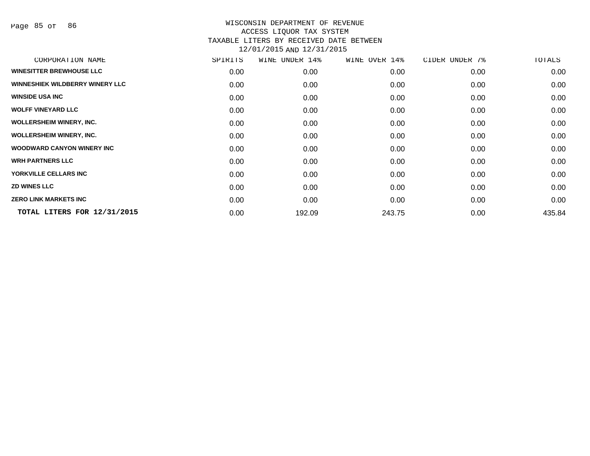Page 85 of 86

| CORPORATION NAME                       | SPIRITS | WINE<br>UNDER 14% | WINE OVER 14% | CIDER UNDER 7% | TOTALS |
|----------------------------------------|---------|-------------------|---------------|----------------|--------|
| <b>WINESITTER BREWHOUSE LLC</b>        | 0.00    | 0.00              | 0.00          | 0.00           | 0.00   |
| <b>WINNESHIEK WILDBERRY WINERY LLC</b> | 0.00    | 0.00              | 0.00          | 0.00           | 0.00   |
| <b>WINSIDE USA INC</b>                 | 0.00    | 0.00              | 0.00          | 0.00           | 0.00   |
| <b>WOLFF VINEYARD LLC</b>              | 0.00    | 0.00              | 0.00          | 0.00           | 0.00   |
| <b>WOLLERSHEIM WINERY, INC.</b>        | 0.00    | 0.00              | 0.00          | 0.00           | 0.00   |
| <b>WOLLERSHEIM WINERY, INC.</b>        | 0.00    | 0.00              | 0.00          | 0.00           | 0.00   |
| <b>WOODWARD CANYON WINERY INC.</b>     | 0.00    | 0.00              | 0.00          | 0.00           | 0.00   |
| <b>WRH PARTNERS LLC</b>                | 0.00    | 0.00              | 0.00          | 0.00           | 0.00   |
| YORKVILLE CELLARS INC                  | 0.00    | 0.00              | 0.00          | 0.00           | 0.00   |
| <b>ZD WINES LLC</b>                    | 0.00    | 0.00              | 0.00          | 0.00           | 0.00   |
| <b>ZERO LINK MARKETS INC</b>           | 0.00    | 0.00              | 0.00          | 0.00           | 0.00   |
| TOTAL LITERS FOR 12/31/2015            | 0.00    | 192.09            | 243.75        | 0.00           | 435.84 |